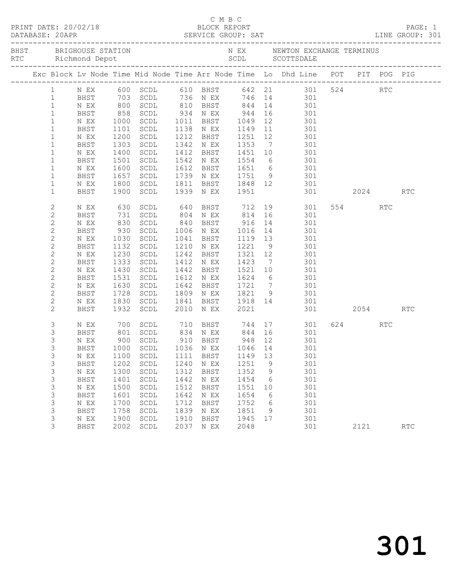|                |                     |                   |                                  |      |                   |          |    | C M B C<br>PRINT DATE: 20/02/18 BLOCK REPORT<br>DATABASE: 20APR SERVICE GROUP: SAT LINE GROUP: 301               |         |            |  |
|----------------|---------------------|-------------------|----------------------------------|------|-------------------|----------|----|------------------------------------------------------------------------------------------------------------------|---------|------------|--|
|                |                     |                   | BHST BRIGHOUSE STATION           |      |                   |          |    | N EX MEWTON EXCHANGE TERMINUS                                                                                    |         |            |  |
|                |                     |                   |                                  |      |                   |          |    | Exc Block Lv Node Time Mid Node Time Arr Node Time Lo Dhd Line POT PIT POG PIG                                   |         |            |  |
| $1 \quad$      |                     |                   |                                  |      |                   |          |    | NEX 600 SCDL 610 BHST 642 21 301 524 RTC<br>BHST 703 SCDL 736 NEX 746 14 301<br>NEX 800 SCDL 810 BHST 844 14 301 |         |            |  |
| $\mathbf{1}$   |                     |                   |                                  |      |                   |          |    |                                                                                                                  |         |            |  |
| $\mathbf{1}$   |                     |                   |                                  |      |                   |          |    |                                                                                                                  |         |            |  |
| $\mathbf{1}$   | BHST                | 858               |                                  |      |                   |          |    |                                                                                                                  |         |            |  |
| $\mathbf{1}$   | N EX                |                   |                                  |      |                   |          |    | SCDL 934 N EX 944 16 301<br>SCDL 1011 BHST 1049 12 301<br>SCDL 1138 N EX 1149 11 301                             |         |            |  |
| $\mathbf{1}$   | BHST                |                   | 1000 SCDL<br>1101 SCDL           |      |                   |          |    |                                                                                                                  |         |            |  |
| $\mathbf{1}$   | N EX                | 1200              | SCDL                             |      | 1212 BHST 1251 12 |          |    | 301                                                                                                              |         |            |  |
| $\mathbf{1}$   | BHST                | 1303              | SCDL                             |      |                   |          |    | 1342 N EX 1353 7 301                                                                                             |         |            |  |
| $\mathbf{1}$   | N EX                |                   | SCDL                             |      |                   |          |    |                                                                                                                  |         |            |  |
| $\mathbf{1}$   | BHST                | 1400<br>1501      | SCDL                             |      |                   |          |    | 1412 BHST 1451 10 301<br>1542 NEX 1554 6 301                                                                     |         |            |  |
| $\mathbf{1}$   | N EX                | 1600              | SCDL                             |      |                   |          |    | 1612 BHST 1651 6 301                                                                                             |         |            |  |
| $\mathbf 1$    | BHST                | 1657              | SCDL                             |      |                   |          |    | 1739 N EX 1751 9 301                                                                                             |         |            |  |
| $\mathbf{1}$   | N EX                |                   | SCDL                             |      |                   |          |    |                                                                                                                  |         |            |  |
| $\mathbf{1}$   | BHST                | 1800<br>1900      | 1900 SCDL                        |      |                   |          |    | 1811 BHST 1848 12 301<br>1939 NEX 1951 301 2024                                                                  |         | RTC        |  |
| $\mathbf{2}$   | N EX                | 630               |                                  |      |                   |          |    | SCDL 640 BHST 712 19 301                                                                                         | 554 RTC |            |  |
| $\mathbf{2}$   | BHST                |                   | SCDL                             |      |                   |          |    |                                                                                                                  |         |            |  |
| $\mathbf{2}$   | N EX                |                   | SCDL                             |      |                   |          |    |                                                                                                                  |         |            |  |
| $\mathbf{2}$   | BHST                | 731<br>830<br>930 | SCDL                             |      |                   |          |    | 804 N EX 814 16 301<br>840 BHST 916 14 301<br>1006 N EX 1016 14 301                                              |         |            |  |
| $\mathbf{2}$   | N EX                | 1030              | SCDL                             |      | 1041 BHST         |          |    | 1119 13 301                                                                                                      |         |            |  |
| $\mathbf{2}$   | BHST                | 1132              | SCDL                             |      | 1210 N EX         | 1221 9   |    | 301                                                                                                              |         |            |  |
| $\mathbf{2}$   | N EX                |                   | SCDL                             |      | 1242 BHST         | 1321 12  |    | 301                                                                                                              |         |            |  |
| $\mathbf{2}$   | BHST                | 1230<br>1333      | SCDL                             |      | 1412 N EX         | $1423$ 7 |    | 301                                                                                                              |         |            |  |
| $\mathbf{2}$   | N EX                | 1430              | SCDL                             |      |                   |          |    | 1442 BHST 1521 10 301                                                                                            |         |            |  |
| $\mathbf{2}$   | BHST                | 1531              | SCDL                             |      | 1612 N EX         |          |    | 1624 6 301                                                                                                       |         |            |  |
| $\mathbf{2}$   | N EX                |                   | SCDL                             |      |                   |          |    |                                                                                                                  |         |            |  |
| $\mathbf{2}$   | BHST                | 1630<br>1728      | SCDL                             |      |                   |          |    | 1642 BHST 1721 7 301<br>1809 NEX 1821 9 301                                                                      |         |            |  |
| $\mathbf{2}$   | N EX                |                   | 1830 SCDL                        |      |                   |          |    | 1841 BHST 1918 14 301                                                                                            |         |            |  |
| 2              | BHST                | 1932              | SCDL                             |      | 2010 N EX         | 2021     |    | 301 2054                                                                                                         |         | <b>RTC</b> |  |
| $\mathfrak{Z}$ | $\,$ N $\,$ EX $\,$ |                   |                                  |      |                   |          |    | 700 SCDL 710 BHST 744 17 301<br>801 SCDL 834 NEX 844 16 301                                                      | 624 RTC |            |  |
| 3              | BHST                |                   |                                  |      |                   |          |    |                                                                                                                  |         |            |  |
| 3              | N EX                |                   | 900 SCDL                         |      | 910 BHST 948 12   |          |    | 301                                                                                                              |         |            |  |
| $\mathfrak{Z}$ |                     |                   | BHST 1000 SCDL 1036 N EX 1046 14 |      |                   |          |    | 301                                                                                                              |         |            |  |
| 3              | N EX                | 1100              | SCDL                             | 1111 | <b>BHST</b>       | 1149     | 13 | 301                                                                                                              |         |            |  |
| 3              | BHST                | 1202              | $\operatorname{\mathsf{SCDL}}$   | 1240 | N EX              | 1251     | 9  | 301                                                                                                              |         |            |  |
| $\mathsf 3$    | N EX                | 1300              | $\operatorname{\mathsf{SCDL}}$   | 1312 | <b>BHST</b>       | 1352     | 9  | 301                                                                                                              |         |            |  |
| 3              | <b>BHST</b>         | 1401              | $\operatorname{\mathsf{SCDL}}$   | 1442 | N EX              | 1454     | 6  | 301                                                                                                              |         |            |  |
| 3              | N EX                | 1500              | $\operatorname{\mathsf{SCDL}}$   | 1512 | <b>BHST</b>       | 1551     | 10 | 301                                                                                                              |         |            |  |
| 3              | BHST                | 1601              | SCDL                             | 1642 | N EX              | 1654     | 6  | 301                                                                                                              |         |            |  |
| 3              | N EX                | 1700              | $\operatorname{\mathsf{SCDL}}$   | 1712 | <b>BHST</b>       | 1752     | 6  | 301                                                                                                              |         |            |  |
| 3              | <b>BHST</b>         | 1758              | $\operatorname{\mathsf{SCDL}}$   | 1839 | N EX              | 1851     | 9  | 301                                                                                                              |         |            |  |
| 3              | N EX                | 1900              | SCDL                             | 1910 | <b>BHST</b>       | 1945     | 17 | 301                                                                                                              |         |            |  |
| 3              | <b>BHST</b>         | 2002              | SCDL                             | 2037 | N EX              | 2048     |    | 301                                                                                                              | 2121    | RTC        |  |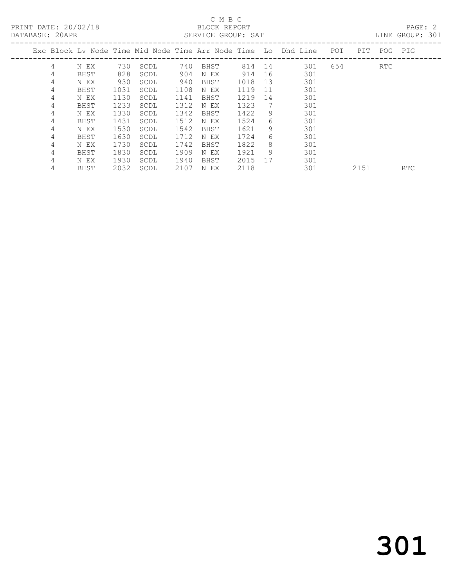### C M B C<br>BLOCK REPORT

LINE GROUP: 301

| Exc Block Lv Node Time Mid Node Time Arr Node Time Lo Dhd Line |             |      |      |      |      |      |    |     | POT | PIT. | POG | PIG        |
|----------------------------------------------------------------|-------------|------|------|------|------|------|----|-----|-----|------|-----|------------|
| 4                                                              | N EX        | 730  | SCDL | 740  | BHST | 814  | 14 | 301 | 654 |      | RTC |            |
| 4                                                              | BHST        | 828  | SCDL | 904  | N EX | 914  | 16 | 301 |     |      |     |            |
| 4                                                              | N EX        | 930  | SCDL | 940  | BHST | 1018 | 13 | 301 |     |      |     |            |
| 4                                                              | BHST        | 1031 | SCDL | 1108 | N EX | 1119 | 11 | 301 |     |      |     |            |
| 4                                                              | N EX        | 1130 | SCDL | 1141 | BHST | 1219 | 14 | 301 |     |      |     |            |
| 4                                                              | BHST        | 1233 | SCDL | 1312 | N EX | 1323 | 7  | 301 |     |      |     |            |
| 4                                                              | N EX        | 1330 | SCDL | 1342 | BHST | 1422 | 9  | 301 |     |      |     |            |
| 4                                                              | <b>BHST</b> | 1431 | SCDL | 1512 | N EX | 1524 | 6  | 301 |     |      |     |            |
| 4                                                              | N EX        | 1530 | SCDL | 1542 | BHST | 1621 | 9  | 301 |     |      |     |            |
| 4                                                              | BHST        | 1630 | SCDL | 1712 | N EX | 1724 | 6  | 301 |     |      |     |            |
| 4                                                              | N EX        | 1730 | SCDL | 1742 | BHST | 1822 | 8  | 301 |     |      |     |            |
| 4                                                              | BHST        | 1830 | SCDL | 1909 | N EX | 1921 | 9  | 301 |     |      |     |            |
| 4                                                              | N EX        | 1930 | SCDL | 1940 | BHST | 2015 | 17 | 301 |     |      |     |            |
| 4                                                              | BHST        | 2032 | SCDL | 2107 | N EX | 2118 |    | 301 |     | 2151 |     | <b>RTC</b> |
|                                                                |             |      |      |      |      |      |    |     |     |      |     |            |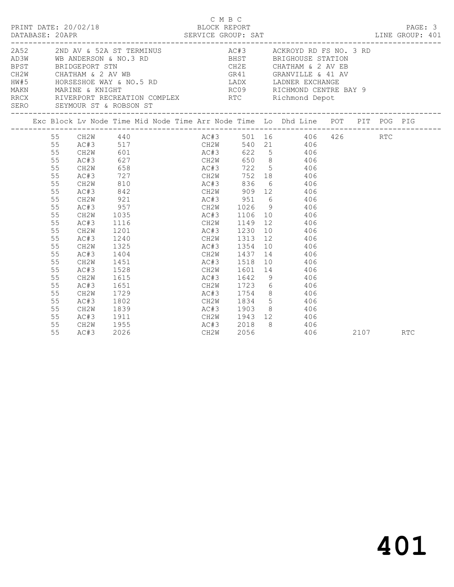|  | DATABASE: 20APR                                                                                          | PRINT DATE: 20/02/18                                                                                                                 |                                                                                                  | 12/18 BLOCK REPORT<br>SERVICE GROUP: SAT | C M B C   |      | LINE GROUP: 401                                                                                                                                                                                                                                                                                                                                                                          |  |          | PAGE: 3 |  |
|--|----------------------------------------------------------------------------------------------------------|--------------------------------------------------------------------------------------------------------------------------------------|--------------------------------------------------------------------------------------------------|------------------------------------------|-----------|------|------------------------------------------------------------------------------------------------------------------------------------------------------------------------------------------------------------------------------------------------------------------------------------------------------------------------------------------------------------------------------------------|--|----------|---------|--|
|  |                                                                                                          | SERO SEYMOUR ST & ROBSON ST                                                                                                          |                                                                                                  |                                          |           |      | 2A52 2ND AV & 52A ST TERMINUS AC#3 ACKROYD RD FS NO. 3 RD<br>AD3W WB ANDERSON & NO.3 RD BHST BRIGHOUSE STATION<br>BPST BRIDGEPORT STN CH2E CHATHAM & 2 AV EB<br>CH2W CHATHAM & 2 AV WB<br>HW#5 HORSESHOE WAY & NO.5 RD LADX LADNER EXCHANGE<br>MAKN MARINE & KNIGHT RCC RICHMOND CENTRE BA<br>RRCX RICERPORT RECREATION COMPLEX RTC RICHMOND CENTRE BA<br><br>RC09 RICHMOND CENTRE BAY 9 |  |          |         |  |
|  |                                                                                                          |                                                                                                                                      |                                                                                                  |                                          |           |      | Exc Block Lv Node Time Mid Node Time Arr Node Time Lo Dhd Line POT PIT POG PIG                                                                                                                                                                                                                                                                                                           |  |          |         |  |
|  | 55<br>55<br>55<br>55<br>55<br>55<br>55<br>55<br>55<br>55<br>55<br>55<br>55<br>55<br>55<br>55<br>55<br>55 | CH2W<br>AC#3<br>CH2W<br>AC#3<br>CH2W<br>AC#3<br>CH2W<br>AC#3<br>CH2W<br>AC#3<br>CH2W<br>AC#3<br>CH2W<br>AC#3<br>CH2W<br>AC#3<br>CH2W | 810<br>842<br>921<br>957<br>1035<br>1116<br>1201<br>1240<br>1325<br>1404<br>1451<br>1528<br>1615 | AC#3 1230<br>AC#3 1518                   | AC#3 1642 |      | 55 CH2W 440 AC#3 501 16 406 426<br>AC#3 517 CH2W 540 21 406<br>727 CH2W 752 18 406<br>AC#3 836 6 406<br>CH2W 909 12 406<br>AC#3 951 6 406<br>CH2W 1026 9 406<br>AC#3 1106 10 406<br>CH2W 1149 12 406<br>10 406<br>CH2W 1313 12 406<br>AC#3 1354 10 406<br>CH2W 1437 14 406<br>10 406<br>CH2W 1601 14 406<br>9 406                                                                        |  | RTC      |         |  |
|  | 55<br>55<br>55<br>55<br>55<br>55<br>55                                                                   | AC#3<br>CH2W<br>AC#3<br>CH2W<br>AC#3<br>CH2W<br>AC#3                                                                                 | 1651<br>1729<br>1802<br>1839<br>1911<br>1955<br>2026                                             |                                          | CH2W      | 2056 | CH2W 1723 6 406<br>AC#3 1754 8 406<br>CH2W 1834 5 406<br>AC#3 1903 8 406<br>CH2W 1943 12 406<br>AC#3 2018 8 406<br>CH2W 2056 406<br>406                                                                                                                                                                                                                                                  |  | 2107 RTC |         |  |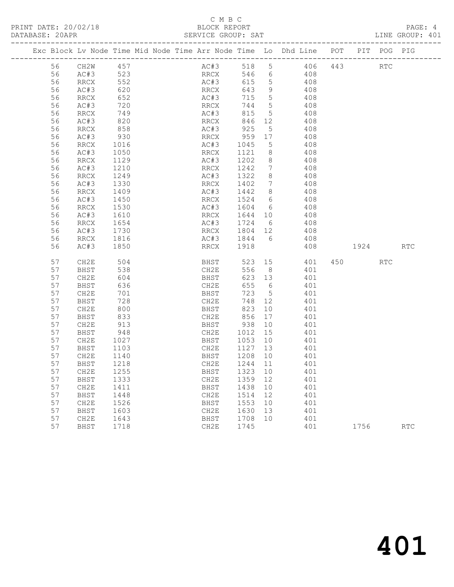#### C M B C<br>BLOCK REPORT SERVICE GROUP: SAT

|    |                            |              |  |                             |                 |                                         | Exc Block Lv Node Time Mid Node Time Arr Node Time Lo Dhd Line POT PIT POG PIG |  |            |
|----|----------------------------|--------------|--|-----------------------------|-----------------|-----------------------------------------|--------------------------------------------------------------------------------|--|------------|
|    | 56 CH2W 457<br>56 AC#3 523 |              |  |                             |                 |                                         | AC#3 518 5 406 443 RTC<br>RRCX 546 6 408                                       |  |            |
|    |                            |              |  |                             |                 |                                         |                                                                                |  |            |
| 56 | RRCX<br>AC#3               | 552<br>620   |  |                             |                 |                                         | AC#3 615 5 408<br>RRCX 643 9 408                                               |  |            |
| 56 |                            |              |  |                             |                 |                                         |                                                                                |  |            |
| 56 | RRCX                       | 652          |  | AC#3<br>RRCX<br>AC#3        |                 |                                         | 715 5 408                                                                      |  |            |
| 56 | AC#3                       | 720          |  |                             | 744 5           |                                         | 408                                                                            |  |            |
| 56 | RRCX                       | 749          |  |                             |                 |                                         | 815 5 408                                                                      |  |            |
| 56 | AC#3                       |              |  |                             |                 |                                         |                                                                                |  |            |
| 56 | RRCX                       | 820<br>858   |  | RRCX   846<br>AC#3   925    | 846 12<br>925 5 |                                         | $408$<br>$408$                                                                 |  |            |
| 56 | AC#3                       |              |  |                             |                 |                                         |                                                                                |  |            |
| 56 | RRCX                       | 930<br>1016  |  |                             |                 |                                         | RRCX 959 17 408<br>AC#3 1045 5 408                                             |  |            |
| 56 | AC#3                       | 1050         |  |                             |                 |                                         | RRCX 1121 8 408                                                                |  |            |
| 56 | RRCX                       | 1129         |  | AC#3 1202 8                 |                 |                                         | 408                                                                            |  |            |
| 56 | AC#3                       | 1210         |  | RRCX 1242                   |                 |                                         | $\frac{3}{7}$ 408                                                              |  |            |
| 56 | RRCX                       |              |  |                             |                 |                                         |                                                                                |  |            |
| 56 | AC#3                       | 1249<br>1330 |  | AC#3 1322 8<br>RRCX 1402 7  |                 |                                         | $408$<br>$408$                                                                 |  |            |
| 56 | RRCX                       | 1409         |  |                             |                 |                                         | AC#3 1442 8 408                                                                |  |            |
| 56 | AC#3                       | 1450         |  | RRCX 1524 6                 |                 |                                         | 408                                                                            |  |            |
| 56 | RRCX                       | 1530         |  |                             |                 |                                         | AC#3 1604 6 408                                                                |  |            |
| 56 | AC#3                       |              |  |                             |                 |                                         |                                                                                |  |            |
| 56 | RRCX                       | 1610<br>1654 |  | RRCX 1644 10<br>AC#3 1724 6 |                 |                                         | $408$<br>$408$                                                                 |  |            |
| 56 | AC#3                       |              |  |                             |                 |                                         |                                                                                |  |            |
| 56 | RRCX                       | 1730<br>1816 |  |                             |                 |                                         | RRCX 1804 12 408<br>AC#3 1844 6 408                                            |  |            |
|    | AC#3                       | 1850         |  | RRCX 1918                   |                 |                                         | 408<br>408 1924                                                                |  | <b>RTC</b> |
| 56 |                            |              |  |                             |                 |                                         |                                                                                |  |            |
| 57 | CH2E                       | 504          |  |                             |                 |                                         | BHST 523 15 401 450 RTC                                                        |  |            |
| 57 | BHST                       | 538<br>604   |  |                             |                 |                                         | 401<br>401                                                                     |  |            |
| 57 | CH2E                       |              |  |                             |                 |                                         |                                                                                |  |            |
| 57 | BHST                       | 636          |  | CH2E                        |                 |                                         | 655 6 401                                                                      |  |            |
| 57 | CH2E                       | 701          |  | <b>BHST</b>                 | 723 5           |                                         | 401                                                                            |  |            |
| 57 | BHST                       | 728          |  | CH2E                        |                 |                                         | 748 12 401                                                                     |  |            |
| 57 | CH2E                       | 800<br>833   |  |                             |                 |                                         | BHST 823 10 401<br>CH2E 856 17 401                                             |  |            |
| 57 | <b>BHST</b>                |              |  |                             |                 |                                         |                                                                                |  |            |
| 57 | CH2E                       | 913          |  | BHST 938                    |                 | 10                                      | 401                                                                            |  |            |
| 57 | BHST                       | 948          |  | CH2E                        | 1012 15         |                                         | 401                                                                            |  |            |
| 57 | CH2E                       | 1027         |  |                             |                 |                                         | BHST 1053 10 401                                                               |  |            |
| 57 | BHST                       | 1103         |  | CH2E                        | 1127 13         |                                         | 401                                                                            |  |            |
| 57 | CH2E                       | 1140         |  |                             |                 |                                         | BHST 1208 10 401                                                               |  |            |
| 57 | BHST                       |              |  |                             |                 |                                         | 401                                                                            |  |            |
| 57 | CH2E                       | 1218<br>1255 |  | CH2E 1244<br>BHST 1323      |                 | $\begin{array}{c} 11 \\ 10 \end{array}$ | 401                                                                            |  |            |
| 57 | BHST                       | 1333         |  | CH2E 1359 12                |                 |                                         | 401                                                                            |  |            |
| 57 | CH2E                       | 1411         |  | BHST 1438 10                |                 |                                         | 401                                                                            |  |            |
| 57 | BHST                       | 1448         |  | CH2E 1514 12                |                 |                                         | 401                                                                            |  |            |
| 57 | CH2E                       | 1526         |  | BHST                        | 1553 10         |                                         | 401                                                                            |  |            |
|    |                            |              |  |                             |                 |                                         |                                                                                |  |            |

57 BHST 1718 CH2E 1745 401 1756 RTC

 57 BHST 1603 CH2E 1630 13 401 57 CH2E 1643 BHST 1708 10 401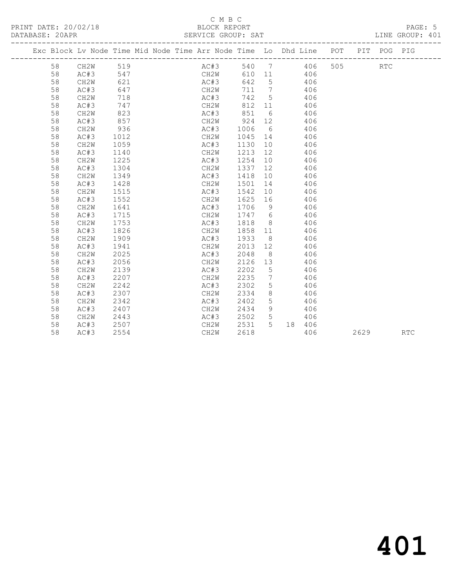#### C M B C<br>BLOCK REPORT SERVICE GROUP: SAT

|  |    | Exc Block Lv Node Time Mid Node Time Arr Node Time Lo Dhd Line POT |      |  |      |      |                 |                |            |           |     |      | PIT POG PIG |            |
|--|----|--------------------------------------------------------------------|------|--|------|------|-----------------|----------------|------------|-----------|-----|------|-------------|------------|
|  | 58 | CH2W 519                                                           |      |  |      | AC#3 |                 |                |            | 540 7 406 | 505 |      | RTC         |            |
|  | 58 | AC#3                                                               | 547  |  |      | CH2W |                 |                | 610 11 406 |           |     |      |             |            |
|  | 58 | CH2W                                                               | 621  |  |      | AC#3 | 642 5           |                | 406        |           |     |      |             |            |
|  | 58 | AC#3                                                               | 647  |  |      | CH2W | 711 7           |                | 406        |           |     |      |             |            |
|  | 58 | CH2W                                                               | 718  |  |      | AC#3 | 742 5           |                | 406        |           |     |      |             |            |
|  | 58 | AC#3                                                               | 747  |  |      | CH2W | 812 11          |                | 406        |           |     |      |             |            |
|  | 58 | CH2W                                                               | 823  |  |      | AC#3 |                 |                | 851 6 406  |           |     |      |             |            |
|  | 58 | AC#3                                                               | 857  |  |      |      | CH2W 924 12 406 |                |            |           |     |      |             |            |
|  | 58 | CH2W                                                               | 936  |  |      | AC#3 | 1006            |                | 6 406      |           |     |      |             |            |
|  | 58 | AC#3                                                               | 1012 |  |      | CH2W | 1045 14 406     |                |            |           |     |      |             |            |
|  | 58 | CH2W                                                               | 1059 |  | AC#3 |      | 1130            |                | 10 406     |           |     |      |             |            |
|  | 58 | AC#3                                                               | 1140 |  | CH2W |      | 1213            | 12             | 406        |           |     |      |             |            |
|  | 58 | CH2W                                                               | 1225 |  | AC#3 |      | 1254            | 10             | 406        |           |     |      |             |            |
|  | 58 | AC#3                                                               | 1304 |  | CH2W |      | 1337            | 12             | 406        |           |     |      |             |            |
|  | 58 | CH2W                                                               | 1349 |  | AC#3 |      | 1418            | 10             | 406        |           |     |      |             |            |
|  | 58 | AC#3                                                               | 1428 |  | CH2W |      | 1501            | 14             | 406        |           |     |      |             |            |
|  | 58 | CH2W                                                               | 1515 |  | AC#3 |      | 1542            | 10             |            | 406       |     |      |             |            |
|  | 58 | AC#3                                                               | 1552 |  | CH2W |      | 1625            | 16             |            | 406       |     |      |             |            |
|  | 58 | CH <sub>2</sub> W                                                  | 1641 |  | AC#3 |      | 1706            | 9              |            | 406       |     |      |             |            |
|  | 58 | AC#3                                                               | 1715 |  | CH2W |      | 1747 6          |                |            | 406       |     |      |             |            |
|  | 58 | CH <sub>2</sub> W                                                  | 1753 |  | AC#3 |      | 1818 8          |                |            | 406       |     |      |             |            |
|  | 58 | AC#3                                                               | 1826 |  | CH2W |      | 1858 11         |                |            | 406       |     |      |             |            |
|  | 58 | CH2W                                                               | 1909 |  | AC#3 |      | 1933            | 8 <sup>8</sup> |            | 406       |     |      |             |            |
|  | 58 | AC#3                                                               | 1941 |  | CH2W |      | 2013 12         |                |            | 406       |     |      |             |            |
|  | 58 | CH <sub>2</sub> W                                                  | 2025 |  | AC#3 |      | 2048            | 8 <sup>8</sup> |            | 406       |     |      |             |            |
|  | 58 | AC#3                                                               | 2056 |  | CH2W |      | 2126 13         |                |            | 406       |     |      |             |            |
|  | 58 | CH <sub>2</sub> W                                                  | 2139 |  | AC#3 |      | 2202 5          |                |            | 406       |     |      |             |            |
|  | 58 | AC#3                                                               | 2207 |  | CH2W |      | 2235            | $\overline{7}$ |            | 406       |     |      |             |            |
|  | 58 | CH2W                                                               | 2242 |  | AC#3 |      | 2302            | 5              |            | 406       |     |      |             |            |
|  | 58 | AC#3                                                               | 2307 |  | CH2W |      | 2334            | 8 <sup>8</sup> |            | 406       |     |      |             |            |
|  | 58 | CH2W                                                               | 2342 |  | AC#3 |      | 2402            | 5              |            | 406       |     |      |             |            |
|  | 58 | AC#3                                                               | 2407 |  | CH2W |      | 2434            | 9              |            | 406       |     |      |             |            |
|  | 58 | CH2W                                                               | 2443 |  |      | AC#3 | 2502 5          |                |            | 406       |     |      |             |            |
|  | 58 | AC#3                                                               | 2507 |  | CH2W |      | 2531 5          |                |            | 18 406    |     |      |             |            |
|  | 58 | AC#3                                                               | 2554 |  | CH2W |      | 2618            |                |            | 406       |     | 2629 |             | <b>RTC</b> |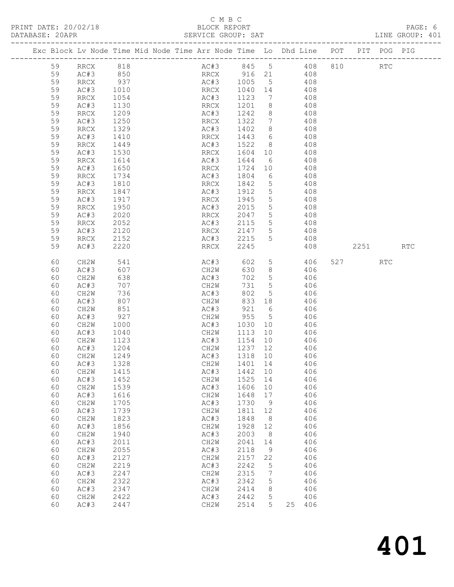### C M B C<br>BLOCK REPORT

| DATABASE: 20APR |    |                                                                                |      |  |      |      | SERVICE GROUP: SAT |                 | <mark>AT</mark><br>---------------------- |     |                |      | LINE GROUP: 401 |  |
|-----------------|----|--------------------------------------------------------------------------------|------|--|------|------|--------------------|-----------------|-------------------------------------------|-----|----------------|------|-----------------|--|
|                 |    | Exc Block Lv Node Time Mid Node Time Arr Node Time Lo Dhd Line POT PIT POG PIG |      |  |      |      |                    |                 |                                           |     |                |      |                 |  |
|                 | 59 | -------<br>RRCX 818<br>AC#3 850                                                |      |  |      |      |                    |                 | AC#3 845 5 408<br>RRCX 916 21 408         |     | 810 RTC        |      |                 |  |
|                 | 59 |                                                                                |      |  |      |      |                    |                 |                                           |     |                |      |                 |  |
|                 | 59 | RRCX                                                                           | 937  |  |      |      | AC#3 1005          |                 | $5^{\circ}$                               | 408 |                |      |                 |  |
|                 | 59 | AC#3                                                                           | 1010 |  | RRCX |      | 1040 14            |                 |                                           | 408 |                |      |                 |  |
|                 | 59 | RRCX                                                                           | 1054 |  | AC#3 |      | 1123               | 7               |                                           | 408 |                |      |                 |  |
|                 | 59 | AC#3                                                                           | 1130 |  | RRCX |      | 1201               | 8 <sup>8</sup>  |                                           | 408 |                |      |                 |  |
|                 | 59 | RRCX                                                                           | 1209 |  | AC#3 |      | 1242               |                 | 8 408                                     |     |                |      |                 |  |
|                 | 59 | AC#3                                                                           | 1250 |  | RRCX |      | 1322               |                 | 7 408                                     |     |                |      |                 |  |
|                 | 59 | RRCX                                                                           | 1329 |  | AC#3 |      | 1402               |                 | 8 408<br>6 408                            |     |                |      |                 |  |
|                 | 59 | AC#3                                                                           | 1410 |  | RRCX |      | 1443               | $6\overline{6}$ |                                           |     |                |      |                 |  |
|                 | 59 | RRCX                                                                           | 1449 |  | AC#3 |      | 1522               |                 | 8 408                                     |     |                |      |                 |  |
|                 | 59 | AC#3                                                                           | 1530 |  | RRCX |      | 1604 10            |                 |                                           | 408 |                |      |                 |  |
|                 | 59 | RRCX                                                                           | 1614 |  | AC#3 |      | 1644               | 6               |                                           | 408 |                |      |                 |  |
|                 | 59 | AC#3                                                                           | 1650 |  | RRCX |      | 1724               | 10              |                                           | 408 |                |      |                 |  |
|                 | 59 | RRCX                                                                           | 1734 |  | AC#3 |      | 1804               | $6\overline{6}$ |                                           | 408 |                |      |                 |  |
|                 | 59 | AC#3                                                                           | 1810 |  | RRCX |      | 1842               |                 | 5 <sub>5</sub>                            | 408 |                |      |                 |  |
|                 | 59 | RRCX                                                                           | 1847 |  | AC#3 |      | 1912               |                 | 5 <sub>1</sub>                            | 408 |                |      |                 |  |
|                 | 59 | AC#3                                                                           | 1917 |  | RRCX |      | 1945               | 5 <sup>5</sup>  |                                           | 408 |                |      |                 |  |
|                 | 59 | RRCX                                                                           | 1950 |  | AC#3 |      | 2015               |                 | $5 \t 408$                                |     |                |      |                 |  |
|                 | 59 | AC#3                                                                           | 2020 |  | RRCX |      | 2047               |                 | $5 - 5$                                   | 408 |                |      |                 |  |
|                 | 59 | RRCX                                                                           | 2052 |  | AC#3 |      | 2115               |                 | 5 <sub>1</sub>                            | 408 |                |      |                 |  |
|                 | 59 | AC#3                                                                           | 2120 |  | RRCX |      | 2147               | 5 <sup>5</sup>  |                                           | 408 |                |      |                 |  |
|                 | 59 | RRCX                                                                           | 2152 |  | AC#3 |      | 2215               | 5               |                                           | 408 |                |      |                 |  |
|                 | 59 | AC#3                                                                           | 2220 |  | RRCX |      | 2245               |                 |                                           | 408 |                | 2251 | RTC             |  |
|                 | 60 | CH2W                                                                           | 541  |  |      | AC#3 | 602                | 5 <sub>1</sub>  |                                           | 406 | 527 and $\sim$ | RTC  |                 |  |
|                 | 60 | AC#3                                                                           | 607  |  | CH2W |      | 630                | 8 <sup>8</sup>  |                                           | 406 |                |      |                 |  |
|                 | 60 | CH2W                                                                           | 638  |  | AC#3 |      | 702                |                 | $5\overline{)}$                           | 406 |                |      |                 |  |
|                 | 60 | AC#3                                                                           | 707  |  | CH2W |      | 731                |                 | 5                                         | 406 |                |      |                 |  |
|                 | 60 | CH2W                                                                           | 736  |  | AC#3 |      | 802                | 5 <sup>5</sup>  |                                           | 406 |                |      |                 |  |
|                 | 60 | AC#3                                                                           | 807  |  | CH2W |      | 833 18             |                 |                                           | 406 |                |      |                 |  |
|                 | 60 | CH2W                                                                           | 851  |  | AC#3 |      | 921                | $6\overline{6}$ |                                           | 406 |                |      |                 |  |
|                 | 60 | AC#3                                                                           | 927  |  | CH2W |      | 955                |                 | $5 - 5$                                   | 406 |                |      |                 |  |
|                 | 60 | CH2W                                                                           | 1000 |  | AC#3 |      | 1030 10            |                 |                                           | 406 |                |      |                 |  |
|                 | 60 | AC#3                                                                           | 1040 |  | CH2W |      | 1113 10            |                 |                                           | 406 |                |      |                 |  |
|                 | 60 | CH2W                                                                           | 1123 |  | AC#3 |      | 1154 10            |                 |                                           | 406 |                |      |                 |  |
|                 | 60 | AC#3                                                                           | 1204 |  | CH2W |      | 1237 12            |                 |                                           | 406 |                |      |                 |  |
|                 | 60 | CH2W                                                                           | 1249 |  | AC#3 |      | 1318 10            |                 |                                           | 406 |                |      |                 |  |
|                 |    | 60 AC#3 1328                                                                   |      |  |      |      | CH2W 1401 14       |                 |                                           | 406 |                |      |                 |  |
|                 | 60 | CH2W                                                                           | 1415 |  | AC#3 |      | 1442               | 10              |                                           | 406 |                |      |                 |  |
|                 | 60 | AC#3                                                                           | 1452 |  | CH2W |      | 1525               | 14              |                                           | 406 |                |      |                 |  |
|                 | 60 | CH2W                                                                           | 1539 |  | AC#3 |      | 1606               | 10              |                                           | 406 |                |      |                 |  |
|                 | 60 | AC#3                                                                           | 1616 |  | CH2W |      | 1648               | 17              |                                           | 406 |                |      |                 |  |
|                 | 60 | CH2W                                                                           | 1705 |  | AC#3 |      | 1730               | 9               |                                           | 406 |                |      |                 |  |
|                 | 60 | AC#3                                                                           | 1739 |  | CH2W |      | 1811               | 12              |                                           | 406 |                |      |                 |  |
|                 | 60 | CH2W                                                                           | 1823 |  | AC#3 |      | 1848               | 8               |                                           | 406 |                |      |                 |  |
|                 | 60 | AC#3                                                                           | 1856 |  | CH2W |      | 1928               | 12              |                                           | 406 |                |      |                 |  |
|                 | 60 | CH2W                                                                           | 1940 |  | AC#3 |      | 2003               | 8               |                                           | 406 |                |      |                 |  |
|                 | 60 | AC#3                                                                           | 2011 |  | CH2W |      | 2041               | 14              |                                           | 406 |                |      |                 |  |

 60 CH2W 2055 AC#3 2118 9 406 60 AC#3 2127 CH2W 2157 22 406 60 CH2W 2219 AC#3 2242 5 406 60 AC#3 2247 CH2W 2315 7 406 60 CH2W 2322 AC#3 2342 5 406 60 AC#3 2347 CH2W 2414 8 406 60 CH2W 2422 AC#3 2442 5 406 60 AC#3 2447 CH2W 2514 5 25 406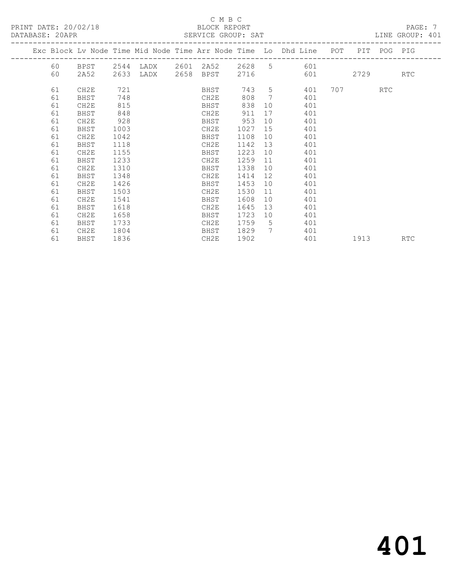#### $\,$  C M B C  $\,$  C M B C  $\,$  C M B C  $\,$  C M B C  $\,$  C M B C  $\,$  C M B C  $\,$  C  $\,$  C  $\,$  M  $\,$  C  $\,$  C  $\,$  M  $\,$  C  $\,$  C  $\,$  M  $\,$  B  $\,$  C  $\,$  M  $\,$  C  $\,$  M  $\,$  B  $\,$  C  $\,$  M  $\,$  B  $\,$  C  $\,$  M  $\,$

| PRINT DATE: 20/02/18 | BLOCK REPORT       | PAGE            |
|----------------------|--------------------|-----------------|
| DATABASE: 20APR      | SERVICE GROUP: SAT | LINE GROUP: 401 |

|  |    |             |      |      |      |      |      |                   | Exc Block Lv Node Time Mid Node Time Arr Node Time Lo Dhd Line POT |     |      | PIT POG PIG |            |
|--|----|-------------|------|------|------|------|------|-------------------|--------------------------------------------------------------------|-----|------|-------------|------------|
|  | 60 | BPST        | 2544 | LADX | 2601 | 2A52 | 2628 | 5                 | 601                                                                |     |      |             |            |
|  | 60 | 2A52        | 2633 | LADX | 2658 | BPST | 2716 |                   | 601                                                                |     | 2729 |             | <b>RTC</b> |
|  | 61 | CH2E        | 721  |      |      | BHST | 743  | 5                 | 401                                                                | 707 |      | RTC         |            |
|  | 61 | BHST        | 748  |      |      | CH2E | 808  | 7                 | 401                                                                |     |      |             |            |
|  | 61 | CH2E        | 815  |      |      | BHST | 838  | 10                | 401                                                                |     |      |             |            |
|  | 61 | BHST        | 848  |      |      | CH2E | 911  | 17                | 401                                                                |     |      |             |            |
|  | 61 | CH2E        | 928  |      |      | BHST | 953  | 10                | 401                                                                |     |      |             |            |
|  | 61 | BHST        | 1003 |      |      | CH2E | 1027 | 15                | 401                                                                |     |      |             |            |
|  | 61 | CH2E        | 1042 |      |      | BHST | 1108 | 10                | 401                                                                |     |      |             |            |
|  | 61 | BHST        | 1118 |      |      | CH2E | 1142 | 13                | 401                                                                |     |      |             |            |
|  | 61 | CH2E        | 1155 |      |      | BHST | 1223 | 10                | 401                                                                |     |      |             |            |
|  | 61 | BHST        | 1233 |      |      | CH2E | 1259 | 11                | 401                                                                |     |      |             |            |
|  | 61 | CH2E        | 1310 |      |      | BHST | 1338 | 10                | 401                                                                |     |      |             |            |
|  | 61 | <b>BHST</b> | 1348 |      |      | CH2E | 1414 | $12 \overline{ }$ | 401                                                                |     |      |             |            |
|  | 61 | CH2E        | 1426 |      |      | BHST | 1453 | 10                | 401                                                                |     |      |             |            |
|  | 61 | BHST        | 1503 |      |      | CH2E | 1530 | 11                | 401                                                                |     |      |             |            |
|  | 61 | CH2E        | 1541 |      |      | BHST | 1608 | 10                | 401                                                                |     |      |             |            |
|  | 61 | BHST        | 1618 |      |      | CH2E | 1645 | 13                | 401                                                                |     |      |             |            |
|  | 61 | CH2E        | 1658 |      |      | BHST | 1723 | 10                | 401                                                                |     |      |             |            |
|  | 61 | BHST        | 1733 |      |      | CH2E | 1759 | - 5               | 401                                                                |     |      |             |            |
|  | 61 | CH2E        | 1804 |      |      | BHST | 1829 | $7\phantom{.0}$   | 401                                                                |     |      |             |            |
|  | 61 | BHST        | 1836 |      |      | CH2E | 1902 |                   | 401                                                                |     | 1913 |             | RTC        |
|  |    |             |      |      |      |      |      |                   |                                                                    |     |      |             |            |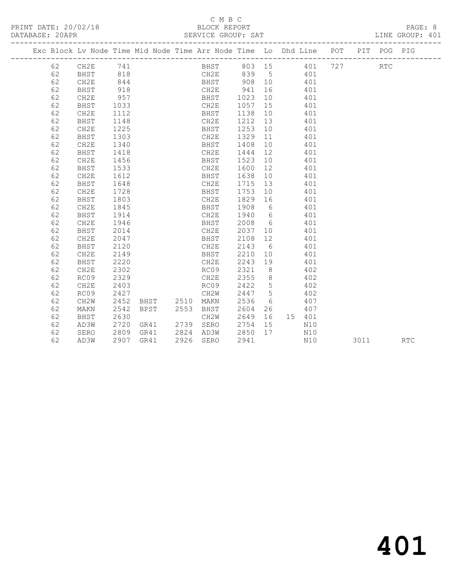|  |    |          |      |                     | Exc Block Lv Node Time Mid Node Time Arr Node Time Lo Dhd Line POT |                |        |     |      | PIT POG PIG |            |
|--|----|----------|------|---------------------|--------------------------------------------------------------------|----------------|--------|-----|------|-------------|------------|
|  | 62 | CH2E 741 |      |                     | BHST 803 15 401 727                                                |                |        |     |      | <b>RTC</b>  |            |
|  | 62 | BHST     | 818  |                     | CH2E 839 5 401                                                     |                |        |     |      |             |            |
|  | 62 | CH2E     | 844  |                     | BHST 908 10 401                                                    |                |        |     |      |             |            |
|  | 62 | BHST     | 918  |                     | CH2E 941                                                           |                | 16 401 |     |      |             |            |
|  | 62 | CH2E     | 957  |                     | BHST 1023                                                          |                | 10 401 |     |      |             |            |
|  | 62 | BHST     | 1033 |                     | CH2E                                                               | 1057 15        |        | 401 |      |             |            |
|  | 62 | CH2E     | 1112 |                     | BHST                                                               | 1138 10        |        | 401 |      |             |            |
|  | 62 | BHST     | 1148 |                     | CH2E                                                               | 1212 13        |        | 401 |      |             |            |
|  | 62 | CH2E     | 1225 |                     | BHST                                                               | 1253 10        |        | 401 |      |             |            |
|  | 62 | BHST     | 1303 |                     | CH2E                                                               | 1329 11        |        | 401 |      |             |            |
|  | 62 | CH2E     | 1340 |                     | BHST                                                               | 1408 10        | 401    |     |      |             |            |
|  | 62 | BHST     | 1418 |                     | CH2E                                                               | 1444 12        | 401    |     |      |             |            |
|  | 62 | CH2E     | 1456 |                     | BHST                                                               | 1523 10        | 401    |     |      |             |            |
|  | 62 | BHST     | 1533 |                     | CH2E                                                               | 1600 12        | 401    |     |      |             |            |
|  | 62 | CH2E     | 1612 |                     | BHST                                                               | 1638 10 401    |        |     |      |             |            |
|  | 62 | BHST     | 1648 |                     | CH2E                                                               | 1715 13 401    |        |     |      |             |            |
|  | 62 | CH2E     | 1728 |                     | BHST                                                               | 1753 10        | 401    |     |      |             |            |
|  | 62 | BHST     | 1803 |                     | CH2E                                                               | 1829 16        | 401    |     |      |             |            |
|  | 62 | CH2E     | 1845 |                     | BHST                                                               | 1908 6         |        | 401 |      |             |            |
|  | 62 | BHST     | 1914 |                     | CH2E                                                               | 1940 6         |        | 401 |      |             |            |
|  | 62 | CH2E     | 1946 |                     | BHST                                                               | 2008 6         |        | 401 |      |             |            |
|  | 62 | BHST     | 2014 |                     | CH2E                                                               | 2037 10        |        | 401 |      |             |            |
|  | 62 | CH2E     | 2047 |                     | BHST                                                               | 2108 12        |        | 401 |      |             |            |
|  | 62 | BHST     | 2120 |                     | CH2E                                                               | 2143 6         |        | 401 |      |             |            |
|  | 62 | CH2E     | 2149 |                     | BHST                                                               | 2210 10        | 401    |     |      |             |            |
|  | 62 | BHST     | 2220 |                     | CH2E                                                               | 2243 19        | 401    |     |      |             |            |
|  | 62 | CH2E     | 2302 |                     | RC09                                                               | 2321 8         | 402    |     |      |             |            |
|  | 62 | RC09     | 2329 |                     | CH2E                                                               | 2355 8         | 402    |     |      |             |            |
|  | 62 | CH2E     | 2403 |                     | RC09                                                               | 2422 5         | 402    |     |      |             |            |
|  | 62 | RC09     | 2427 |                     | CH2W                                                               | 2447 5         | 402    |     |      |             |            |
|  | 62 | CH2W     | 2452 | BHST 2510           | MAKN                                                               | 2536 6         | 407    |     |      |             |            |
|  | 62 | MAKN     | 2542 | BPST 2553 BHST      |                                                                    | 2604           | 26 407 |     |      |             |            |
|  | 62 | BHST     | 2630 |                     | CH2W                                                               | 2649 16 15 401 |        |     |      |             |            |
|  | 62 | AD3W     | 2720 | GR41                | 2739 SERO                                                          | 2754 15        |        | N10 |      |             |            |
|  | 62 | SERO     |      | 2809 GR41 2824 AD3W |                                                                    | 2850 17        |        | N10 |      |             |            |
|  | 62 | AD3W     |      | 2907 GR41           | 2926 SERO                                                          | 2941           |        | N10 | 3011 |             | <b>RTC</b> |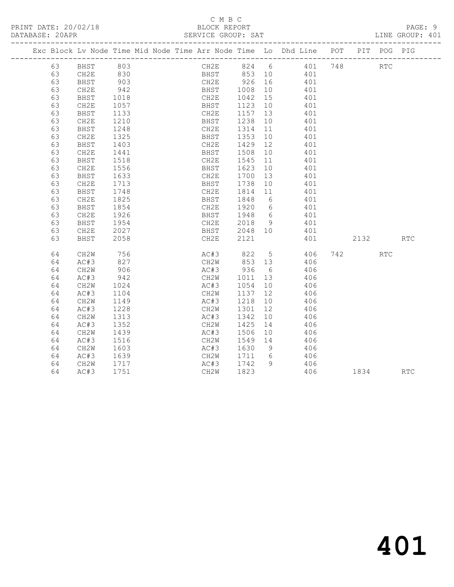|  |    |                      |              |  |                              |         |    | Exc Block Lv Node Time Mid Node Time Arr Node Time Lo Dhd Line POT PIT POG PIG |      |            |            |
|--|----|----------------------|--------------|--|------------------------------|---------|----|--------------------------------------------------------------------------------|------|------------|------------|
|  | 63 | BHST 803<br>CH2E 830 |              |  |                              |         |    | CH2E 824 6 401 748<br>BHST 853 10 401                                          |      | <b>RTC</b> |            |
|  | 63 |                      |              |  |                              |         |    |                                                                                |      |            |            |
|  | 63 | BHST                 | 903          |  |                              |         |    | CH2E 926 16 401                                                                |      |            |            |
|  | 63 | CH2E                 | 942          |  |                              |         |    | BHST 1008 10 401                                                               |      |            |            |
|  | 63 | BHST                 | 1018<br>1057 |  | CH2E 1042 15<br>BHST 1123 10 |         |    | $401$<br>$401$                                                                 |      |            |            |
|  | 63 | CH2E                 |              |  |                              |         |    |                                                                                |      |            |            |
|  | 63 | BHST                 | 1133         |  | CH2E                         |         |    | 1157 13 401                                                                    |      |            |            |
|  | 63 | CH2E                 | 1210         |  | BHST 1238 10                 |         |    | 401                                                                            |      |            |            |
|  | 63 | BHST                 | 1248<br>1325 |  |                              |         |    | CH2E 1314 11 401<br>BHST 1353 10 401                                           |      |            |            |
|  | 63 | CH2E                 |              |  |                              |         |    |                                                                                |      |            |            |
|  | 63 | BHST                 | 1403         |  |                              |         |    | CH2E 1429 12 401                                                               |      |            |            |
|  | 63 | CH2E                 | 1441         |  | BHST                         | 1508    | 10 | 401                                                                            |      |            |            |
|  | 63 | BHST                 | 1518         |  | CH2E                         | 1545 11 |    | 401                                                                            |      |            |            |
|  | 63 | CH2E                 | 1556         |  | BHST 1623 10                 |         |    | 401                                                                            |      |            |            |
|  | 63 | BHST                 | 1633         |  | CH2E                         |         |    | 1700 13 401                                                                    |      |            |            |
|  | 63 | CH2E                 | 1713         |  | BHST 1738 10                 |         |    | 401                                                                            |      |            |            |
|  | 63 | BHST                 | 1748         |  | CH2E                         | 1814 11 |    | 401                                                                            |      |            |            |
|  | 63 | CH2E                 | 1825         |  |                              |         |    | BHST 1848 6 401                                                                |      |            |            |
|  | 63 | BHST                 | 1854         |  |                              |         |    | CH2E 1920 6 401                                                                |      |            |            |
|  | 63 | CH2E                 | 1926         |  | BHST 1948 6<br>CH2E 2018 9   |         |    | 401                                                                            |      |            |            |
|  | 63 | BHST                 | 1954         |  |                              |         |    | 401                                                                            |      |            |            |
|  | 63 | CH2E                 | 2027         |  | BHST 2048 10                 |         |    | 401                                                                            |      |            |            |
|  | 63 | BHST                 | 2058         |  | CH2E                         | 2121    |    | 401                                                                            | 2132 |            | <b>RTC</b> |
|  | 64 | CH2W                 | 756          |  |                              |         |    | AC#3 822 5 406 742                                                             |      | <b>RTC</b> |            |
|  | 64 | AC#3                 | 827          |  |                              |         |    | CH2W 853 13 406                                                                |      |            |            |
|  | 64 | CH2W                 | 906          |  |                              |         |    | AC#3 936 6 406                                                                 |      |            |            |
|  | 64 | AC#3                 | 942<br>1024  |  | CH2W 1011 13<br>AC#3 1054 10 |         |    | 406                                                                            |      |            |            |
|  | 64 | CH2W                 |              |  |                              |         |    | 406                                                                            |      |            |            |
|  | 64 | AC#3                 | 1104         |  |                              |         |    | CH2W 1137 12 406                                                               |      |            |            |
|  | 64 | CH2W                 | 1149         |  | AC#3                         | 1218    | 10 | 406                                                                            |      |            |            |
|  | 64 | AC#3                 | 1228         |  | CH2W                         | 1301    | 12 | 406                                                                            |      |            |            |
|  | 64 | CH2W                 | 1313         |  | AC#3                         | 1342    |    | $\frac{1}{10}$<br>406                                                          |      |            |            |
|  | 64 | AC#3                 | 1352         |  | CH2W                         |         |    | 1425 14 406                                                                    |      |            |            |
|  | 64 | CH2W                 | 1439         |  | AC#3                         | 1506    |    | 10 406                                                                         |      |            |            |
|  | 64 | AC#3                 | 1516         |  |                              |         |    | CH2W 1549 14 406<br>AC#3 1630 9 406                                            |      |            |            |
|  | 64 | CH2W                 | 1603         |  |                              |         |    |                                                                                |      |            |            |
|  | 64 | AC#3                 | 1639         |  | CH2W 1711 6                  |         |    | 406                                                                            |      |            |            |
|  | 64 | CH2W                 | 1717         |  | AC#3 1742 9                  |         |    | 406                                                                            |      |            |            |
|  | 64 | AC#3                 | 1751         |  | CH2W                         | 1823    |    | 406                                                                            | 1834 |            | <b>RTC</b> |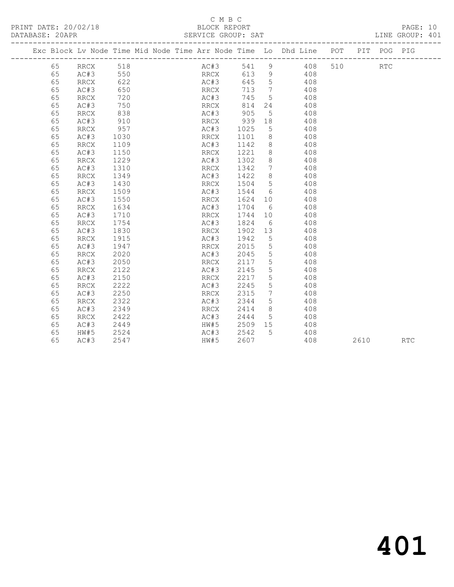|    |                          | Exc Block Lv Node Time Mid Node Time Arr Node Time Lo Dhd Line POT |      |      |                 |     |     |      | PIT POG PIG |            |
|----|--------------------------|--------------------------------------------------------------------|------|------|-----------------|-----|-----|------|-------------|------------|
| 65 | RRCX                     | 518                                                                | AC#3 | 541  | 9               | 408 | 510 |      | <b>RTC</b>  |            |
| 65 | AC#3                     | 550                                                                | RRCX | 613  | 9               | 408 |     |      |             |            |
| 65 | RRCX                     | 622                                                                | AC#3 | 645  | $5\overline{)}$ | 408 |     |      |             |            |
| 65 | AC#3                     | 650                                                                | RRCX | 713  | $\overline{7}$  | 408 |     |      |             |            |
| 65 | RRCX                     | 720                                                                | AC#3 | 745  | $5^{\circ}$     | 408 |     |      |             |            |
| 65 | AC#3                     | 750                                                                | RRCX | 814  | 24              | 408 |     |      |             |            |
| 65 | <b>RRCX</b>              | 838                                                                | AC#3 | 905  | $5\phantom{.0}$ | 408 |     |      |             |            |
| 65 | AC#3                     | 910                                                                | RRCX | 939  | 18              | 408 |     |      |             |            |
| 65 | <b>RRCX</b>              | 957                                                                | AC#3 | 1025 | 5               | 408 |     |      |             |            |
| 65 | AC#3                     | 1030                                                               | RRCX | 1101 | 8               | 408 |     |      |             |            |
| 65 | <b>RRCX</b>              | 1109                                                               | AC#3 | 1142 | $8\,$           | 408 |     |      |             |            |
| 65 | AC#3                     | 1150                                                               | RRCX | 1221 | $8\,$           | 408 |     |      |             |            |
| 65 | <b>RRCX</b>              | 1229                                                               | AC#3 | 1302 | $8\,$           | 408 |     |      |             |            |
| 65 | AC#3                     | 1310                                                               | RRCX | 1342 | $7\phantom{.0}$ | 408 |     |      |             |            |
| 65 | RRCX                     | 1349                                                               | AC#3 | 1422 | $8\,$           | 408 |     |      |             |            |
| 65 | AC#3                     | 1430                                                               | RRCX | 1504 | $5\phantom{.0}$ | 408 |     |      |             |            |
| 65 | RRCX                     | 1509                                                               | AC#3 | 1544 | 6               | 408 |     |      |             |            |
| 65 | AC#3                     | 1550                                                               | RRCX | 1624 | 10              | 408 |     |      |             |            |
| 65 | <b>RRCX</b>              | 1634                                                               | AC#3 | 1704 | 6               | 408 |     |      |             |            |
| 65 | AC#3                     | 1710                                                               | RRCX | 1744 | 10              | 408 |     |      |             |            |
| 65 | <b>RRCX</b>              | 1754                                                               | AC#3 | 1824 | 6               | 408 |     |      |             |            |
| 65 | AC#3                     | 1830                                                               | RRCX | 1902 | 13              | 408 |     |      |             |            |
| 65 | <b>RRCX</b>              | 1915                                                               | AC#3 | 1942 | 5               | 408 |     |      |             |            |
| 65 | AC#3                     | 1947                                                               | RRCX | 2015 | $5\phantom{.0}$ | 408 |     |      |             |            |
| 65 | RRCX                     | 2020                                                               | AC#3 | 2045 | 5               | 408 |     |      |             |            |
| 65 | AC#3                     | 2050                                                               | RRCX | 2117 | 5               | 408 |     |      |             |            |
| 65 | $\mathop{\mathrm{RRCX}}$ | 2122                                                               | AC#3 | 2145 | 5               | 408 |     |      |             |            |
| 65 | AC#3                     | 2150                                                               | RRCX | 2217 | 5               | 408 |     |      |             |            |
| 65 | <b>RRCX</b>              | 2222                                                               | AC#3 | 2245 | 5               | 408 |     |      |             |            |
| 65 | AC#3                     | 2250                                                               | RRCX | 2315 | $7\phantom{.0}$ | 408 |     |      |             |            |
| 65 | <b>RRCX</b>              | 2322                                                               | AC#3 | 2344 | 5               | 408 |     |      |             |            |
| 65 | AC#3                     | 2349                                                               | RRCX | 2414 | 8               | 408 |     |      |             |            |
| 65 | RRCX                     | 2422                                                               | AC#3 | 2444 | 5               | 408 |     |      |             |            |
| 65 | AC#3                     | 2449                                                               | HW#5 | 2509 | 15              | 408 |     |      |             |            |
| 65 | HW#5                     | 2524                                                               | AC#3 | 2542 | 5               | 408 |     |      |             |            |
| 65 | AC#3                     | 2547                                                               | HW#5 | 2607 |                 | 408 |     | 2610 |             | <b>RTC</b> |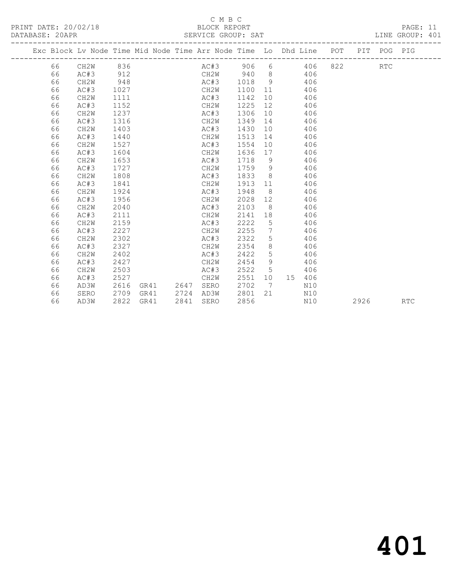|      |                   |      |      |      | Exc Block Lv Node Time Mid Node Time Arr Node Time Lo Dhd Line POT PIT POG PIG |      |                |                  |     |                        |      |            |            |
|------|-------------------|------|------|------|--------------------------------------------------------------------------------|------|----------------|------------------|-----|------------------------|------|------------|------------|
| 66 — | CH2W              | 836  |      |      | AC#3 906 6                                                                     |      |                |                  | 406 | 822 and $\overline{a}$ |      | <b>RTC</b> |            |
| 66   | AC#3              | 912  |      |      | CH2W 940 8                                                                     |      |                |                  | 406 |                        |      |            |            |
| 66   | CH <sub>2</sub> W | 948  |      |      | AC#3 1018                                                                      |      | 9 <sup>1</sup> |                  | 406 |                        |      |            |            |
| 66   | AC#3              | 1027 |      |      | CH2W                                                                           | 1100 | 11             |                  | 406 |                        |      |            |            |
| 66   | CH <sub>2</sub> W | 1111 |      |      | AC#3                                                                           | 1142 | 10             |                  | 406 |                        |      |            |            |
| 66   | AC#3              | 1152 |      |      | CH2W                                                                           | 1225 | 12             |                  | 406 |                        |      |            |            |
| 66   | CH <sub>2</sub> W | 1237 |      |      | AC#3                                                                           | 1306 | 10             |                  | 406 |                        |      |            |            |
| 66   | AC#3              | 1316 |      |      | CH2W                                                                           | 1349 | 14             |                  | 406 |                        |      |            |            |
| 66   | CH <sub>2</sub> W | 1403 |      |      | AC#3                                                                           | 1430 | 10             |                  | 406 |                        |      |            |            |
| 66   | AC#3              | 1440 |      |      | CH2W                                                                           | 1513 | 14             |                  | 406 |                        |      |            |            |
| 66   | CH <sub>2</sub> W | 1527 |      |      | AC#3                                                                           | 1554 |                |                  | 406 |                        |      |            |            |
| 66   | AC#3              | 1604 |      |      | CH2W                                                                           | 1636 | 17             |                  | 406 |                        |      |            |            |
| 66   | CH <sub>2</sub> W | 1653 |      |      | AC#3                                                                           | 1718 | 9              |                  | 406 |                        |      |            |            |
| 66   | AC#3              | 1727 |      |      | CH2W                                                                           | 1759 | - 9            |                  | 406 |                        |      |            |            |
| 66   | CH <sub>2</sub> W | 1808 |      |      | AC#3                                                                           | 1833 |                | $8 \overline{ }$ | 406 |                        |      |            |            |
| 66   | AC#3              | 1841 |      |      | CH2W                                                                           | 1913 | 11             |                  | 406 |                        |      |            |            |
| 66   | CH <sub>2</sub> W | 1924 |      |      | AC#3                                                                           | 1948 | 8 <sup>8</sup> |                  | 406 |                        |      |            |            |
| 66   | AC#3              | 1956 |      |      | CH2W                                                                           | 2028 | 12             |                  | 406 |                        |      |            |            |
| 66   | CH <sub>2</sub> W | 2040 |      |      | AC#3                                                                           | 2103 | - 8            |                  | 406 |                        |      |            |            |
| 66   | AC#3              | 2111 |      |      | CH2W                                                                           | 2141 |                |                  | 406 |                        |      |            |            |
| 66   | CH <sub>2</sub> W | 2159 |      |      | AC#3                                                                           | 2222 | $5^{\circ}$    |                  | 406 |                        |      |            |            |
| 66   | AC#3              | 2227 |      |      | CH2W                                                                           | 2255 | $\overline{7}$ |                  | 406 |                        |      |            |            |
| 66   | CH <sub>2</sub> W | 2302 |      |      | AC#3                                                                           | 2322 | 5              |                  | 406 |                        |      |            |            |
| 66   | AC#3              | 2327 |      |      | CH2W                                                                           | 2354 | 8              |                  | 406 |                        |      |            |            |
| 66   | CH <sub>2</sub> W | 2402 |      |      | AC#3                                                                           | 2422 | 5              |                  | 406 |                        |      |            |            |
| 66   | AC#3              | 2427 |      |      | CH2W                                                                           | 2454 | 9              |                  | 406 |                        |      |            |            |
| 66   | CH <sub>2</sub> W | 2503 |      |      | AC#3                                                                           | 2522 | $5^{\circ}$    |                  | 406 |                        |      |            |            |
| 66   | AC#3              | 2527 |      |      | CH2W                                                                           | 2551 | 10             | 15               | 406 |                        |      |            |            |
| 66   | AD3W              | 2616 | GR41 | 2647 | SERO                                                                           | 2702 | 7              |                  | N10 |                        |      |            |            |
| 66   | SERO              | 2709 | GR41 | 2724 | AD3W                                                                           | 2801 | 21             |                  | N10 |                        |      |            |            |
| 66   | AD3W              | 2822 | GR41 | 2841 | SERO                                                                           | 2856 |                |                  | N10 |                        | 2926 |            | <b>RTC</b> |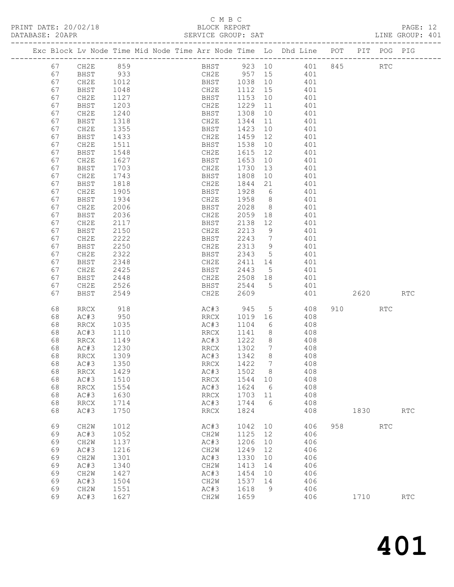| DATABASE: 20APR |    | PRINT DATE: 20/02/18 |                                                                                | C M B C     |                    |                 |                       |     |         |           | PAGE: 12<br>LINE GROUP: 401 |  |
|-----------------|----|----------------------|--------------------------------------------------------------------------------|-------------|--------------------|-----------------|-----------------------|-----|---------|-----------|-----------------------------|--|
|                 |    |                      | Exc Block Lv Node Time Mid Node Time Arr Node Time Lo Dhd Line POT PIT POG PIG |             |                    |                 |                       |     |         |           |                             |  |
|                 |    | 67 CH2E 859          |                                                                                | BHST 923 10 |                    |                 | 401 845 RTC           |     |         |           |                             |  |
|                 | 67 | BHST                 | 933                                                                            | CH2E 957 15 |                    |                 | 401                   |     |         |           |                             |  |
|                 | 67 | CH2E                 | 1012                                                                           | <b>BHST</b> | 1038 10            |                 | 401                   |     |         |           |                             |  |
|                 | 67 | BHST                 | 1048                                                                           | CH2E        | 1112  15           |                 | 401                   |     |         |           |                             |  |
|                 |    |                      |                                                                                |             |                    |                 |                       |     |         |           |                             |  |
|                 | 67 | CH2E                 | 1127                                                                           | BHST        | 1153 10<br>1229 11 |                 | 401                   |     |         |           |                             |  |
|                 | 67 | BHST                 | 1203                                                                           | CH2E        |                    |                 | 401                   |     |         |           |                             |  |
|                 | 67 | CH2E                 | 1240                                                                           | BHST        | 1308 10            |                 | 401                   |     |         |           |                             |  |
|                 | 67 | BHST                 | 1318                                                                           | CH2E        | 1344 11            |                 | 401                   |     |         |           |                             |  |
|                 | 67 | CH2E                 | 1355                                                                           | BHST        | 1423 10            |                 | 401                   |     |         |           |                             |  |
|                 | 67 | BHST                 | 1433                                                                           | CH2E        | 1459 12            |                 | 401                   |     |         |           |                             |  |
|                 | 67 | CH2E                 | 1511                                                                           | BHST        | 1538 10            |                 | 401                   |     |         |           |                             |  |
|                 | 67 | BHST                 | 1548                                                                           | CH2E        | 1615 12            |                 | 401                   |     |         |           |                             |  |
|                 | 67 | CH2E                 | 1627                                                                           | BHST        | 1653 10            |                 | 401                   |     |         |           |                             |  |
|                 | 67 | BHST                 | 1703                                                                           | CH2E        | 1730               | 13              | 401                   |     |         |           |                             |  |
|                 | 67 | CH2E                 | 1743                                                                           | BHST        | 1808 10            |                 | 401                   |     |         |           |                             |  |
|                 | 67 | BHST                 | 1818                                                                           | CH2E        | 1844               |                 | 21<br>401             |     |         |           |                             |  |
|                 | 67 | CH2E                 | 1905                                                                           | BHST        | 1928               | $6\overline{6}$ | 401                   |     |         |           |                             |  |
|                 | 67 | BHST                 | 1934                                                                           | CH2E        | 1958 8             |                 | 401                   |     |         |           |                             |  |
|                 | 67 | CH2E                 | 2006                                                                           | BHST        | 2028               |                 | 8 <sup>1</sup><br>401 |     |         |           |                             |  |
|                 | 67 | BHST                 | 2036                                                                           | CH2E        | 2059 18            |                 | 401                   |     |         |           |                             |  |
|                 | 67 | CH2E                 | 2117                                                                           | BHST        | 2138               | 12              | 401                   |     |         |           |                             |  |
|                 | 67 | BHST                 | 2150                                                                           | CH2E        | 2213               | 9               | 401                   |     |         |           |                             |  |
|                 | 67 | CH2E                 | 2222                                                                           | BHST        | 2243 7             |                 | 401                   |     |         |           |                             |  |
|                 | 67 | BHST                 | 2250                                                                           | CH2E        | 2313 9             |                 | 401                   |     |         |           |                             |  |
|                 | 67 | CH2E                 | 2322                                                                           | BHST        | 2343               | 5 <sup>5</sup>  | 401                   |     |         |           |                             |  |
|                 | 67 | BHST                 | 2348                                                                           | CH2E        | 2411 14            |                 | 401                   |     |         |           |                             |  |
|                 |    |                      |                                                                                |             |                    |                 | $5\overline{)}$       |     |         |           |                             |  |
|                 | 67 | CH2E                 | 2425                                                                           | BHST        | 2443               |                 | 401                   |     |         |           |                             |  |
|                 | 67 | BHST                 | 2448                                                                           | CH2E        | 2508 18            |                 | 401                   |     |         |           |                             |  |
|                 | 67 | CH2E                 | 2526                                                                           | BHST        | 2544               |                 | 5 <sup>5</sup><br>401 |     |         |           |                             |  |
|                 | 67 | BHST                 | 2549                                                                           | CH2E        | 2609               |                 | 401                   |     |         | 2620 RTC  |                             |  |
|                 | 68 | <b>RRCX</b>          | 918                                                                            | AC#3 945    |                    |                 | 5 <sub>5</sub><br>408 |     | 910 RTC |           |                             |  |
|                 | 68 | AC#3                 | 950                                                                            | RRCX        | 1019 16            |                 | 408                   |     |         |           |                             |  |
|                 | 68 | RRCX                 | 1035                                                                           | AC#3        | 1104               | $6\overline{6}$ | 408                   |     |         |           |                             |  |
|                 | 68 | AC#3                 | 1110                                                                           | RRCX        | 1141               | 8               | 408                   |     |         |           |                             |  |
|                 | 68 | RRCX                 | 1149                                                                           | AC#3 1222 8 |                    |                 | 408                   |     |         |           |                             |  |
|                 | 68 | AC#3                 | 1230                                                                           | RRCX        | 1302               | $\overline{7}$  | 408                   |     |         |           |                             |  |
|                 | 68 | RRCX                 | 1309                                                                           | AC#3        | 1342               | 8               | 408                   |     |         |           |                             |  |
|                 | 68 | AC#3                 | 1350                                                                           | RRCX        | 1422               | $7\phantom{.0}$ | 408                   |     |         |           |                             |  |
|                 | 68 | RRCX                 | 1429                                                                           | AC#3        | 1502               | 8               | 408                   |     |         |           |                             |  |
|                 | 68 | AC#3                 | 1510                                                                           | RRCX        | 1544               | 10              | 408                   |     |         |           |                             |  |
|                 | 68 | RRCX                 | 1554                                                                           | AC#3        | 1624               | 6               | 408                   |     |         |           |                             |  |
|                 | 68 | AC#3                 | 1630                                                                           | RRCX        | 1703               | 11              | 408                   |     |         |           |                             |  |
|                 | 68 | RRCX                 | 1714                                                                           | AC#3        | 1744               | 6               | 408                   |     |         |           |                             |  |
|                 | 68 | AC#3                 | 1750                                                                           | RRCX        | 1824               |                 | 408                   |     |         | 1830 1890 | $\mathop{\rm RTC}\nolimits$ |  |
|                 | 69 | CH2W                 | 1012                                                                           | AC#3        | 1042               | 10              | 406                   | 958 |         | RTC       |                             |  |
|                 | 69 | AC#3                 | 1052                                                                           | CH2W        | 1125               | 12              | 406                   |     |         |           |                             |  |
|                 | 69 | CH2W                 | 1137                                                                           | AC#3        | 1206               | 10              | 406                   |     |         |           |                             |  |
|                 | 69 | AC#3                 | 1216                                                                           | CH2W        | 1249               | 12              | 406                   |     |         |           |                             |  |
|                 | 69 | CH2W                 | 1301                                                                           | AC#3        | 1330               | 10              | 406                   |     |         |           |                             |  |
|                 | 69 |                      | 1340                                                                           | CH2W        | 1413               |                 | 406                   |     |         |           |                             |  |
|                 |    | AC#3                 |                                                                                |             |                    | 14              |                       |     |         |           |                             |  |
|                 | 69 | CH2W                 | 1427                                                                           | AC#3        | 1454               | 10              | 406                   |     |         |           |                             |  |
|                 | 69 | AC#3                 | 1504                                                                           | CH2W        | 1537               | 14              | 406                   |     |         |           |                             |  |
|                 | 69 | CH2W                 | 1551                                                                           | AC#3        | 1618               | - 9             | 406                   |     |         |           |                             |  |
|                 | 69 | AC#3                 | 1627                                                                           | CH2W        | 1659               |                 | 406                   |     | 1710    |           | $\mathop{\rm RTC}\nolimits$ |  |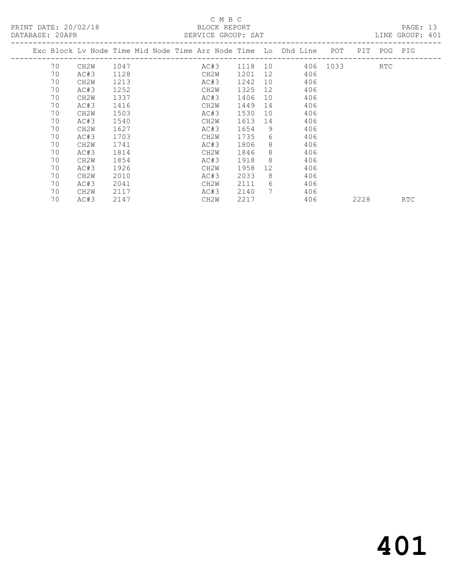### C M B C<br>BLOCK REPORT

| DATABASE: 20APR |    |                   |      |  | SERVICE GROUP: SAT |      |    |                                                                    |          |      |             | LINE GROUP: 401 |  |
|-----------------|----|-------------------|------|--|--------------------|------|----|--------------------------------------------------------------------|----------|------|-------------|-----------------|--|
|                 |    |                   |      |  |                    |      |    | Exc Block Lv Node Time Mid Node Time Arr Node Time Lo Dhd Line POT |          |      | PIT POG PIG |                 |  |
|                 | 70 | CH2W              | 1047 |  | AC#3               |      |    | 1118 10                                                            | 406 1033 |      | RTC         |                 |  |
|                 | 70 | AC#3              | 1128 |  | CH2W               | 1201 | 12 | 406                                                                |          |      |             |                 |  |
|                 | 70 | CH <sub>2</sub> M | 1213 |  | AC#3               | 1242 | 10 | 406                                                                |          |      |             |                 |  |
|                 | 70 | AC#3              | 1252 |  | CH2W               | 1325 | 12 | 406                                                                |          |      |             |                 |  |
|                 | 70 | CH <sub>2</sub> M | 1337 |  | AC#3               | 1406 | 10 | 406                                                                |          |      |             |                 |  |
|                 | 70 | AC#3              | 1416 |  | CH2W               | 1449 | 14 | 406                                                                |          |      |             |                 |  |
|                 | 70 | CH2W              | 1503 |  | AC#3               | 1530 | 10 | 406                                                                |          |      |             |                 |  |
|                 | 70 | AC#3              | 1540 |  | CH2W               | 1613 | 14 | 406                                                                |          |      |             |                 |  |
|                 | 70 | CH <sub>2</sub> M | 1627 |  | AC#3               | 1654 | 9  | 406                                                                |          |      |             |                 |  |
|                 | 70 | AC#3              | 1703 |  | CH2W               | 1735 | 6  | 406                                                                |          |      |             |                 |  |
|                 | 70 | CH <sub>2</sub> M | 1741 |  | AC#3               | 1806 | 8  | 406                                                                |          |      |             |                 |  |
|                 | 70 | AC#3              | 1814 |  | CH2W               | 1846 | 8  | 406                                                                |          |      |             |                 |  |
|                 | 70 | CH <sub>2</sub> M | 1854 |  | AC#3               | 1918 | -8 | 406                                                                |          |      |             |                 |  |
|                 | 70 | AC#3              | 1926 |  | CH2W               | 1958 | 12 | 406                                                                |          |      |             |                 |  |
|                 | 70 | CH <sub>2</sub> M | 2010 |  | AC#3               | 2033 | 8  | 406                                                                |          |      |             |                 |  |
|                 | 70 | AC#3              | 2041 |  | CH2W               | 2111 | 6  | 406                                                                |          |      |             |                 |  |
|                 | 70 | CH <sub>2</sub> M | 2117 |  | AC#3               | 2140 | 7  | 406                                                                |          |      |             |                 |  |
|                 | 70 | AC#3              | 2147 |  | CH <sub>2</sub> W  | 2217 |    | 406                                                                |          | 2228 |             | <b>RTC</b>      |  |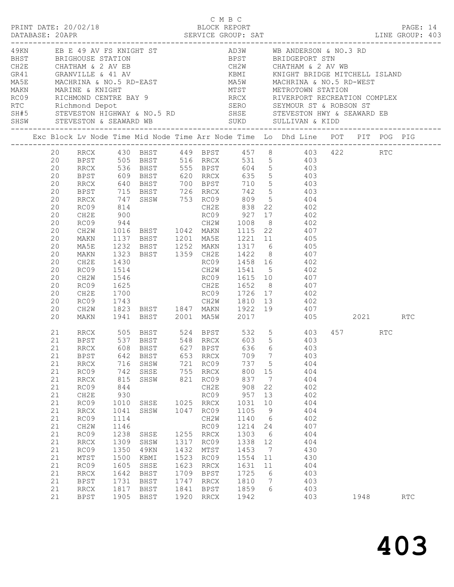|          |                    |              |                        | C M B C      |              |                 |                      |                                                                                                                          |      |     |  |
|----------|--------------------|--------------|------------------------|--------------|--------------|-----------------|----------------------|--------------------------------------------------------------------------------------------------------------------------|------|-----|--|
|          |                    |              |                        |              |              |                 |                      |                                                                                                                          |      |     |  |
|          |                    |              |                        |              |              |                 |                      |                                                                                                                          |      |     |  |
|          |                    |              |                        |              |              |                 |                      |                                                                                                                          |      |     |  |
|          |                    |              |                        |              |              |                 |                      |                                                                                                                          |      |     |  |
|          |                    |              |                        |              |              |                 |                      |                                                                                                                          |      |     |  |
|          |                    |              |                        |              |              |                 |                      |                                                                                                                          |      |     |  |
|          |                    |              |                        |              |              |                 |                      |                                                                                                                          |      |     |  |
|          |                    |              |                        |              |              |                 |                      |                                                                                                                          |      |     |  |
|          |                    |              |                        |              |              |                 |                      | Exc Block Lv Node Time Mid Node Time Arr Node Time Lo Dhd Line POT PIT POG PIG                                           |      |     |  |
|          |                    |              |                        |              |              |                 |                      | 20 RRCX 430 BHST 449 BPST 457 8 403 422 RTC                                                                              |      |     |  |
|          |                    |              |                        |              |              |                 |                      |                                                                                                                          |      |     |  |
|          |                    |              |                        |              |              |                 |                      | 20 BPST 505 BHST 516 RRCX 531 5 403<br>20 RRCX 536 BHST 555 BPST 604 5 403<br>20 BPST 609 BHST 620 RRCX 635 5 403        |      |     |  |
| 20       |                    |              |                        |              |              |                 |                      | RRCX 640 BHST 700 BPST 710 5 403                                                                                         |      |     |  |
| 20       |                    |              |                        |              |              |                 |                      | REST 715 BHST 726 RRCX 742 5<br>RRCX 747 SHSW 753 RC09 809 5 404<br>RC09 814 CH2E 838 22 402<br>CH2E 900 RC09 927 17 402 |      |     |  |
| 20       |                    |              |                        |              |              |                 |                      |                                                                                                                          |      |     |  |
| 20<br>20 |                    |              |                        |              |              |                 |                      |                                                                                                                          |      |     |  |
| 20       | RC09               |              |                        |              |              |                 |                      | 944 CH2W 1008 8 402                                                                                                      |      |     |  |
| 20       | CH2W               |              |                        |              |              |                 |                      |                                                                                                                          |      |     |  |
| 20       | MAKN               |              |                        |              |              |                 |                      | 1016 BHST 1042 MAKN 1115 22 407<br>1137 BHST 1201 MA5E 1221 11 405<br>1232 BHST 1252 MAKN 1317 6 405                     |      |     |  |
| 20       | MA5E               |              |                        |              |              |                 |                      |                                                                                                                          |      |     |  |
| 20       | MAKN               |              |                        |              |              |                 |                      | 1323 BHST 1359 CH2E 1422 8 407                                                                                           |      |     |  |
| 20<br>20 | CH2E<br>RC09       | 1430         |                        |              |              |                 |                      | RC09 1458 16 402                                                                                                         |      |     |  |
| 20       | CH2W               | 1514<br>1546 |                        |              |              |                 |                      | CH2W 1541 5 402<br>RC09 1615 10 407                                                                                      |      |     |  |
| 20       | RC09               |              |                        |              |              |                 |                      | 1625 CH2E 1652 8 407                                                                                                     |      |     |  |
| 20       | CH2E               | 1700         |                        |              |              |                 |                      |                                                                                                                          |      |     |  |
| 20       | RC09               |              |                        |              |              |                 |                      |                                                                                                                          |      |     |  |
| 20       | CH2W               |              |                        |              |              |                 |                      |                                                                                                                          |      |     |  |
| 20       |                    |              |                        |              |              |                 |                      | MAKN 1941 BHST 2001 MA5W 2017 405 2021 RTC                                                                               |      |     |  |
| 21       |                    |              |                        |              |              |                 |                      | RRCX 505 BHST 524 BPST 532 5 403 457 RTC<br>BPST 537 BHST 548 RRCX 603 5 403                                             |      |     |  |
| 21       |                    |              |                        |              |              |                 |                      |                                                                                                                          |      |     |  |
| 21       | BPST               | 642          | BHST                   |              | 653 RRCX     | 709             | $\overline{7}$       | 21 RRCX 608 BHST 627 BPST 636 6 403<br>403                                                                               |      |     |  |
| 21       | RRCX               | 716          | SHSW                   |              | 721 RC09     | 737 5           |                      | 404                                                                                                                      |      |     |  |
| 21       | RC09               | 742          | SHSE                   |              | 755 RRCX     | 800             | 15                   | 404                                                                                                                      |      |     |  |
| 21       | RRCX               | 815          | SHSW                   | 821          | RC09         | 837             | $\overline{7}$       | 404                                                                                                                      |      |     |  |
| 21       | RC09               | 844          |                        |              | CH2E         | 908             | 22                   | 402                                                                                                                      |      |     |  |
| 21       | CH2E               | 930          |                        |              | RC09         | 957             | 13                   | 402                                                                                                                      |      |     |  |
| 21<br>21 | RC09<br>RRCX       | 1010<br>1041 | SHSE 1025 RRCX<br>SHSW | 1047         | RC09         | 1031<br>1105    | 10<br>$\overline{9}$ | 404<br>404                                                                                                               |      |     |  |
| 21       | RC09               | 1114         |                        |              | CH2W         | 1140            | $6\overline{6}$      | 402                                                                                                                      |      |     |  |
| 21       | CH2W               | 1146         |                        |              | RC09         | 1214            | 24                   | 407                                                                                                                      |      |     |  |
| 21       | RC09               | 1238         | SHSE                   |              | 1255 RRCX    | 1303            | 6                    | 404                                                                                                                      |      |     |  |
| 21       | RRCX               | 1309         | SHSW                   | 1317         | RC09         | 1338 12         |                      | 404                                                                                                                      |      |     |  |
| 21       | RC09               | 1350         | 49KN                   | 1432         | MTST         | 1453            | $\overline{7}$       | 430                                                                                                                      |      |     |  |
| 21       | $\mathtt{MTST}$    | 1500         | KBMI                   | 1523         | RC09         | 1554 11         |                      | 430                                                                                                                      |      |     |  |
| 21<br>21 | RC09<br>$\rm RRCX$ | 1605<br>1642 | SHSE<br>BHST           | 1623<br>1709 | RRCX<br>BPST | 1631 11<br>1725 | 6                    | 404<br>403                                                                                                               |      |     |  |
| 21       | BPST               | 1731         | BHST                   | 1747         | RRCX         | 1810            | $\overline{7}$       | 403                                                                                                                      |      |     |  |
| 21       | RRCX               | 1817         | BHST                   | 1841         | BPST         | 1859            | 6                    | 403                                                                                                                      |      |     |  |
| 21       | BPST               | 1905         | BHST                   | 1920 RRCX    |              | 1942            |                      | 403                                                                                                                      | 1948 | RTC |  |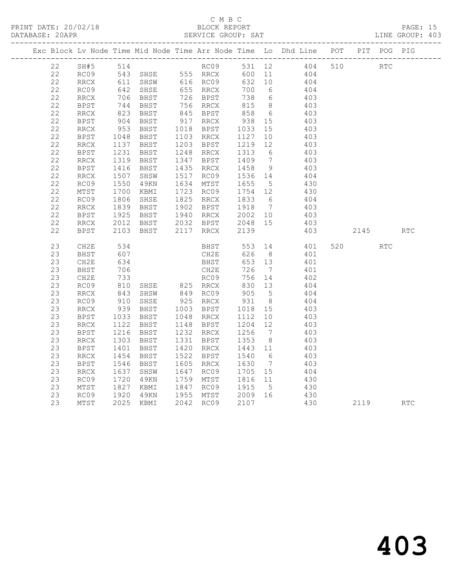|  | 22 |             |                            | SH#5 514 RC09 531 12 404 510 RTC                             |                                  |      |             |                                                                  |                 |                |            |          |     |            |
|--|----|-------------|----------------------------|--------------------------------------------------------------|----------------------------------|------|-------------|------------------------------------------------------------------|-----------------|----------------|------------|----------|-----|------------|
|  | 22 | RC09        |                            |                                                              |                                  |      |             |                                                                  |                 |                |            |          |     |            |
|  | 22 | RRCX        |                            | 543 SHSE 555 RRCX 600 11 404<br>611 SHSW 616 RC09 632 10 404 |                                  |      |             |                                                                  |                 |                |            |          |     |            |
|  | 22 | RC09        |                            | 642 SHSE<br>706 BHST                                         | 655    RRCX<br>726    BPST       |      |             | 700 6                                                            |                 | 404            |            |          |     |            |
|  | 22 | RRCX        |                            |                                                              |                                  |      |             | 738 6                                                            |                 | 403            |            |          |     |            |
|  | 22 | BPST        |                            | $744$ BHST<br>823 BHST<br>904 BHST                           | 756 RRCX                         |      |             | $815$ 8                                                          |                 | 403            |            |          |     |            |
|  | 22 | RRCX        |                            |                                                              | 845 BPST<br>845 Broi<br>917 RRCX |      |             | 858 6<br>938 15                                                  | 6               | 403            |            |          |     |            |
|  | 22 | BPST        |                            |                                                              |                                  |      |             |                                                                  |                 | 403            |            |          |     |            |
|  | 22 | RRCX        | 953<br>1048                | BHST                                                         | 1018 BPST                        |      |             | 1033<br>1127                                                     | 15              | 403            |            |          |     |            |
|  | 22 | BPST        |                            | BHST                                                         | 1103 RRCX                        |      |             |                                                                  | 10              | 403            |            |          |     |            |
|  | 22 | RRCX        | 1137<br>1231               | BHST                                                         | 1203 BPST                        |      |             | 1219 12                                                          |                 | 403            |            |          |     |            |
|  | 22 | BPST        |                            | BHST                                                         | 1248 RRCX                        |      |             | 1313 6                                                           |                 | 403            |            |          |     |            |
|  | 22 | RRCX        | ----<br>1319               | BHST                                                         | 1347 BPST                        |      |             | 1409 7                                                           |                 | 403            |            |          |     |            |
|  | 22 | <b>BPST</b> | 1416<br>1507               | <b>BHST</b>                                                  |                                  |      |             | 1435 RRCX 1458 9<br>1517 RC09 1536 14                            |                 | $403$<br>$404$ |            |          |     |            |
|  | 22 | RRCX        |                            | SHSW                                                         |                                  |      |             |                                                                  |                 |                |            |          |     |            |
|  | 22 | RC09        | 1550<br>1700               | 49KN                                                         | 1634 MTST                        |      |             | 1655 5<br>1754 12                                                |                 | 430            |            |          |     |            |
|  | 22 | MTST        |                            | KBMI                                                         | 1723 RC09                        |      |             |                                                                  |                 | 430            |            |          |     |            |
|  | 22 | RC09        | $1806$<br>$1839$<br>$1925$ | SHSE                                                         | 1825 RRCX                        |      |             | 1833 6                                                           |                 | 404            |            |          |     |            |
|  | 22 | RRCX        |                            | BHST<br>BHST 1940 RRCX                                       | 1902 BPST                        |      |             | 1918 7<br>2002 10                                                |                 | 403<br>403     |            |          |     |            |
|  | 22 | <b>BPST</b> |                            |                                                              |                                  |      |             |                                                                  |                 |                |            |          |     |            |
|  | 22 | RRCX        | 2012<br>2103               |                                                              |                                  |      |             | 2048 15                                                          |                 | 403            |            |          |     |            |
|  | 22 | BPST        | 2103                       | BHST                                                         |                                  |      |             | 2139                                                             |                 | 403            |            | 2145     |     | <b>RTC</b> |
|  | 23 | CH2E        | 534                        |                                                              |                                  |      | <b>BHST</b> |                                                                  |                 | 553 14 401     |            | 520      | RTC |            |
|  | 23 | BHST        | 607                        |                                                              |                                  |      | CH2E        | 626                                                              | 8 <sup>1</sup>  | 401            |            |          |     |            |
|  | 23 | CH2E        | 634                        |                                                              |                                  | BHST |             | 653 13                                                           |                 | 401<br>401     |            |          |     |            |
|  | 23 | BHST        | 706                        |                                                              |                                  | CH2E |             | 726                                                              | $7\overline{ }$ |                |            |          |     |            |
|  | 23 | CH2E        | 733<br>810                 |                                                              |                                  |      |             | 756                                                              | 14              | 402            |            |          |     |            |
|  | 23 | RC09        |                            |                                                              |                                  |      |             | 830 13                                                           |                 | 404            |            |          |     |            |
|  | 23 | RRCX        | 843                        | SHSW 849 RC09                                                |                                  |      |             | $\begin{array}{c}\n 0.5 \\  -3.6 \\  \hline\n 0.5\n \end{array}$ |                 | 404            |            |          |     |            |
|  | 23 | RC09        | 910<br>939                 | SHSE                                                         | 925 RRCX                         |      |             | $\begin{array}{cc} 931 & 8 \\ 1018 & 15 \end{array}$             |                 | 404            |            |          |     |            |
|  | 23 | RRCX        |                            | BHST                                                         | 1003 BPST                        |      |             |                                                                  |                 | 403            |            |          |     |            |
|  | 23 | BPST        | 1033<br>1122               | BHST 1048 RRCX                                               |                                  |      |             | $1112$<br>1204 12                                                |                 | 403            |            |          |     |            |
|  | 23 | RRCX        |                            | BHST                                                         | 1148 BPST                        |      |             |                                                                  |                 | 403            |            |          |     |            |
|  | 23 | <b>BPST</b> | 1216<br>1303               | BHST                                                         | 1232 RRCX                        |      |             | 1256 7                                                           |                 | 403            |            |          |     |            |
|  | 23 | RRCX        | 1401                       | BHST                                                         | 1331 BPST                        |      |             | 1353                                                             | 8 <sup>8</sup>  | 403            |            |          |     |            |
|  | 23 | BPST        |                            | BHST                                                         | 1420 RRCX                        |      |             | 1443 11                                                          |                 | 403            |            |          |     |            |
|  | 23 | RRCX        | 1454<br>1546               | BHST                                                         | 1522 BPST                        |      |             | $\begin{matrix} 1540 & 6 \\ 1630 & 7 \end{matrix}$               |                 | 403<br>403     |            |          |     |            |
|  | 23 | BPST        |                            | BHST                                                         | 1605 RRCX                        |      |             | 1630 7                                                           |                 |                |            |          |     |            |
|  | 23 | RRCX        | 1637<br>1720               | SHSW                                                         | 1647 RC09                        |      |             | 1705 15                                                          |                 | 404            |            |          |     |            |
|  | 23 | RC09        |                            | 49KN                                                         | 1759 MTST                        |      |             | 1816 11                                                          |                 | 430<br>430     |            |          |     |            |
|  | 23 | MTST        |                            | 1827 KBMI<br>1920 49KN<br>2025 KBMI                          |                                  |      |             | 1847 RC09 1915 5                                                 |                 |                |            |          |     |            |
|  | 23 | RC09        |                            |                                                              |                                  |      |             | 1955 MTST    2009 16<br>2042 RC09    2107                        |                 |                | 430<br>430 | 2119 RTC |     |            |
|  | 23 | MTST        |                            |                                                              | 2042 RC09                        |      |             | 2107                                                             |                 |                |            |          |     |            |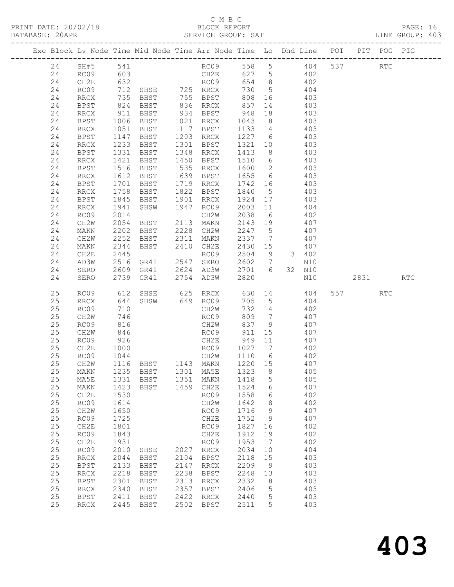|  |          |                              |              | Exc Block Lv Node Time Mid Node Time Arr Node Time Lo Dhd Line POT |              |                        |                   |                 |     |                   |     |         | PIT POG PIG          |            |
|--|----------|------------------------------|--------------|--------------------------------------------------------------------|--------------|------------------------|-------------------|-----------------|-----|-------------------|-----|---------|----------------------|------------|
|  |          |                              |              |                                                                    |              |                        |                   |                 |     |                   |     |         |                      |            |
|  | 24       | SH#5                         | 541          |                                                                    |              | RC09                   |                   |                 |     | 558 5 404         | 537 |         | $\operatorname{RTC}$ |            |
|  | 24       | RC09                         | 603          |                                                                    |              | CH2E 627 5 402         | 654 18            |                 |     |                   |     |         |                      |            |
|  | 24<br>24 | CH2E<br>RC09                 | 632<br>712   |                                                                    |              | RC09<br>RRCX           | 730               | 5 <sub>5</sub>  |     | $\frac{402}{404}$ |     |         |                      |            |
|  | 24       | RRCX                         | 735          |                                                                    |              | BHST 755 BPST          | 808 16            |                 |     | 403               |     |         |                      |            |
|  | 24       | <b>BPST</b>                  | 824          | BHST                                                               |              | 836 RRCX               | 857               | 14              |     | 403               |     |         |                      |            |
|  | 24       | RRCX                         | 911          | BHST                                                               |              | 934 BPST               | 948               | 18              |     | 403               |     |         |                      |            |
|  | 24       | <b>BPST</b>                  | 1006         | BHST                                                               |              | 1021 RRCX              | 1043              | 8 <sup>8</sup>  |     | 403               |     |         |                      |            |
|  | 24       | RRCX                         | 1051         | BHST                                                               |              | 1117 BPST              | 1133 14           |                 |     | 403               |     |         |                      |            |
|  | 24       | BPST                         | 1147         | BHST                                                               |              | 1203 RRCX              | 1227 6            |                 |     | 403               |     |         |                      |            |
|  | 24       | RRCX                         | 1233         | BHST                                                               |              | 1301 BPST              | 1321 10           |                 |     | 403               |     |         |                      |            |
|  | 24       | <b>BPST</b>                  | 1331         | BHST                                                               |              | 1348 RRCX              | 1413 8            |                 |     | 403               |     |         |                      |            |
|  | 24       | RRCX                         | 1421         | BHST                                                               | 1450         | BPST                   | 1510 6            |                 | 403 |                   |     |         |                      |            |
|  | 24       | BPST                         | 1516         | BHST                                                               | 1535         | RRCX                   | 1600 12           |                 |     | 403               |     |         |                      |            |
|  | 24       | RRCX                         | 1612         | BHST                                                               |              | 1639 BPST              | 1655              | $6\overline{6}$ |     | 403               |     |         |                      |            |
|  | 24       | <b>BPST</b>                  | 1701         | BHST                                                               |              | 1719 RRCX              | 1742 16           |                 |     | 403               |     |         |                      |            |
|  | 24       | RRCX                         | 1758         | BHST                                                               |              | 1822 BPST              | 1840              | $5\overline{)}$ | 403 |                   |     |         |                      |            |
|  | 24       | BPST                         | 1845         | BHST<br>SHSW                                                       |              | 1901 RRCX<br>1947 RC09 | 1924              | 17              |     | 403<br>404        |     |         |                      |            |
|  | 24<br>24 | RRCX<br>RC09                 | 1941<br>2014 |                                                                    |              | CH2W                   | 2003<br>2038      | 11<br>16        |     | 402               |     |         |                      |            |
|  | 24       | CH2W                         | 2054         | BHST                                                               |              | 2113 MAKN              | 2143 19           |                 |     | 407               |     |         |                      |            |
|  | 24       | MAKN                         | 2202         | BHST                                                               | 2228         | CH2W                   | 2247              | $5^{\circ}$     |     | 407               |     |         |                      |            |
|  | 24       | CH2W                         | 2252         | BHST                                                               | 2311         | MAKN                   | 2337              | $\overline{7}$  |     | 407               |     |         |                      |            |
|  | 24       | MAKN                         | 2344         | BHST                                                               |              | 2410 CH2E              | 2430 15           |                 |     | 407               |     |         |                      |            |
|  | 24       | CH2E                         | 2445         |                                                                    |              | RC09                   | 2504              | 9               |     | 3 402             |     |         |                      |            |
|  | 24       | AD3W                         | 2516         | GR41                                                               |              | 2547 SERO              | 2602 7            |                 |     | N10               |     |         |                      |            |
|  | 24       | SERO                         | 2609         | GR41                                                               |              | 2624 AD3W              | 2701 6            |                 |     | 32 N10            |     |         |                      |            |
|  | 24       | SERO                         | 2739         | GR41                                                               |              | 2754 AD3W              | 2820              |                 |     | N10               |     | 2831    |                      | <b>RTC</b> |
|  | 25       | RC09                         | 612          | SHSE 625 RRCX                                                      |              |                        |                   |                 |     | 630 14 404        |     | 557 000 | RTC                  |            |
|  | 25       | RRCX                         | 644          | SHSW                                                               |              | 649 RC09               | 705               | $5^{\circ}$     |     | 404               |     |         |                      |            |
|  | 25       | RC09                         | 710          |                                                                    |              | CH2W                   | 732 14            |                 |     | 402               |     |         |                      |            |
|  | 25       | CH2W                         | 746          |                                                                    |              | RC09                   | 809               | $7\overline{ }$ |     | 407               |     |         |                      |            |
|  | 25       | RC09                         | 816          |                                                                    |              | CH2W                   | 837               | 9               |     | 407               |     |         |                      |            |
|  | 25       | CH2W                         | 846          |                                                                    |              | RC09                   | 911               | 15              | 407 |                   |     |         |                      |            |
|  | 25<br>25 | RC09                         | 926          |                                                                    |              | CH2E                   | 949 11<br>1027 17 | 11              |     | 407               |     |         |                      |            |
|  | 25       | CH2E<br>RC09                 | 1000<br>1044 | CH2W                                                               |              | RC09                   | 1110 6            |                 |     | 402<br>402        |     |         |                      |            |
|  | 25       | CH2W                         |              | 1116 BHST 1143 MAKN                                                |              |                        | 1220 15           |                 |     | 407               |     |         |                      |            |
|  |          |                              |              | 25 MAKN 1235 BHST 1301 MA5E 1323 8                                 |              |                        |                   |                 |     | 405               |     |         |                      |            |
|  | 25       | MA5E                         | 1331         | BHST                                                               | 1351         | MAKN                   | 1418              | 5               |     | 405               |     |         |                      |            |
|  | 25       | MAKN                         | 1423         | BHST                                                               | 1459         | CH2E                   | 1524              | 6               |     | 407               |     |         |                      |            |
|  | 25       | CH2E                         | 1530         |                                                                    |              | RC09                   | 1558              | 16              |     | 402               |     |         |                      |            |
|  | 25       | RC09                         | 1614         |                                                                    |              | CH2W                   | 1642              | 8               |     | 402               |     |         |                      |            |
|  | 25       | CH2W                         | 1650         |                                                                    |              | RC09                   | 1716              | 9               |     | 407               |     |         |                      |            |
|  | 25       | RC09                         | 1725         |                                                                    |              | CH2E                   | 1752              | 9               |     | 407               |     |         |                      |            |
|  | 25       | CH2E                         | 1801         |                                                                    |              | RC09                   | 1827              | 16              |     | 402               |     |         |                      |            |
|  | 25       | RC09                         | 1843         |                                                                    |              | CH2E                   | 1912              | 19              |     | 402               |     |         |                      |            |
|  | 25       | CH2E                         | 1931         |                                                                    |              | RC09                   | 1953              | 17              |     | 402               |     |         |                      |            |
|  | 25<br>25 | RC09                         | 2010<br>2044 | SHSE                                                               | 2027<br>2104 | RRCX<br><b>BPST</b>    | 2034<br>2118      | 10              |     | 404<br>403        |     |         |                      |            |
|  | 25       | <b>RRCX</b><br><b>BPST</b>   | 2133         | BHST<br>BHST                                                       | 2147         | RRCX                   | 2209              | 15<br>9         |     | 403               |     |         |                      |            |
|  | 25       | $\mathop{\rm RRCX}\nolimits$ | 2218         | <b>BHST</b>                                                        | 2238         | <b>BPST</b>            | 2248              | 13              |     | 403               |     |         |                      |            |
|  | 25       | <b>BPST</b>                  | 2301         | BHST                                                               | 2313         | <b>RRCX</b>            | 2332              | 8               |     | 403               |     |         |                      |            |
|  | 25       | <b>RRCX</b>                  | 2340         | BHST                                                               | 2357         | <b>BPST</b>            | 2406              | 5               |     | 403               |     |         |                      |            |
|  | 25       | <b>BPST</b>                  | 2411         | BHST                                                               | 2422         | RRCX                   | 2440              | 5               |     | 403               |     |         |                      |            |
|  | 25       | <b>RRCX</b>                  | 2445         | BHST                                                               | 2502         | <b>BPST</b>            | 2511              | 5               |     | 403               |     |         |                      |            |
|  |          |                              |              |                                                                    |              |                        |                   |                 |     |                   |     |         |                      |            |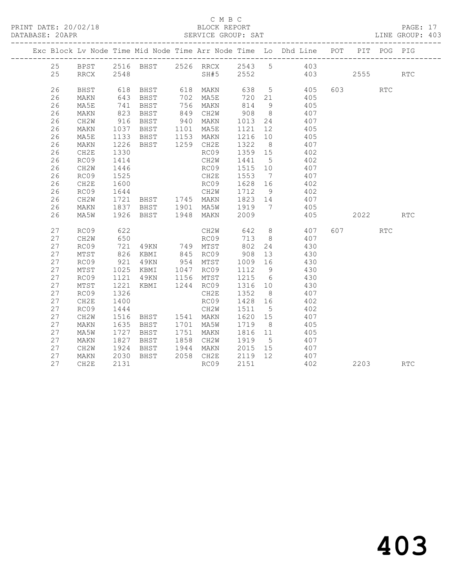#### C M B C<br>BLOCK REPORT

| DATABASE: 20APR |           |              |                                                                  |                        |         |                | SERVICE GROUP: SAT                                                                          |           |            | LINE GROUP: 403 |
|-----------------|-----------|--------------|------------------------------------------------------------------|------------------------|---------|----------------|---------------------------------------------------------------------------------------------|-----------|------------|-----------------|
|                 |           |              |                                                                  |                        |         |                | Exc Block Lv Node Time Mid Node Time Arr Node Time Lo Dhd Line POT PIT POG PIG              |           |            |                 |
|                 |           |              |                                                                  |                        |         |                | 25 BPST 2516 BHST 2526 RRCX 2543 5 403                                                      |           |            |                 |
| 25              | RRCX 2548 |              |                                                                  |                        |         |                | SH#5 2552 403 2555 RTC                                                                      |           |            |                 |
| 26              | BHST      |              |                                                                  |                        |         |                | 618 BHST 618 MAKN 638 5 405                                                                 | 603 — 100 | <b>RTC</b> |                 |
| 26              | MAKN      |              | 643 BHST                                                         | 702 MA5E               |         |                | 720 21 405                                                                                  |           |            |                 |
| 26              | MA5E      |              |                                                                  |                        |         |                |                                                                                             |           |            |                 |
| 26              | MAKN      |              |                                                                  |                        |         |                | 741 BHST 756 MAKN 814 y 400<br>823 BHST 849 CH2W 908 8 407<br>916 BHST 940 MAKN 1013 24 407 |           |            |                 |
| 26              | CH2W      |              |                                                                  |                        |         |                |                                                                                             |           |            |                 |
| 26              | MAKN      | 1037         | BHST 1101 MA5E                                                   |                        | 1121 12 |                | 405                                                                                         |           |            |                 |
| 26              | MA5E      | 1133         |                                                                  | BHST 1153 MAKN         | 1216 10 |                | 405                                                                                         |           |            |                 |
| 26              | MAKN      | 1226         | BHST 1259 CH2E                                                   |                        | 1322    | 8 <sup>8</sup> | 407                                                                                         |           |            |                 |
| 26              | CH2E      | 1330         |                                                                  | RC09                   | 1359 15 |                | 407<br>402                                                                                  |           |            |                 |
| 26              | RC09      | 1414         |                                                                  | CH2W                   | 1441 5  |                | 402                                                                                         |           |            |                 |
| 26              | CH2W      | 1446         |                                                                  | RC09                   | 1515 10 |                | 407                                                                                         |           |            |                 |
| 26              | RC09      | 1525         |                                                                  |                        |         |                |                                                                                             |           |            |                 |
| 26              | CH2E      | 1600         |                                                                  |                        |         |                | CH2E 1553 7 407<br>RC09 1628 16 402                                                         |           |            |                 |
| 26              | RC09      | 1644         |                                                                  |                        |         |                | CH2W 1712 9 402                                                                             |           |            |                 |
| 26              | CH2W      | 1721         |                                                                  |                        |         |                | BHST 1745 MAKN 1823 14 407                                                                  |           |            |                 |
| 26              | MAKN      |              | 1837 BHST   1901 MA5W   1919   7<br>1926 BHST   1948 MAKN   2009 |                        |         |                | 405                                                                                         |           |            |                 |
| 26              | MA5W      |              |                                                                  |                        |         |                | 405                                                                                         | 2022 2023 |            | <b>RTC</b>      |
| 27              | RC09      | 622          |                                                                  |                        |         |                | CH2W 642 8 407                                                                              | 607 — 100 | <b>RTC</b> |                 |
| 27              | CH2W      |              |                                                                  |                        |         |                |                                                                                             |           |            |                 |
| 27              | RC09      | 650<br>721   |                                                                  |                        |         |                | RCO9 713 8 407<br>49KN 749 MTST 802 24 430                                                  |           |            |                 |
| 27              | MTST      |              | 826 KBMI 845 RC09 908 13                                         |                        |         |                | 430                                                                                         |           |            |                 |
| 27              | RC09      | 921          | 49KN 954 MTST                                                    |                        | 1009 16 |                | 430                                                                                         |           |            |                 |
| 27              | MTST      | 1025<br>1121 |                                                                  |                        | 1112 9  |                | 430                                                                                         |           |            |                 |
| 27              | RC09      | 1121         | KBMI 1047 RC09<br>49KN 1156 MTST                                 |                        |         |                | $1112$ 9 430<br>1215 6 430                                                                  |           |            |                 |
| 27              | MTST      | 1221         |                                                                  | KBMI 1244 RC09 1316 10 |         |                | 430                                                                                         |           |            |                 |
| 27              | RC09      | 1326         |                                                                  | CH2E                   | 1352 8  |                | 407                                                                                         |           |            |                 |
| 27              | CH2E      | 1400         |                                                                  | RC09                   | 1428 16 |                | 402                                                                                         |           |            |                 |
| 27              | RC09      | 1444         |                                                                  | CH2W                   | 1511 5  |                | 402                                                                                         |           |            |                 |
| 27              | CH2W      |              | 1516 BHST 1541 MAKN                                              |                        | 1620 15 |                | 407                                                                                         |           |            |                 |
| 27              | MAKN      | 1635         | BHST 1701 MA5W                                                   |                        | 1719    | 8 <sup>8</sup> | 405                                                                                         |           |            |                 |
| 27              | MA5W      | 1727<br>1827 | BHST                                                             | 1751 MAKN              |         |                | 1816 11 405<br>1919 5 407                                                                   |           |            |                 |
| 27              | MAKN      |              | BHST                                                             | 1858 CH2W 1919         |         |                |                                                                                             |           |            |                 |
| 27              | CH2W      | 1924         |                                                                  |                        |         |                | BHST 1944 MAKN 2015 15 407                                                                  |           |            |                 |
| 27              | MAKN      | 2030         | BHST                                                             | 2058 CH2E              |         |                | 2119 12 407                                                                                 |           |            |                 |
| 27              | CH2E      | 2131         |                                                                  | RC09                   | 2151    |                | 402                                                                                         | 2203      |            | <b>RTC</b>      |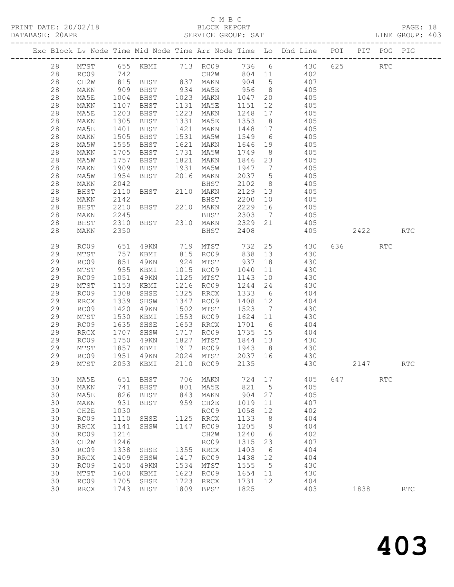### C M B C<br>BLOCK REPORT

PRINT DATE: 20/02/18 BLOCK REPORT PAGE: 18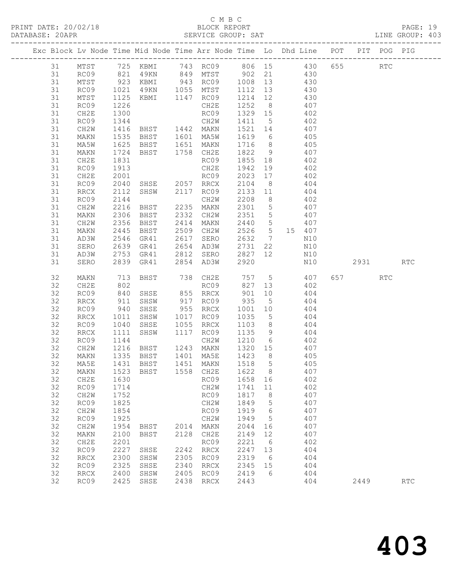### C M B C<br>BLOCK REPORT

PAGE: 19<br>LINE GROUP: 403

|    |                              |                 | Exc Block Lv Node Time Mid Node Time Arr Node Time Lo Dhd Line POT PIT POG PIG |      |                                                 |                   |                 |          |     |       |            |                             |
|----|------------------------------|-----------------|--------------------------------------------------------------------------------|------|-------------------------------------------------|-------------------|-----------------|----------|-----|-------|------------|-----------------------------|
| 31 | MTST                         |                 | 725 KBMI 743 RC09 806 15 430 655                                               |      |                                                 |                   |                 |          |     |       | <b>RTC</b> |                             |
| 31 | RC09                         |                 | 821 49KN 849 MTST 902 21 430                                                   |      |                                                 |                   |                 |          |     |       |            |                             |
| 31 | MTST                         |                 |                                                                                |      |                                                 |                   |                 |          | 430 |       |            |                             |
| 31 | RC09                         | $923$<br>$1021$ |                                                                                |      | KBMI 943 RC09 1008 13<br>49KN 1055 MTST 1112 13 |                   |                 |          | 430 |       |            |                             |
| 31 | MTST                         | 1125            | KBMI 1147 RC09                                                                 |      |                                                 | $1214$ $12$ $430$ |                 |          |     |       |            |                             |
| 31 | RC09                         | 1226            |                                                                                |      | CH2E                                            | 1252              |                 | 8 407    |     |       |            |                             |
| 31 | CH2E                         | 1300            |                                                                                |      | RC09                                            | 1329 15           |                 | 402      |     |       |            |                             |
| 31 | RC09                         | 1344            |                                                                                |      | CH2W                                            | 1411              | $5\overline{)}$ |          | 402 |       |            |                             |
| 31 | CH2W                         | 1416            | BHST 1442 MAKN                                                                 |      |                                                 | 1521 14           |                 | 407      |     |       |            |                             |
| 31 | MAKN                         | 1535            | BHST 1601 MA5W                                                                 |      |                                                 | 1619 6 405        |                 |          |     |       |            |                             |
| 31 | MA5W                         | 1625            |                                                                                |      |                                                 | 1716              | 8 <sup>8</sup>  |          | 405 |       |            |                             |
| 31 | MAKN                         | 1724            | BHST 1651 MAKN<br>BHST 1758 CH2E                                               |      |                                                 | 1822 9            |                 |          | 407 |       |            |                             |
| 31 | CH2E                         | 1831            |                                                                                |      | RC09                                            | 1855 18           |                 | 402      |     |       |            |                             |
| 31 | RC09                         | 1913            |                                                                                |      | CH2E                                            | 1942              | 19              | 402      |     |       |            |                             |
| 31 | CH2E                         | 2001            |                                                                                |      |                                                 | 2023              | 17              | 402      |     |       |            |                             |
| 31 | RC09                         | 2040            |                                                                                |      |                                                 | 2104              | 8 <sup>8</sup>  |          | 404 |       |            |                             |
| 31 | RRCX                         | 2112            | RC09<br>SHSE 2057 RRCX<br>SHSW 2117 RC09                                       |      |                                                 | 2133              | 11              |          | 404 |       |            |                             |
| 31 | RC09                         | 2144            |                                                                                |      | CH2W                                            | 2208              | 8 <sup>8</sup>  | 402      |     |       |            |                             |
| 31 | CH2W                         | 2216            | BHST                                                                           |      | 2235 MAKN                                       | 2301              | $5\overline{)}$ |          | 407 |       |            |                             |
| 31 | MAKN                         | 2306            | BHST                                                                           |      | 2332 CH2W                                       | 2351              | $5\overline{)}$ |          | 407 |       |            |                             |
| 31 | CH2W                         | 2356            | BHST                                                                           | 2414 | MAKN                                            | 2440 5            |                 |          | 407 |       |            |                             |
| 31 | MAKN                         | 2445            | BHST                                                                           |      | 2509 CH2W                                       | 2526              |                 | 5 15 407 |     |       |            |                             |
| 31 | AD3W                         | 2546            | GR41                                                                           | 2617 | SERO                                            | 2632              | $7\overline{ }$ |          | N10 |       |            |                             |
| 31 | SERO                         | 2639            | GR41                                                                           |      | 2654 AD3W                                       | 2731              | 22              |          | N10 |       |            |                             |
| 31 | AD3W                         | 2753            | GR41                                                                           |      | 2812 SERO                                       | 2827              | 12              |          | N10 |       |            |                             |
| 31 | SERO                         |                 | 2839 GR41                                                                      |      | 2854 AD3W                                       | 2920              |                 |          | N10 | 2931  |            | <b>RTC</b>                  |
| 32 | MAKN                         |                 | BHST                                                                           |      |                                                 |                   |                 |          |     | 657 8 | RTC        |                             |
| 32 | CH2E                         | 713<br>802      |                                                                                |      | 738 CH2E 757 5 407<br>RC09 827 13 402           |                   |                 |          |     |       |            |                             |
| 32 | RC09                         | 840             | SHSE                                                                           |      | 855 RRCX                                        | 901               | 10              | 404      |     |       |            |                             |
| 32 | RRCX                         | 911             | SHSW                                                                           |      | 917 RC09                                        | 935               | $5^{\circ}$     | 404      |     |       |            |                             |
| 32 | RC09                         | 940             | SHSE                                                                           |      | 955 RRCX                                        | 1001              | 10              |          | 404 |       |            |                             |
| 32 | RRCX                         | 1011            | SHSW                                                                           |      | 1017 RC09                                       | 1035              | 5 <sup>5</sup>  |          | 404 |       |            |                             |
| 32 | RC09                         | 1040            | SHSE                                                                           | 1055 | RRCX                                            | 1103              | 8 <sup>8</sup>  |          | 404 |       |            |                             |
| 32 | <b>RRCX</b>                  | 1111            | SHSW                                                                           |      | 1117 RC09                                       | 1135              | 9               | 404      |     |       |            |                             |
| 32 | RC09                         | 1144            |                                                                                |      | CH2W                                            | 1210              | $6\overline{6}$ | 402      |     |       |            |                             |
| 32 | CH2W                         | 1216            | BHST                                                                           |      | 1243 MAKN                                       | 1320 15           |                 |          | 407 |       |            |                             |
| 32 | MAKN                         | 1335            | BHST                                                                           |      | 1401 MA5E                                       | 1423 8            |                 |          | 405 |       |            |                             |
| 32 | MA5E                         |                 | 1431 BHST                                                                      |      | 1451 MAKN                                       | 1518 5            |                 | 405      |     |       |            |                             |
| 32 | MAKN                         | 1523            | BHST                                                                           | 1558 | CH2E                                            | 1622              | 8               |          | 407 |       |            |                             |
| 32 | CH2E                         | 1630            |                                                                                |      | RC09                                            | 1658              | 16              |          | 402 |       |            |                             |
| 32 | RC09                         | 1714            |                                                                                |      | CH2W                                            | 1741              | 11              |          | 402 |       |            |                             |
| 32 | CH <sub>2</sub> W            | 1752            |                                                                                |      | RC09                                            | 1817              | 8               |          | 407 |       |            |                             |
| 32 | RC09                         | 1825            |                                                                                |      | CH2W                                            | 1849              | 5               |          | 407 |       |            |                             |
| 32 | CH2W                         | 1854            |                                                                                |      | RC09                                            | 1919              | 6               |          | 407 |       |            |                             |
| 32 | RC09                         | 1925            |                                                                                |      | CH2W                                            | 1949              | 5               |          | 407 |       |            |                             |
| 32 | CH2W                         | 1954            | $_{\rm BHST}$                                                                  | 2014 | MAKN                                            | 2044              | 16              |          | 407 |       |            |                             |
| 32 | MAKN                         | 2100            | BHST                                                                           | 2128 | CH2E                                            | 2149              | 12              |          | 407 |       |            |                             |
| 32 | CH2E                         | 2201            |                                                                                |      | RC09                                            | 2221              | 6               |          | 402 |       |            |                             |
| 32 | RC09                         | 2227            | SHSE                                                                           | 2242 | RRCX                                            | 2247              | 13              |          | 404 |       |            |                             |
| 32 | <b>RRCX</b>                  | 2300            | SHSW                                                                           | 2305 | RC09                                            | 2319              | 6               |          | 404 |       |            |                             |
| 32 | RC09                         | 2325            | SHSE                                                                           | 2340 | RRCX                                            | 2345              | 15              |          | 404 |       |            |                             |
| 32 | $\mathop{\rm RRCX}\nolimits$ | 2400            | SHSW                                                                           | 2405 | RC09                                            | 2419              | 6               |          | 404 |       |            |                             |
| 32 | RC09                         | 2425            | SHSE                                                                           | 2438 | $\mathop{\mathrm{RRCX}}$                        | 2443              |                 |          | 404 | 2449  |            | $\mathop{\rm RTC}\nolimits$ |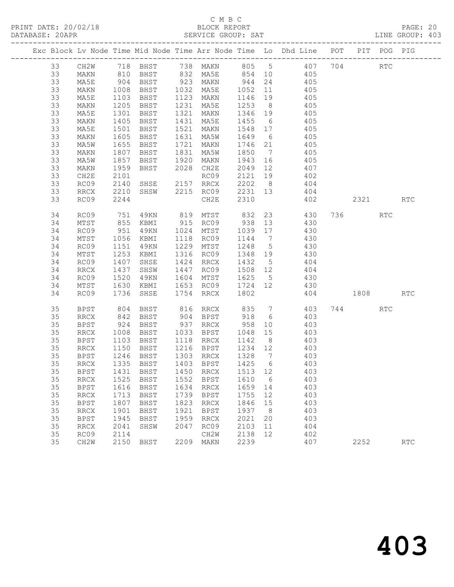PRINT DATE: 20/02/18 BLOCK REPORT BATABASE: 20APR BLOCK REPORT

### C M B C<br>BLOCK REPORT

PAGE: 20<br>LINE GROUP: 403

|    |                 |                 |                                  |      |              |               |                 | Exc Block Lv Node Time Mid Node Time Arr Node Time Lo Dhd Line POT |     |          | PIT POG PIG          |            |
|----|-----------------|-----------------|----------------------------------|------|--------------|---------------|-----------------|--------------------------------------------------------------------|-----|----------|----------------------|------------|
| 33 | CH2W            |                 |                                  |      |              |               |                 | 718 BHST 738 MAKN 805 5 407                                        | 704 |          | $\operatorname{RTC}$ |            |
| 33 | MAKN            | 810             | BHST                             |      | 832 MA5E     |               |                 | 854 10 405                                                         |     |          |                      |            |
| 33 | MA5E            | $904$<br>$1008$ | BHST                             |      | 923 MAKN     | $944$<br>1052 | 24              | 405                                                                |     |          |                      |            |
| 33 | MAKN            |                 | BHST                             |      | 1032 MA5E    | 1052          | 11              | 405                                                                |     |          |                      |            |
| 33 | MA5E            | 1103            | BHST                             | 1123 | MAKN         | 1146 19       |                 | 405                                                                |     |          |                      |            |
| 33 | MAKN            | 1205            | BHST                             | 1231 | MA5E         | 1253          | 8 <sup>1</sup>  | 405                                                                |     |          |                      |            |
| 33 | MA5E            | 1301            | BHST                             | 1321 | MAKN         | 1346 19       |                 | 405                                                                |     |          |                      |            |
| 33 | MAKN            | 1405            | BHST                             | 1431 | MA5E         | 1455          | $6\overline{6}$ | 405                                                                |     |          |                      |            |
| 33 | MA5E            | 1501            | BHST                             | 1521 | MAKN         | 1548 17       |                 | 405                                                                |     |          |                      |            |
| 33 | MAKN            | 1605            | BHST                             | 1631 | MA5W         | 1649 6        |                 | 405                                                                |     |          |                      |            |
| 33 | MA5W            | 1655            | BHST                             | 1721 | MAKN         | 1746 21       |                 | 405                                                                |     |          |                      |            |
| 33 | MAKN            | 1807            | BHST                             | 1831 | MA5W         | 1850          | $7\overline{ }$ | 405                                                                |     |          |                      |            |
| 33 | MA5W            | 1857            | BHST                             | 1920 | MAKN         | 1943          | 16              | 405                                                                |     |          |                      |            |
| 33 | MAKN            | 1959            | BHST                             | 2028 | CH2E         | 2049          | 12              | 407                                                                |     |          |                      |            |
| 33 | CH2E            | 2101            |                                  |      | RC09         | 2121          | 19              | 402                                                                |     |          |                      |            |
| 33 | RC09            | 2140            | SHSE                             |      | 2157 RRCX    | 2202 8        |                 | 404                                                                |     |          |                      |            |
| 33 | RRCX            | 2210            | SHSW                             |      | 2215 RC09    | 2231 13       |                 | 404                                                                |     |          |                      |            |
| 33 | RC09            | 2244            |                                  |      | CH2E         | 2310          |                 | 402                                                                |     | 2321     |                      | <b>RTC</b> |
| 34 | RC09            | 751             | 4 9 K N                          |      | 819 MTST 832 |               |                 | 23 430                                                             |     | 736      | RTC                  |            |
| 34 | MTST            | 855             | KBMI                             |      | 915 RC09     | 938 13        |                 | 430                                                                |     |          |                      |            |
| 34 | RC09            | 951             | 49KN                             | 1024 | MTST         | 1039 17       |                 | 430                                                                |     |          |                      |            |
| 34 | $\mathtt{MTST}$ | 1056            | KBMI                             | 1118 | RC09         | 1144          | $\overline{7}$  | 430                                                                |     |          |                      |            |
| 34 | RC09            | 1151            | 49KN                             | 1229 | MTST         | 1248          | $5\overline{)}$ | 430                                                                |     |          |                      |            |
| 34 | MTST            | 1253            | KBMI                             | 1316 | RC09         | 1348 19       |                 | 430                                                                |     |          |                      |            |
| 34 | RC09            | 1407            | SHSE                             | 1424 | RRCX         | 1432          | $5^{\circ}$     | 404                                                                |     |          |                      |            |
| 34 | <b>RRCX</b>     | 1437            | SHSW                             | 1447 | RC09         | 1508 12       |                 | 404                                                                |     |          |                      |            |
| 34 | RC09            | 1520            | 49KN                             | 1604 | MTST         | 1625 5        |                 | 430                                                                |     |          |                      |            |
| 34 | MTST            | 1630            | KBMI                             |      | 1653 RC09    | 1724 12       |                 | 430                                                                |     |          |                      |            |
| 34 | RC09            | 1736            | SHSE                             | 1754 | RRCX         | 1802          |                 |                                                                    |     | 404 1808 |                      | <b>RTC</b> |
| 35 | <b>BPST</b>     | 804             | BHST                             |      | 816 RRCX     | 835           |                 | 7 403                                                              |     | 744      | RTC                  |            |
| 35 | RRCX            | 842             | BHST                             |      | 904 BPST     | 918           | 6               | 403                                                                |     |          |                      |            |
| 35 | <b>BPST</b>     | 924             | BHST                             |      | 937 RRCX     | 958           | 10              | 403                                                                |     |          |                      |            |
| 35 | RRCX            | 1008            | BHST                             | 1033 | BPST         | 1048          | 15              | 403                                                                |     |          |                      |            |
| 35 | BPST            | 1103            | BHST                             | 1118 | RRCX         | 1142          | 8 <sup>8</sup>  | 403                                                                |     |          |                      |            |
| 35 | RRCX            | 1150            | BHST                             |      | 1216 BPST    | 1234 12       |                 | 403                                                                |     |          |                      |            |
| 35 | BPST            | 1246            | BHST                             |      | 1303 RRCX    | 1328 7        |                 | 403                                                                |     |          |                      |            |
| 35 | RRCX            | 1335            | BHST                             |      | 1403 BPST    | 1425 6        |                 | 403                                                                |     |          |                      |            |
| 35 |                 |                 | BPST 1431 BHST 1450 RRCX 1513 12 |      |              |               |                 | 403                                                                |     |          |                      |            |
| 35 | <b>RRCX</b>     | 1525            | BHST                             | 1552 | <b>BPST</b>  | 1610          | 6               | 403                                                                |     |          |                      |            |
| 35 | <b>BPST</b>     | 1616            | <b>BHST</b>                      | 1634 | <b>RRCX</b>  | 1659          | 14              | 403                                                                |     |          |                      |            |
| 35 | <b>RRCX</b>     | 1713            | BHST                             | 1739 | <b>BPST</b>  | 1755          | 12              | 403                                                                |     |          |                      |            |
| 35 | <b>BPST</b>     | 1807            | <b>BHST</b>                      | 1823 | <b>RRCX</b>  | 1846          | 15              | 403                                                                |     |          |                      |            |
| 35 | <b>RRCX</b>     | 1901            | <b>BHST</b>                      | 1921 | <b>BPST</b>  | 1937          | 8               | 403                                                                |     |          |                      |            |
| 35 | <b>BPST</b>     | 1945            | BHST                             | 1959 | <b>RRCX</b>  | 2021          | 20              | 403                                                                |     |          |                      |            |
| 35 | <b>RRCX</b>     | 2041            | SHSW                             | 2047 | RC09         | 2103          | 11              | 404                                                                |     |          |                      |            |
| 35 | RC09            | 2114            |                                  |      | CH2W         | 2138          | 12              | 402                                                                |     |          |                      |            |
| 35 | CH2W            | 2150            | <b>BHST</b>                      | 2209 | MAKN         | 2239          |                 | 407                                                                |     | 2252     |                      | <b>RTC</b> |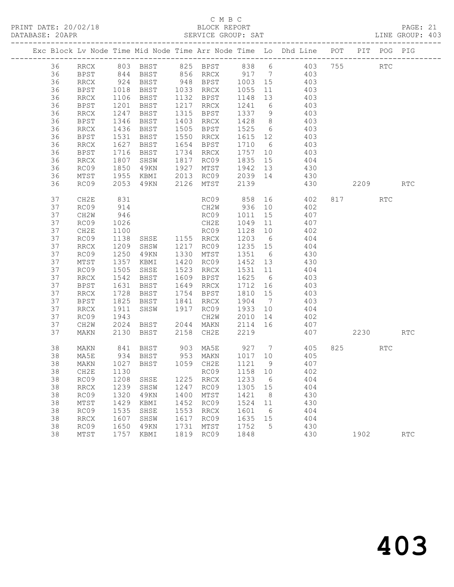PRINT DATE: 20/02/18 BLOCK REPORT BATABASE: 20APR BLOCK REPORT

### C M B C<br>BLOCK REPORT

PAGE: 21<br>LINE GROUP: 403

|    |                              |              |                        |      |                                      |         |                 | Exc Block Lv Node Time Mid Node Time Arr Node Time Lo Dhd Line POT |          | PIT POG PIG |                             |
|----|------------------------------|--------------|------------------------|------|--------------------------------------|---------|-----------------|--------------------------------------------------------------------|----------|-------------|-----------------------------|
| 36 |                              |              |                        |      |                                      |         |                 |                                                                    |          | <b>RTC</b>  |                             |
| 36 |                              |              |                        |      |                                      |         |                 |                                                                    |          |             |                             |
| 36 | RRCX                         | 924          |                        |      | BHST 948 BPST 1003 15                |         |                 | 403                                                                |          |             |                             |
| 36 | BPST                         | 1018         | BHST 1033 RRCX         |      |                                      | 1055    | 11              | 403                                                                |          |             |                             |
| 36 | RRCX                         | 1106<br>1201 | BHST                   |      | 1132 BPST                            | 1148 13 |                 | 403                                                                |          |             |                             |
| 36 | <b>BPST</b>                  |              | BHST                   |      | 1217 RRCX                            | 1241 6  |                 | 403                                                                |          |             |                             |
| 36 | RRCX                         | 1247         | BHST                   | 1315 | BPST                                 | 1337    |                 | 9 403                                                              |          |             |                             |
| 36 | BPST                         | 1346         | BHST                   | 1403 | RRCX                                 | 1428    |                 | 8 403                                                              |          |             |                             |
| 36 | <b>RRCX</b>                  | 1436         | BHST                   | 1505 | BPST                                 | 1525 6  |                 | 403                                                                |          |             |                             |
| 36 | BPST                         | 1531         | BHST                   |      | 1550 RRCX                            | 1615 12 |                 | 403                                                                |          |             |                             |
| 36 | RRCX                         | 1627         | BHST                   | 1654 | BPST                                 |         |                 | 1710 6 403                                                         |          |             |                             |
| 36 | BPST                         | 1716         | BHST                   | 1734 | RRCX                                 |         |                 | 1757 10 403                                                        |          |             |                             |
| 36 | RRCX                         | 1807         | SHSW                   | 1817 | RC09                                 | 1835    | 15              | 404                                                                |          |             |                             |
| 36 | RC09                         | 1850         | 49KN                   | 1927 | MTST                                 | 1942 13 |                 | 430                                                                |          |             |                             |
| 36 | MTST                         | 1955         | KBMI                   |      | 2013 RC09 2039 14                    |         |                 | 430                                                                |          |             |                             |
| 36 | RC09                         | 2053         | 49KN                   | 2126 | MTST                                 | 2139    |                 | 430                                                                | 2209     |             | $\mathop{\rm RTC}\nolimits$ |
| 37 | CH2E                         | 831          |                        |      |                                      |         |                 | RC09 858 16 402                                                    | 817 RTC  |             |                             |
| 37 | RC09                         | 914          |                        |      | CH2W                                 |         |                 | $936 \t 10 \t 402$                                                 |          |             |                             |
| 37 | CH2W                         | 946          |                        |      | RC09                                 | 1011    | 15              | 407                                                                |          |             |                             |
| 37 | RC09                         | 1026         |                        |      | CH2E                                 | 1049    | 11              | 407                                                                |          |             |                             |
| 37 | CH2E                         | 1100         |                        |      | RC09                                 | 1128 10 |                 | $402$<br>$404$                                                     |          |             |                             |
| 37 | RC09                         | 1138         | RC09<br>SHSE 1155 RRCX |      |                                      | 1203 6  |                 |                                                                    |          |             |                             |
| 37 | RRCX                         | 1209         | SHSW                   | 1217 | RC09                                 | 1235 15 |                 | 404                                                                |          |             |                             |
| 37 | RC09                         | 1250         | 49KN                   | 1330 | MTST                                 | 1351    | $6\overline{6}$ | 430                                                                |          |             |                             |
| 37 | MTST                         | 1357         | KBMI                   | 1420 | RC09                                 | 1452 13 |                 | 430                                                                |          |             |                             |
| 37 | RC09                         | 1505         | SHSE                   | 1523 | RRCX                                 | 1531 11 |                 | 404                                                                |          |             |                             |
| 37 | RRCX                         | 1542         | BHST                   | 1609 | BPST                                 | 1625 6  |                 | 403                                                                |          |             |                             |
| 37 | BPST                         | 1631         | BHST                   | 1649 | RRCX                                 | 1712    | 16              | 403                                                                |          |             |                             |
| 37 | RRCX                         | 1728         | BHST                   | 1754 | BPST                                 | 1810 15 |                 | 403                                                                |          |             |                             |
| 37 | <b>BPST</b>                  | 1825         | BHST                   | 1841 | RRCX                                 | 1904    | $7\overline{)}$ | 403                                                                |          |             |                             |
| 37 | RRCX                         | 1911         | SHSW                   |      | 1917 RC09                            | 1933 10 |                 | 404                                                                |          |             |                             |
| 37 | RC09                         | 1943         |                        |      | CH2W                                 | 2010    | 14              | 402                                                                |          |             |                             |
| 37 | CH2W                         | 2024         | BHST                   |      | 2044 MAKN                            | 2114 16 |                 | 407                                                                |          |             |                             |
| 37 | MAKN                         | 2130         | BHST                   |      | 2158 CH2E                            | 2219    |                 | 407                                                                | 2230 RTC |             |                             |
| 38 | MAKN                         |              |                        |      |                                      |         |                 | 841 BHST 903 MA5E 927 7 405                                        | 825 RTC  |             |                             |
| 38 | MA5E                         |              | 934 BHST<br>1027 BHST  |      | 953 MAKN 1017 10<br>1059 CH2E 1121 9 |         |                 | 405                                                                |          |             |                             |
| 38 | MAKN                         |              |                        |      | 1059 CH2E                            | 1121 9  |                 | 407                                                                |          |             |                             |
| 38 |                              |              |                        |      |                                      |         |                 | CH2E 1130 RC09 1158 10 402                                         |          |             |                             |
| 38 | RC09                         | 1208         | SHSE                   | 1225 | RRCX                                 | 1233    | - 6             | 404                                                                |          |             |                             |
| 38 | $\mathop{\rm RRCX}\nolimits$ | 1239         | SHSW                   | 1247 | RC09                                 | 1305    | 15              | 404                                                                |          |             |                             |
| 38 | RC09                         | 1320         | 49KN                   | 1400 | MTST                                 | 1421    | 8               | 430                                                                |          |             |                             |
| 38 | MTST                         | 1429         | KBMI                   | 1452 | RC09                                 | 1524    | 11              | 430                                                                |          |             |                             |
| 38 | RC09                         | 1535         | SHSE                   | 1553 | RRCX                                 | 1601    | 6               | 404                                                                |          |             |                             |
| 38 | <b>RRCX</b>                  | 1607         | SHSW                   | 1617 | RC09                                 | 1635    | 15              | 404                                                                |          |             |                             |
| 38 | RC09                         | 1650         | 49KN                   | 1731 | MTST                                 | 1752    | 5               | 430                                                                |          |             |                             |
| 38 | MTST                         | 1757         | KBMI                   | 1819 | RC09                                 | 1848    |                 | 430                                                                | 1902     |             | <b>RTC</b>                  |
|    |                              |              |                        |      |                                      |         |                 |                                                                    |          |             |                             |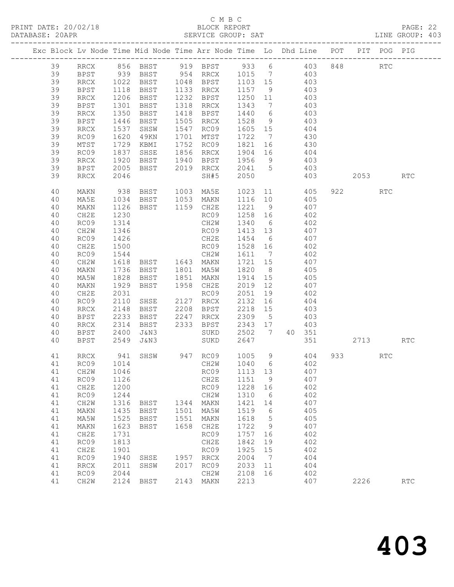#### C M B C<br>BLOCK REPORT

PAGE: 22<br>LINE GROUP: 403

|  |          |                  |              |                        |      |                        |                   |                      | Exc Block Lv Node Time Mid Node Time Arr Node Time Lo Dhd Line POT PIT POG PIG |          |                      |                      |
|--|----------|------------------|--------------|------------------------|------|------------------------|-------------------|----------------------|--------------------------------------------------------------------------------|----------|----------------------|----------------------|
|  | 39       | RRCX             |              |                        |      |                        |                   |                      | 856 BHST 919 BPST 933 6 403 848                                                |          | $\operatorname{RTC}$ |                      |
|  | 39       | BPST             |              |                        |      |                        |                   |                      | 939 BHST 954 RRCX 1015 7 403                                                   |          |                      |                      |
|  | 39       | RRCX             |              |                        |      | 1048 BPST              |                   |                      | 403                                                                            |          |                      |                      |
|  | 39       | BPST             |              | 1022 BHST<br>1118 BHST |      | 1133 RRCX              | 1103 15<br>1157 9 |                      | 403                                                                            |          |                      |                      |
|  | 39       | RRCX             | 1206         | BHST                   |      | 1232 BPST              | 1250 11           |                      | 403                                                                            |          |                      |                      |
|  | 39       | BPST             | 1301         | BHST                   |      | 1318 RRCX              | 1343              | $7\overline{ }$      | 403                                                                            |          |                      |                      |
|  | 39       | <b>RRCX</b>      | 1350         | BHST                   |      | 1418 BPST              | 1440              | 6                    | 403                                                                            |          |                      |                      |
|  | 39       | BPST             | 1446         | BHST                   |      | 1505 RRCX              | 1528              | 9                    | 403                                                                            |          |                      |                      |
|  | 39       | RRCX             | 1537         | SHSW                   |      | 1547 RC09              | 1605 15           |                      | 404                                                                            |          |                      |                      |
|  | 39       | RC09             | 1620         | 49KN                   |      | 1701 MTST              | 1722              | $\overline{7}$       | 430                                                                            |          |                      |                      |
|  | 39       | $\mathtt{MTST}$  | 1729         | KBMI                   |      | 1752 RC09              | 1821              | 16                   | 430                                                                            |          |                      |                      |
|  | 39       | RC09             |              | 1837 SHSE              |      | 1856 RRCX              | 1904 16           |                      | 404                                                                            |          |                      |                      |
|  | 39       | RRCX             | 1920         | BHST                   | 1940 | BPST                   |                   |                      | 1956 9 403                                                                     |          |                      |                      |
|  | 39       | BPST             | 2005         | BHST                   |      |                        |                   |                      | 2019 RRCX 2041 5 403                                                           |          |                      |                      |
|  | 39       | <b>RRCX</b>      | 2046         |                        |      | SH#5                   | 2050              |                      | 403                                                                            | 2053 RTC |                      |                      |
|  | 40       | MAKN             | 938          | BHST                   |      | 1003 MA5E              |                   |                      | 1023 11 405                                                                    | 922      | <b>RTC</b>           |                      |
|  | 40       | MA5E             | 1034         | BHST 1053 MAKN         |      |                        | 1116 10           |                      | 405                                                                            |          |                      |                      |
|  | 40       | MAKN             | 1126         | BHST 1159 CH2E         |      |                        | 1221 9            |                      | 407                                                                            |          |                      |                      |
|  | 40       | CH2E             | 1230         |                        |      | RC09                   | 1258 16           |                      | 402                                                                            |          |                      |                      |
|  | 40       | RC09             | 1314         |                        |      | CH2W                   | 1340              | $6\overline{6}$      | 402                                                                            |          |                      |                      |
|  | 40       | CH2W             | 1346         |                        |      | RC09                   | 1413 13           |                      | 407                                                                            |          |                      |                      |
|  | 40       | RC09             | 1426         |                        |      | CH2E                   | 1454              | $6\overline{6}$      | 407                                                                            |          |                      |                      |
|  | 40       | CH2E             | 1500         |                        |      | RC09                   | 1528 16           |                      | 402                                                                            |          |                      |                      |
|  | 40       | RC09             | 1544         |                        |      | CH2W                   | 1611 7            |                      | 402<br>407                                                                     |          |                      |                      |
|  | 40       | CH2W             | 1618         | BHST 1643 MAKN         |      |                        | 1721 15           |                      |                                                                                |          |                      |                      |
|  | 40       | MAKN             | 1736         | BHST                   |      | 1801 MA5W              | 1820<br>1914      | 8 <sup>8</sup><br>15 | 405                                                                            |          |                      |                      |
|  | 40<br>40 | MA5W<br>MAKN     | 1828<br>1929 | BHST<br>BHST           |      | 1851 MAKN<br>1958 CH2E | 2019              | 12                   | 405<br>407                                                                     |          |                      |                      |
|  | 40       | CH2E             | 2031         |                        |      | RC09                   | 2051              | 19                   | 402                                                                            |          |                      |                      |
|  | 40       | RC09             | 2110         | SHSE                   |      | 2127 RRCX              | 2132              | 16                   | 404                                                                            |          |                      |                      |
|  | 40       | RRCX             | 2148         | BHST                   | 2208 | BPST                   | 2218              | 15                   | 403                                                                            |          |                      |                      |
|  | 40       | <b>BPST</b>      | 2233         | BHST                   |      | 2247 RRCX              | 2309              | $5\overline{)}$      | 403                                                                            |          |                      |                      |
|  | 40       | RRCX             | 2314         | BHST                   |      | 2333 BPST              | 2343 17           |                      | 403                                                                            |          |                      |                      |
|  | 40       | BPST             | 2400         | J&N3                   |      | SUKD 2502              |                   | $7\overline{ }$      | 40 351                                                                         |          |                      |                      |
|  | 40       | BPST             | 2549         | J&N3                   |      | SUKD                   | 2647              |                      | 351                                                                            | 2713     |                      | RTC                  |
|  |          |                  |              |                        |      | 947 RC09 1005 9        |                   |                      | 404                                                                            |          |                      |                      |
|  | 41<br>41 | RRCX<br>RC09     | 941<br>1014  | SHSW                   |      | CH2W                   |                   |                      | 1040 6 402                                                                     |          | RTC                  |                      |
|  | 41       | CH2W             | 1046         |                        |      | RC09                   | 1113 13           |                      | 407                                                                            |          |                      |                      |
|  | 41       | RC09             | 1126         |                        |      | CH2E                   | 1151              | 9                    | 407                                                                            |          |                      |                      |
|  | 41       | CH2E             | 1200         |                        |      | RC09                   | 1228              | 16                   | 402                                                                            |          |                      |                      |
|  | 41       | RC09             | 1244         |                        |      | CH2W                   | 1310              | 6                    | 402                                                                            |          |                      |                      |
|  | 41       | CH2W             | 1316         | BHST                   | 1344 | MAKN                   | 1421              | 14                   | 407                                                                            |          |                      |                      |
|  | 41       | MAKN             | 1435         | BHST                   | 1501 | MA5W                   | 1519              | 6                    | 405                                                                            |          |                      |                      |
|  | 41       | MA5W             | 1525         | BHST                   | 1551 | MAKN                   | 1618              | 5                    | 405                                                                            |          |                      |                      |
|  | 41       | MAKN             | 1623         | BHST                   | 1658 | CH2E                   | 1722              | 9                    | 407                                                                            |          |                      |                      |
|  | 41       | CH <sub>2E</sub> | 1731         |                        |      | RC09                   | 1757              | 16                   | 402                                                                            |          |                      |                      |
|  | 41       | RC09             | 1813         |                        |      | CH2E                   | 1842              | 19                   | 402                                                                            |          |                      |                      |
|  | 41       | CH2E             | 1901         |                        |      | RC09                   | 1925              | 15                   | 402                                                                            |          |                      |                      |
|  | 41       | RC09             | 1940         | SHSE                   | 1957 | <b>RRCX</b>            | 2004              | 7                    | 404                                                                            |          |                      |                      |
|  | 41       | <b>RRCX</b>      | 2011         | SHSW                   | 2017 | RC09                   | 2033              | 11                   | 404                                                                            |          |                      |                      |
|  | 41       | RC09             | 2044         |                        |      | CH2W                   | 2108              | 16                   | 402                                                                            |          |                      |                      |
|  | 41       | CH2W             | 2124         | BHST                   | 2143 | MAKN                   | 2213              |                      | 407                                                                            | 2226     |                      | $\operatorname{RTC}$ |
|  |          |                  |              |                        |      |                        |                   |                      |                                                                                |          |                      |                      |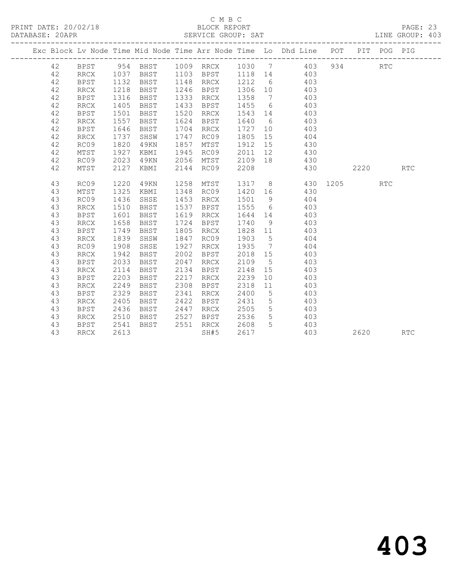PRINT DATE: 20/02/18 BLOCK REPORT BATABASE: 20APR BLOCK REPORT

#### C M B C<br>BLOCK REPORT

PAGE: 23<br>LINE GROUP: 403

|  |    |             |      |          |      |                              |         |                 | Exc Block Lv Node Time Mid Node Time Arr Node Time Lo Dhd Line POT<br>------------------------------- |      |      | PIT POG PIG |            |
|--|----|-------------|------|----------|------|------------------------------|---------|-----------------|-------------------------------------------------------------------------------------------------------|------|------|-------------|------------|
|  | 42 | <b>BPST</b> |      | 954 BHST |      | 1009 RRCX                    | 1030 7  |                 | 403                                                                                                   | 934  |      | RTC         |            |
|  | 42 | RRCX        | 1037 | BHST     | 1103 | BPST                         | 1118 14 |                 | 403                                                                                                   |      |      |             |            |
|  | 42 | <b>BPST</b> | 1132 | BHST     | 1148 | RRCX                         | 1212    | 6               | 403                                                                                                   |      |      |             |            |
|  | 42 | RRCX        | 1218 | BHST     | 1246 | BPST                         | 1306    | 10              | 403                                                                                                   |      |      |             |            |
|  | 42 | <b>BPST</b> | 1316 | BHST     | 1333 | RRCX                         | 1358    | $\overline{7}$  | 403                                                                                                   |      |      |             |            |
|  | 42 | <b>RRCX</b> | 1405 | BHST     | 1433 | BPST                         | 1455    | 6               | 403                                                                                                   |      |      |             |            |
|  | 42 | BPST        | 1501 | BHST     | 1520 | RRCX                         | 1543    | 14              | 403                                                                                                   |      |      |             |            |
|  | 42 | RRCX        | 1557 | BHST     | 1624 | BPST                         | 1640    | 6               | 403                                                                                                   |      |      |             |            |
|  | 42 | <b>BPST</b> | 1646 | BHST     | 1704 | RRCX                         | 1727    | 10              | 403                                                                                                   |      |      |             |            |
|  | 42 | <b>RRCX</b> | 1737 | SHSW     | 1747 | RC09                         | 1805    | 15              | 404                                                                                                   |      |      |             |            |
|  | 42 | RC09        | 1820 | 49KN     | 1857 | MTST                         | 1912    | 15              | 430                                                                                                   |      |      |             |            |
|  | 42 | MTST        | 1927 | KBMI     | 1945 | RC09                         | 2011    | 12              | 430                                                                                                   |      |      |             |            |
|  | 42 | RC09        | 2023 | 49KN     | 2056 | MTST                         | 2109    | 18              | 430                                                                                                   |      |      |             |            |
|  | 42 | MTST        | 2127 | KBMI     | 2144 | RC09                         | 2208    |                 | 430                                                                                                   |      | 2220 |             | RTC        |
|  | 43 | RC09        | 1220 | 49KN     | 1258 | MTST                         | 1317    | 8 <sup>8</sup>  | 430                                                                                                   | 1205 |      | <b>RTC</b>  |            |
|  | 43 | MTST        | 1325 | KBMI     | 1348 | RC09                         | 1420    | 16              | 430                                                                                                   |      |      |             |            |
|  | 43 | RC09        | 1436 | SHSE     | 1453 | RRCX                         | 1501    | 9               | 404                                                                                                   |      |      |             |            |
|  | 43 | <b>RRCX</b> | 1510 | BHST     | 1537 | BPST                         | 1555    | 6               | 403                                                                                                   |      |      |             |            |
|  | 43 | <b>BPST</b> | 1601 | BHST     | 1619 | RRCX                         | 1644    | 14              | 403                                                                                                   |      |      |             |            |
|  | 43 | <b>RRCX</b> | 1658 | BHST     | 1724 | BPST                         | 1740    | 9               | 403                                                                                                   |      |      |             |            |
|  | 43 | <b>BPST</b> | 1749 | BHST     | 1805 | RRCX                         | 1828    | 11              | 403                                                                                                   |      |      |             |            |
|  | 43 | RRCX        | 1839 | SHSW     | 1847 | RC09                         | 1903    | 5               | 404                                                                                                   |      |      |             |            |
|  | 43 | RC09        | 1908 | SHSE     | 1927 | RRCX                         | 1935    | $\overline{7}$  | 404                                                                                                   |      |      |             |            |
|  | 43 | <b>RRCX</b> | 1942 | BHST     | 2002 | <b>BPST</b>                  | 2018    | 15              | 403                                                                                                   |      |      |             |            |
|  | 43 | <b>BPST</b> | 2033 | BHST     | 2047 | $\operatorname{RRCX}$        | 2109    | $5^{\circ}$     | 403                                                                                                   |      |      |             |            |
|  | 43 | <b>RRCX</b> | 2114 | BHST     | 2134 | BPST                         | 2148    | 15              | 403                                                                                                   |      |      |             |            |
|  | 43 | <b>BPST</b> | 2203 | BHST     | 2217 | $\mathop{\rm RRCX}\nolimits$ | 2239    | 10              | 403                                                                                                   |      |      |             |            |
|  | 43 | <b>RRCX</b> | 2249 | BHST     | 2308 | BPST                         | 2318    | 11              | 403                                                                                                   |      |      |             |            |
|  | 43 | BPST        | 2329 | BHST     | 2341 | RRCX                         | 2400    | 5               | 403                                                                                                   |      |      |             |            |
|  | 43 | <b>RRCX</b> | 2405 | BHST     | 2422 | BPST                         | 2431    | $5\overline{)}$ | 403                                                                                                   |      |      |             |            |
|  | 43 | <b>BPST</b> | 2436 | BHST     | 2447 | RRCX                         | 2505    | $5\phantom{.0}$ | 403                                                                                                   |      |      |             |            |
|  | 43 | RRCX        | 2510 | BHST     | 2527 | BPST                         | 2536    | $5\phantom{.0}$ | 403                                                                                                   |      |      |             |            |
|  | 43 | <b>BPST</b> | 2541 | BHST     | 2551 | RRCX                         | 2608    | 5               | 403                                                                                                   |      |      |             |            |
|  | 43 | <b>RRCX</b> | 2613 |          |      | SH#5                         | 2617    |                 | 403                                                                                                   |      | 2620 |             | <b>RTC</b> |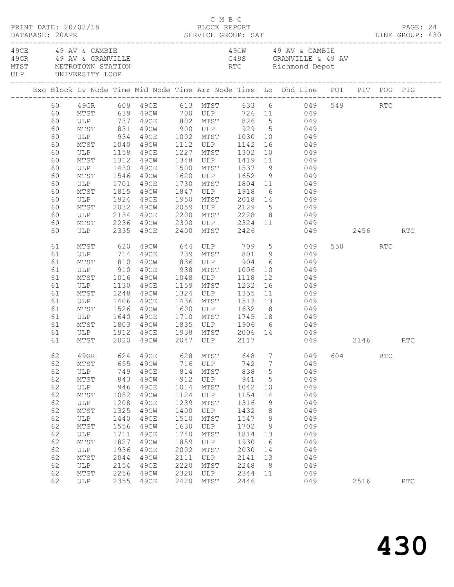| PRINT DATE: 20/02/18<br>DATABASE: 20APR<br>49CE 49 AV & CAMBIE |          |                      |              |                        |              | C M B C<br>BLOCK REPORT                       |              |             |                                                                                   |     |         |            | PAGE: 24 |  |
|----------------------------------------------------------------|----------|----------------------|--------------|------------------------|--------------|-----------------------------------------------|--------------|-------------|-----------------------------------------------------------------------------------|-----|---------|------------|----------|--|
|                                                                |          | ULP UNIVERSITY LOOP  |              |                        |              |                                               |              |             | 49CW 49 AV & CAMBIE                                                               |     |         |            |          |  |
|                                                                |          |                      |              |                        |              |                                               |              |             | Exc Block Lv Node Time Mid Node Time Arr Node Time Lo Dhd Line POT PIT POG PIG    |     |         |            |          |  |
|                                                                | 60<br>60 |                      |              |                        |              |                                               |              |             | 49GR 609 49CE 613 MTST 633 6 049 549 RTC<br>MTST 639 49CW 700 ULP 726 11 049      |     |         |            |          |  |
|                                                                | 60       |                      |              |                        |              |                                               |              |             | ULP 737 49CE 802 MTST 826 5 049                                                   |     |         |            |          |  |
|                                                                | 60       | MTST                 | 831          |                        |              |                                               |              |             | 49CW 900 ULP 929 5 049<br>49CE 1002 MTST 1030 10 049<br>49CW 1112 ULP 1142 16 049 |     |         |            |          |  |
|                                                                | 60       | ULP 934<br>MTST 1040 |              |                        |              |                                               |              |             |                                                                                   |     |         |            |          |  |
|                                                                | 60       |                      |              |                        |              |                                               |              |             |                                                                                   |     |         |            |          |  |
|                                                                | 60       | ULP                  | 1158         | 49CE                   | 1227         | MTST 1302                                     |              |             | 10 049                                                                            |     |         |            |          |  |
|                                                                | 60<br>60 | MTST<br>ULP          | 1312         | 49CW<br>49CE           |              | 1348 ULP 1419                                 |              |             | 11 049                                                                            |     |         |            |          |  |
|                                                                | 60       | MTST                 | 1430<br>1546 | 49CW                   | 1620         |                                               |              |             | 1500 MTST 1537 9 049<br>1620 ULP 1652 9 049                                       |     |         |            |          |  |
|                                                                | 60       | ULP                  | 1701         | 49CE                   | 1730         |                                               |              |             | MTST 1804 11 049                                                                  |     |         |            |          |  |
|                                                                | 60       | MTST                 | 1815         | 49CW                   | 1847         | ULP 1918                                      |              |             | 6 049                                                                             |     |         |            |          |  |
|                                                                | 60       | ULP                  |              | 49CE                   | 1950         |                                               |              |             |                                                                                   |     |         |            |          |  |
|                                                                | 60       | MTST                 | 1924<br>2032 | 49CW                   | 2059         |                                               |              |             | MTST 2018 14 049<br>ULP 2129 5 049                                                |     |         |            |          |  |
|                                                                | 60       | ULP                  | 2134         | 49CE                   | 2200         |                                               |              |             | MTST 2228 8 049                                                                   |     |         |            |          |  |
|                                                                | 60       | MTST                 |              | 2236 49CW              |              |                                               |              |             | 2300 ULP 2324 11 049                                                              |     |         |            |          |  |
|                                                                | 60       | ULP                  | 2335         | 49CE                   | 2400         | MTST 2426                                     |              |             | 049 2456                                                                          |     |         |            | RTC      |  |
|                                                                | 61       | MTST 620             |              |                        |              |                                               |              |             | 49CW 644 ULP 709 5 049                                                            |     | 550 RTC |            |          |  |
|                                                                | 61       | ULP                  | 714          | 49CE                   |              |                                               |              |             | 739 MTST 801 9 049                                                                |     |         |            |          |  |
|                                                                | 61       | MTST                 | 810          | 49CW                   |              |                                               |              |             | $\begin{matrix} 6 & 049 \end{matrix}$                                             |     |         |            |          |  |
|                                                                | 61       | ULP                  | 910          | 49CE                   |              | 836 ULP 904<br>938 MTST 1006<br>1048 ULP 1118 |              | 10          | 049<br>$\frac{18}{12}$ 049                                                        |     |         |            |          |  |
|                                                                | 61<br>61 | MTST<br>ULP          | 1016<br>1130 | 49CW<br>49CE           |              | 1048 ULP<br>1159 MTST 1232                    |              |             | 16 049                                                                            |     |         |            |          |  |
|                                                                | 61       | MTST                 | 1248         | 49CW                   |              | 1324 ULP 1355                                 |              |             | 11 049                                                                            |     |         |            |          |  |
|                                                                | 61       | ULP                  | 1406         | 49CE                   |              | 1436 MTST                                     |              |             | 049                                                                               |     |         |            |          |  |
|                                                                | 61       | MTST                 | 1526         | 49CW                   | 1600         | MTST 1513 13<br>ULP 1632 8                    |              |             | $\begin{array}{cc}\n 8 & 049 \\  \end{array}$                                     |     |         |            |          |  |
|                                                                | 61       | ULP                  | 1640         | 49CE                   | 1710         |                                               |              |             | MTST 1745 18 049                                                                  |     |         |            |          |  |
|                                                                | 61       | MTST                 | 1803         | 49CW                   |              |                                               |              |             |                                                                                   |     |         |            |          |  |
|                                                                | 61       | ULP                  |              |                        |              |                                               |              |             |                                                                                   |     |         |            |          |  |
|                                                                | 61       | MTST                 |              | 1912 49CE<br>2020 49CW |              |                                               |              |             | 1835 ULP 1906 6 049<br>1938 MTST 2006 14 049<br>2047 ULP 2117 049<br>049 2146 RTC |     |         |            |          |  |
|                                                                | 62       | 49GR                 | 624          | 49CE                   | 628          | MTST                                          | 648          | 7           | 049                                                                               | 604 |         | <b>RTC</b> |          |  |
|                                                                | 62       | $\mathtt{MTST}$      | 655          | 49CW                   | 716          | ULP                                           | 742          | 7           | 049                                                                               |     |         |            |          |  |
|                                                                | 62       | ULP                  | 749          | 49CE                   | 814          | MTST                                          | 838          | $\mathsf S$ | 049                                                                               |     |         |            |          |  |
|                                                                | 62       | MTST                 | 843          | 49CW                   | 912          | ULP                                           | 941          | 5           | 049                                                                               |     |         |            |          |  |
|                                                                | 62       | ULP                  | 946          | 49CE                   | 1014         | MTST                                          | 1042         | 10          | 049                                                                               |     |         |            |          |  |
|                                                                | 62       | MTST                 | 1052         | 49CW<br>49CE           | 1124<br>1239 | ULP                                           | 1154         | 14          | 049<br>049                                                                        |     |         |            |          |  |
|                                                                | 62<br>62 | $_{\rm ULP}$<br>MTST | 1208<br>1325 | 49CW                   | 1400         | MTST<br>ULP                                   | 1316<br>1432 | 9<br>8      | 049                                                                               |     |         |            |          |  |
|                                                                | 62       | ULP                  | 1440         | 49CE                   | 1510         | MTST                                          | 1547         | 9           | 049                                                                               |     |         |            |          |  |
|                                                                | 62       | MTST                 | 1556         | 49CW                   | 1630         | $_{\rm ULP}$                                  | 1702         | 9           | 049                                                                               |     |         |            |          |  |
|                                                                | 62       | $_{\rm ULP}$         | 1711         | 49CE                   | 1740         | MTST                                          | 1814         | 13          | 049                                                                               |     |         |            |          |  |
|                                                                | 62       | $\mathtt{MTST}$      | 1827         | 49CW                   | 1859         | $_{\rm ULP}$                                  | 1930         | 6           | 049                                                                               |     |         |            |          |  |
|                                                                | 62       | ULP                  | 1936         | 49CE                   | 2002         | MTST                                          | 2030         | 14          | 049                                                                               |     |         |            |          |  |
|                                                                | 62       | $\mathtt{MTST}$      | 2044         | 49CW                   | 2111         | $_{\rm ULP}$                                  | 2141         | 13          | 049                                                                               |     |         |            |          |  |
|                                                                | 62       | ULP                  | 2154         | 49CE                   | 2220         | MTST                                          | 2248         | 8           | 049                                                                               |     |         |            |          |  |
|                                                                | 62       | MTST                 | 2256         | 49CW                   | 2320         | $_{\rm ULP}$                                  | 2344         | 11          | 049                                                                               |     |         |            |          |  |
|                                                                | 62       | ULP                  | 2355         | 49CE                   | 2420         | MTST                                          | 2446         |             | 049                                                                               |     | 2516    |            | RTC      |  |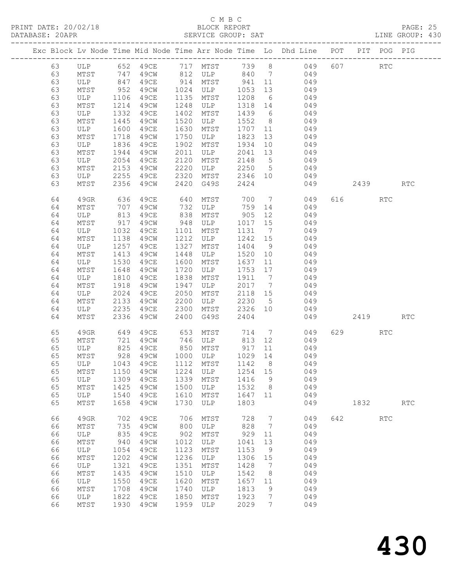PRINT DATE: 20/02/18<br>DATABASE: 20APR

|          |                      |                  |                                   |      |               |             |                 | Exc Block Lv Node Time Mid Node Time Arr Node Time Lo Dhd Line POT PIT POG PIG |     |          |            |                             |  |
|----------|----------------------|------------------|-----------------------------------|------|---------------|-------------|-----------------|--------------------------------------------------------------------------------|-----|----------|------------|-----------------------------|--|
|          |                      |                  |                                   |      |               |             |                 | 63 ULP 652 49CE 717 MTST 739 8 049 607 RTC                                     |     |          |            |                             |  |
| 63       |                      |                  |                                   |      |               |             |                 | MTST 747 49CW 812 ULP 840 7 049                                                |     |          |            |                             |  |
| 63       | ULP 847              |                  |                                   |      |               |             |                 | 49CE 914 MTST 941 11 049                                                       |     |          |            |                             |  |
| 63       |                      |                  |                                   |      | 49CW 1024 ULP |             |                 |                                                                                |     |          |            |                             |  |
| 63       | MTST 952<br>ULP 1106 |                  | 49CE                              |      | 1135 MTST     |             |                 | 1053 13 049<br>1208 6 049                                                      |     |          |            |                             |  |
| 63       | MTST                 | 1214             | 49CW                              | 1248 | ULP           |             |                 | 1318 14 049                                                                    |     |          |            |                             |  |
| 63       | ULP                  | 1332             | 49CE                              | 1402 | MTST          |             |                 | 1439 6 049                                                                     |     |          |            |                             |  |
| 63       | MTST                 | 1445             | 49CW                              | 1520 | ULP           |             |                 | 1552 8 049                                                                     |     |          |            |                             |  |
| 63       | ULP                  | 1600             | 49CE                              | 1630 | MTST          | 1707 11     |                 | 049                                                                            |     |          |            |                             |  |
| 63       | MTST                 | 1718             | 49CW                              | 1750 | ULP           | 1823        |                 | 13 049                                                                         |     |          |            |                             |  |
| 63       | ULP                  | 1836             | 49CE                              | 1902 | MTST          |             |                 | 1934 10 049                                                                    |     |          |            |                             |  |
| 63       | MTST                 | 1944             | 49CW                              | 2011 | ULP           |             |                 | 2041 13 049                                                                    |     |          |            |                             |  |
| 63       | ULP                  | 2054             | 49CE                              | 2120 | MTST          | 2148 5      |                 | 049                                                                            |     |          |            |                             |  |
| 63       | MTST                 | 2153             | 49CW                              | 2220 | ULP           |             |                 | $2250$ 5 049                                                                   |     |          |            |                             |  |
| 63       | ULP                  | 2255             | 49CE                              | 2320 |               |             |                 | MTST 2346 10 049                                                               |     |          |            |                             |  |
| 63       | MTST                 | 2356             | 49CW                              | 2420 | G49S          | 2424        |                 |                                                                                |     | 049 2439 |            | $\mathop{\rm RTC}\nolimits$ |  |
|          |                      |                  |                                   |      |               |             |                 |                                                                                |     |          |            |                             |  |
| 64       | 49GR                 | 636              | 49CE 640                          |      | MTST          |             |                 | 700 7 049                                                                      |     | 616 RTC  |            |                             |  |
| 64       | MTST                 | 707              | 49CW                              | 732  |               |             |                 | ULP 759 14 049                                                                 |     |          |            |                             |  |
| 64       | ULP                  | 813              | 49CE                              | 838  | MTST          | 905         |                 | 12<br>049                                                                      |     |          |            |                             |  |
| 64       | MTST                 | 917              | 49CW                              | 948  | <b>ULP</b>    |             |                 | 1017 15 049<br>1131 7 049                                                      |     |          |            |                             |  |
| 64       | ULP                  | 1032             | 49CE                              | 1101 | MTST          |             |                 |                                                                                |     |          |            |                             |  |
| 64       | MTST                 | 1138             | 49CW                              | 1212 | ULP           | 1242 15     |                 | 049                                                                            |     |          |            |                             |  |
| 64       | ULP                  | 1257             | 49CE                              | 1327 | MTST          | 1404 9      |                 | 049                                                                            |     |          |            |                             |  |
| 64       | MTST                 | 1413             | 49CW                              | 1448 | ULP           | 1520 10     |                 | $049$<br>$049$                                                                 |     |          |            |                             |  |
| 64       | ULP                  | $\frac{1}{1530}$ | 49CE                              | 1600 | MTST          | $1637$ $11$ |                 |                                                                                |     |          |            |                             |  |
| 64       | MTST                 | 1648             | 49CW                              | 1720 | ULP           |             |                 | 1753 17 049                                                                    |     |          |            |                             |  |
| 64       | ULP                  | 1810             | 49CE                              | 1838 | MTST          | 1911 7      |                 | 049                                                                            |     |          |            |                             |  |
| 64       | MTST                 | 1918             | 49CW                              | 1947 | ULP           | 2017 7      |                 | $049$<br>$049$                                                                 |     |          |            |                             |  |
| 64       | ULP                  | 2024             | 49CE                              | 2050 | MTST          | 2118 15     |                 |                                                                                |     |          |            |                             |  |
| 64       | MTST                 | 2133             | 49CW                              | 2200 | ULP           |             |                 | $2230$ 5 049                                                                   |     |          |            |                             |  |
| 64       | ULP                  | 2235             | 49CE                              | 2300 | MTST          |             |                 | 2326 10 049                                                                    |     |          |            |                             |  |
| 64       | MTST                 | 2336             | 49CW                              | 2400 | G49S          | 2404        |                 |                                                                                |     | 049 2419 |            | $\mathop{\rm RTC}\nolimits$ |  |
| 65       | 49GR                 | 649              |                                   |      |               |             |                 | 49CE 653 MTST 714 7 049                                                        |     | 629      | RTC        |                             |  |
| 65       | MTST                 | 721              |                                   |      |               |             |                 | 49CW 746 ULP 813 12 049                                                        |     |          |            |                             |  |
| 65       | ULP                  | 825              | 49CE                              |      | 850 MTST      | 917 11      |                 | 049                                                                            |     |          |            |                             |  |
|          |                      |                  | 65 MTST 928 49CW 1000 ULP 1029 14 |      |               |             |                 | 049                                                                            |     |          |            |                             |  |
| 65       | ULP                  | 1043             | 49CE                              | 1112 | MTST          | 1142        | 8               | 049                                                                            |     |          |            |                             |  |
| 65       | MTST                 | 1150             | 49CW                              | 1224 | ULP           | 1254        | 15              | 049                                                                            |     |          |            |                             |  |
| 65       | ULP                  | 1309             | 49CE                              | 1339 | MTST          | 1416        | 9               | 049                                                                            |     |          |            |                             |  |
| 65       | MTST                 | 1425             | 49CW                              | 1500 | ULP           | 1532        | 8               | 049                                                                            |     |          |            |                             |  |
| 65       | ULP                  | 1540             | 49CE                              | 1610 | MTST          | 1647        | 11              | 049                                                                            |     |          |            |                             |  |
| 65       | MTST                 | 1658             | 49CW                              | 1730 | ULP           | 1803        |                 | 049                                                                            |     | 1832     |            | $\operatorname{RTC}$        |  |
| 66       | 49GR                 | 702              | 49CE                              | 706  | MTST          | 728         | 7               | 049                                                                            | 642 |          | <b>RTC</b> |                             |  |
| 66       | MTST                 | 735              | 49CW                              | 800  | ULP           | 828         | $7\phantom{.0}$ | 049                                                                            |     |          |            |                             |  |
| 66       | ULP                  | 835              | 49CE                              | 902  | MTST          | 929         | 11              | 049                                                                            |     |          |            |                             |  |
| 66       | MTST                 | 940              | 49CW                              | 1012 | ULP           | 1041        | 13              | 049                                                                            |     |          |            |                             |  |
| 66       | ULP                  | 1054             | 49CE                              | 1123 | ${\tt MTST}$  | 1153        | $\overline{9}$  | 049                                                                            |     |          |            |                             |  |
| 66       | MTST                 | 1202             | 49CW                              | 1236 | ULP           | 1306        | 15              | 049                                                                            |     |          |            |                             |  |
| 66       | ULP                  | 1321             | 49CE                              | 1351 |               | 1428        | $7\phantom{.0}$ | 049                                                                            |     |          |            |                             |  |
|          |                      | 1435             | 49CW                              | 1510 | MTST          | 1542        |                 | 049                                                                            |     |          |            |                             |  |
| 66<br>66 | MTST                 |                  |                                   | 1620 | ULP           |             | 8               | 049                                                                            |     |          |            |                             |  |
|          | ULP                  | 1550             | 49CE                              |      | ${\tt MTST}$  | 1657        | 11              |                                                                                |     |          |            |                             |  |
| 66       | MTST                 | 1708             | 49CW                              | 1740 | ULP           | 1813        | $\mathsf 9$     | 049                                                                            |     |          |            |                             |  |
| 66       | ULP                  | 1822             | 49CE                              | 1850 | MTST          | 1923        | $7\phantom{.0}$ | 049                                                                            |     |          |            |                             |  |
| 66       | MTST                 | 1930             | 49CW                              | 1959 | ULP           | 2029        | $7\overline{ }$ | 049                                                                            |     |          |            |                             |  |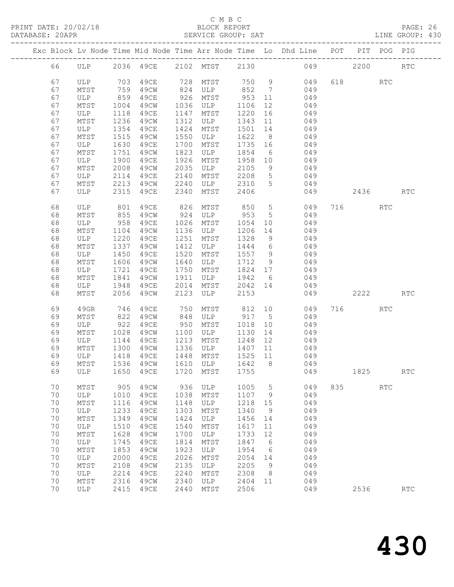PRINT DATE: 20/02/18 BLOCK REPORT PAGE: 26 DATABASE: 20APP

#### C M B C

| DATABASE: ZUAPR |      |      |                     |      | SEKVICE GKOUF: SAT |         |                 |                                                                                |     |     |            | LINE GROUP: 430             |
|-----------------|------|------|---------------------|------|--------------------|---------|-----------------|--------------------------------------------------------------------------------|-----|-----|------------|-----------------------------|
|                 |      |      |                     |      |                    |         |                 | Exc Block Lv Node Time Mid Node Time Arr Node Time Lo Dhd Line POT PIT POG PIG |     |     |            |                             |
| 66              | ULP  |      | 2036 49CE 2102 MTST |      |                    |         |                 | 2130 049                                                                       |     |     | 2200       | <b>RTC</b>                  |
| 67              | ULP  | 703  | 49CE                |      | 728 MTST           |         | 750 9           | 049                                                                            | 618 |     | RTC        |                             |
| 67              | MTST | 759  | 49CW                | 824  | ULP                | 852     | $7\overline{ }$ | 049                                                                            |     |     |            |                             |
| 67              | ULP  | 859  | 49CE                |      | 926 MTST           | 953     | 11              | 049                                                                            |     |     |            |                             |
| 67              | MTST | 1004 | 49CW                | 1036 | ULP                | 1106    | 12              | 049                                                                            |     |     |            |                             |
| 67              | ULP  | 1118 | 49CE                | 1147 | MTST               | 1220    | 16              | 049                                                                            |     |     |            |                             |
| 67              | MTST | 1236 | 49CW                | 1312 | ULP                | 1343    | 11              | 049                                                                            |     |     |            |                             |
| 67              | ULP  | 1354 | 49CE                | 1424 | MTST               | 1501    | 14              | 049                                                                            |     |     |            |                             |
| 67              | MTST | 1515 | 49CW                | 1550 | ULP                | 1622    | 8 <sup>8</sup>  | 049                                                                            |     |     |            |                             |
| 67              | ULP  | 1630 | 49CE                | 1700 | MTST               | 1735    | 16              | 049                                                                            |     |     |            |                             |
| 67              | MTST | 1751 | 49CW                | 1823 | ULP                | 1854    | 6               | 049                                                                            |     |     |            |                             |
| 67              | ULP  | 1900 | 49CE                | 1926 | MTST               | 1958    | 10              | 049                                                                            |     |     |            |                             |
| 67              | MTST | 2008 | 49CW                | 2035 | ULP                | 2105    | 9               | 049                                                                            |     |     |            |                             |
| 67              | ULP  | 2114 | 49CE                | 2140 | MTST               | 2208    | 5 <sup>5</sup>  | 049                                                                            |     |     |            |                             |
| 67              | MTST | 2213 | 49CW                | 2240 | ULP                | 2310    | $5\overline{)}$ | 049                                                                            |     |     |            |                             |
| 67              | ULP  | 2315 | 49CE                | 2340 | MTST               | 2406    |                 | 049                                                                            |     |     | 2436       | $\mathop{\rm RTC}\nolimits$ |
| 68              | ULP  | 801  | 49CE                | 826  | MTST               | 850     | 5 <sup>5</sup>  | 049                                                                            |     | 716 | <b>RTC</b> |                             |
| 68              | MTST | 855  | 49CW                | 924  | ULP                | 953     | $5^{\circ}$     | 049                                                                            |     |     |            |                             |
| 68              | ULP  | 958  | 49CE                | 1026 | MTST               | 1054    | 10              | 049                                                                            |     |     |            |                             |
| 68              | MTST | 1104 | 49CW                | 1136 | ULP                | 1206    | 14              | 049                                                                            |     |     |            |                             |
| 68              | ULP  | 1220 | 49CE                | 1251 | MTST               | 1328    | 9               | 049                                                                            |     |     |            |                             |
| 68              | MTST | 1337 | 49CW                | 1412 | ULP                | 1444    | 6               | 049                                                                            |     |     |            |                             |
| 68              | ULP  | 1450 | 49CE                | 1520 | MTST               | 1557    | 9               | 049                                                                            |     |     |            |                             |
| 68              | MTST | 1606 | 49CW                | 1640 | ULP                | 1712    | 9               | 049                                                                            |     |     |            |                             |
| 68              | ULP  | 1721 | 49CE                | 1750 | MTST               | 1824    | 17              | 049                                                                            |     |     |            |                             |
| 68              | MTST | 1841 | 49CW                | 1911 | ULP                | 1942    | $6\overline{6}$ | 049                                                                            |     |     |            |                             |
| 68              | ULP  | 1948 | 49CE                | 2014 | MTST               | 2042 14 |                 | 049                                                                            |     |     |            |                             |
| 68              | MTST | 2056 | 49CW                | 2123 | ULP                | 2153    |                 | 049                                                                            |     |     | 2222       | RTC                         |
| 69              | 49GR | 746  | 49CE                | 750  | MTST               | 812     | 10              | 049                                                                            |     | 716 | <b>RTC</b> |                             |
| 69              | MTST | 822  | 49CW                | 848  | ULP                | 917     | 5 <sup>5</sup>  | 049                                                                            |     |     |            |                             |
| 69              | ULP  | 922  | 49CE                | 950  | MTST               | 1018    | 10 <sup>°</sup> | 049                                                                            |     |     |            |                             |
| 69              | MTST | 1028 | 49CW                | 1100 | ULP                | 1130    | 14              | 049                                                                            |     |     |            |                             |
| 69              | ULP  | 1144 | 49CE                | 1213 | MTST               | 1248    | 12              | 049                                                                            |     |     |            |                             |
| 69              | MTST | 1300 | 49CW                | 1336 | ULP                | 1407    | 11              | 049                                                                            |     |     |            |                             |
| 69              | ULP  | 1418 | 49CE                | 1448 | MTST               | 1525    | 11              | 049                                                                            |     |     |            |                             |
| 69              | MTST | 1536 | 49CW                | 1610 | ULP                | 1642    | 8 <sup>8</sup>  | 049                                                                            |     |     |            |                             |
| 69              | ULP  | 1650 | 49CE                | 1720 | MTST               | 1755    |                 | 049                                                                            |     |     | 1825       | RTC                         |
| 70              | MTST | 905  | 49CW                |      | 936 ULP            | 1005    |                 | $5 - 5$<br>049                                                                 | 835 |     | <b>RTC</b> |                             |
| 70              | ULP  |      | 1010 49CE           |      | 1038 MTST          | 1107    | 9               | 049                                                                            |     |     |            |                             |

 70 MTST 1116 49CW 1148 ULP 1218 15 049 70 ULP 1233 49CE 1303 MTST 1340 9 049 70 MTST 1349 49CW 1424 ULP 1456 14 049 70 ULP 1510 49CE 1540 MTST 1617 11 049 70 MTST 1628 49CW 1700 ULP 1733 12 049

 70 MTST 1853 49CW 1923 ULP 1954 6 049 70 ULP 2000 49CE 2026 MTST 2054 14 049

70 ULP 1745 49CE 1814 MTST 1847 6 049

 70 MTST 2108 49CW 2135 ULP 2205 9 049 70 ULP 2214 49CE 2240 MTST 2308 8 049 70 MTST 2316 49CW 2340 ULP 2404 11 049

2536 RTC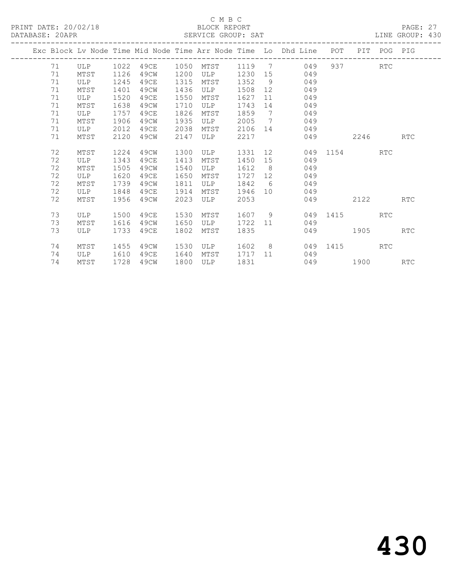|  |    |      |      |      |      |      |      |                              | Exc Block Ly Node Time Mid Node Time Arr Node Time Lo Dhd Line | POT          |      | PIT POG PIG |            |
|--|----|------|------|------|------|------|------|------------------------------|----------------------------------------------------------------|--------------|------|-------------|------------|
|  | 71 | ULP  | 1022 | 49CE | 1050 | MTST | 1119 | $\overline{7}$               | 049                                                            |              | 937  | RTC         |            |
|  | 71 | MTST | 1126 | 49CW | 1200 | ULP  | 1230 | 15                           | 049                                                            |              |      |             |            |
|  | 71 | ULP  | 1245 | 49CE | 1315 | MTST | 1352 | - 9                          | 049                                                            |              |      |             |            |
|  | 71 | MTST | 1401 | 49CW | 1436 | ULP  | 1508 | 12                           | 049                                                            |              |      |             |            |
|  | 71 | ULP  | 1520 | 49CE | 1550 | MTST | 1627 | 11                           | 049                                                            |              |      |             |            |
|  | 71 | MTST | 1638 | 49CW | 1710 | ULP  | 1743 | 14                           | 049                                                            |              |      |             |            |
|  | 71 | ULP  | 1757 | 49CE | 1826 | MTST | 1859 | $7\phantom{.0}\phantom{.0}7$ | 049                                                            |              |      |             |            |
|  | 71 | MTST | 1906 | 49CW | 1935 | ULP  | 2005 | 7                            | 049                                                            |              |      |             |            |
|  | 71 | ULP  | 2012 | 49CE | 2038 | MTST | 2106 | 14                           | 049                                                            |              |      |             |            |
|  | 71 | MTST | 2120 | 49CW | 2147 | ULP  | 2217 |                              | 049                                                            |              | 2246 |             | <b>RTC</b> |
|  | 72 | MTST | 1224 | 49CW | 1300 | ULP  | 1331 | 12                           |                                                                | 049 1154 RTC |      |             |            |
|  | 72 | ULP  | 1343 | 49CE | 1413 | MTST | 1450 | 15                           | 049                                                            |              |      |             |            |
|  | 72 | MTST | 1505 | 49CW | 1540 | ULP  | 1612 | - 8                          | 049                                                            |              |      |             |            |
|  | 72 | ULP  | 1620 | 49CE | 1650 | MTST | 1727 | 12 <sup>°</sup>              | 049                                                            |              |      |             |            |
|  | 72 | MTST | 1739 | 49CW | 1811 | ULP  | 1842 | 6                            | 049                                                            |              |      |             |            |
|  | 72 | ULP  | 1848 | 49CE | 1914 | MTST | 1946 | 10                           | 049                                                            |              |      |             |            |
|  | 72 | MTST | 1956 | 49CW | 2023 | ULP  | 2053 |                              | 049                                                            |              | 2122 |             | <b>RTC</b> |
|  |    |      |      |      |      |      |      |                              |                                                                |              |      |             |            |
|  | 73 | ULP  | 1500 | 49CE | 1530 | MTST | 1607 | - 9                          |                                                                | 049 1415     |      | RTC         |            |
|  | 73 | MTST | 1616 | 49CW | 1650 | ULP  | 1722 | 11                           | 049                                                            |              |      |             |            |
|  | 73 | ULP  | 1733 | 49CE | 1802 | MTST | 1835 |                              | 049                                                            |              | 1905 |             | <b>RTC</b> |
|  |    |      |      |      |      |      |      |                              |                                                                |              |      |             |            |
|  | 74 | MTST | 1455 | 49CW | 1530 | ULP  | 1602 | 8 <sup>8</sup>               |                                                                | 049 1415     |      | RTC         |            |
|  | 74 | ULP  | 1610 | 49CE | 1640 | MTST | 1717 | 11                           | 049                                                            |              |      |             |            |
|  | 74 | MTST | 1728 | 49CW | 1800 | ULP  | 1831 |                              |                                                                | 049 1900     |      |             | <b>RTC</b> |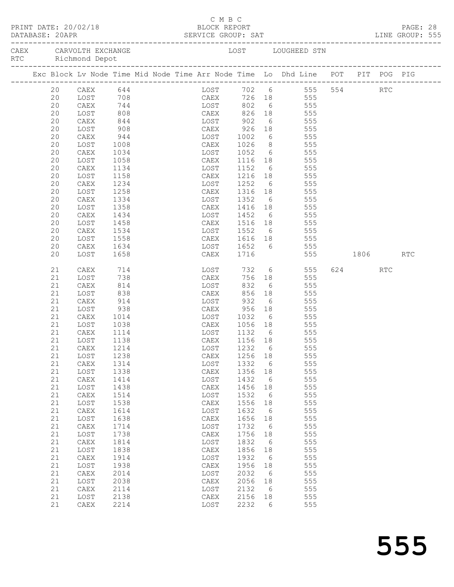| PRINT DATE: 20/02/18<br>BLOCK REPORT<br>DATABASE: 20APR |                                              |                      |  |              |  |  |             |              | C M B C |                     |                       |                 |                                                                                |         |     | PAGE: 28 |  |
|---------------------------------------------------------|----------------------------------------------|----------------------|--|--------------|--|--|-------------|--------------|---------|---------------------|-----------------------|-----------------|--------------------------------------------------------------------------------|---------|-----|----------|--|
|                                                         | CAEX CARVOLTH EXCHANGE<br>RTC Richmond Depot |                      |  |              |  |  |             |              |         |                     |                       |                 | LOST LOUGHEED STN                                                              |         |     |          |  |
|                                                         |                                              |                      |  |              |  |  |             |              |         |                     |                       |                 | Exc Block Lv Node Time Mid Node Time Arr Node Time Lo Dhd Line POT PIT POG PIG |         |     |          |  |
|                                                         | 20                                           |                      |  | CAEX 644     |  |  |             |              |         |                     |                       |                 | LOST 702 6 555 554                                                             |         | RTC |          |  |
|                                                         | 20                                           | LOST                 |  |              |  |  |             |              |         |                     |                       |                 |                                                                                |         |     |          |  |
|                                                         | 20                                           | CAEX                 |  |              |  |  |             |              |         |                     |                       |                 |                                                                                |         |     |          |  |
|                                                         | 20<br>20                                     | LOST<br>CAEX         |  | 844          |  |  |             |              |         | EXECUTE: 1902       |                       |                 | 6 555                                                                          |         |     |          |  |
|                                                         | 20                                           | LOST                 |  | 908          |  |  | <b>CAEX</b> |              |         | 926                 |                       |                 | 18 555                                                                         |         |     |          |  |
|                                                         | 20                                           | CAEX                 |  | 944          |  |  |             | LOST         |         |                     |                       |                 |                                                                                |         |     |          |  |
|                                                         | 20                                           | LOST                 |  | 1008         |  |  |             | CAEX         |         | 1002<br>1026        |                       |                 | 6 555<br>8 555                                                                 |         |     |          |  |
|                                                         | 20                                           | CAEX                 |  | 1034         |  |  |             |              | LOST    | 1052                |                       |                 | 6 555                                                                          |         |     |          |  |
|                                                         | 20                                           | LOST                 |  | 1058         |  |  |             | CAEX         |         | 1116                |                       |                 | 18 555                                                                         |         |     |          |  |
|                                                         | 20                                           | CAEX                 |  | 1134         |  |  |             | LOST         |         | 1152                |                       | $6\overline{)}$ | 555                                                                            |         |     |          |  |
|                                                         | 20                                           | LOST                 |  | 1158         |  |  |             | CAEX         |         | 1216 18             |                       |                 | 555                                                                            |         |     |          |  |
|                                                         | 20                                           | CAEX                 |  | 1234         |  |  |             |              |         | LOST 1252           |                       |                 | 6 555                                                                          |         |     |          |  |
|                                                         | 20<br>20                                     | LOST<br>CAEX         |  | 1258<br>1334 |  |  |             | LOST         | CAEX    | 1316 18 555<br>1352 |                       |                 | 555                                                                            |         |     |          |  |
|                                                         | 20                                           | LOST                 |  | 1358         |  |  |             |              |         | CAEX 1416 18        |                       | $6\overline{)}$ | 555                                                                            |         |     |          |  |
|                                                         | 20                                           | CAEX                 |  | 1434         |  |  |             |              |         | LOST 1452           |                       |                 | 6 555                                                                          |         |     |          |  |
|                                                         | 20                                           | LOST                 |  | 1458         |  |  |             |              | CAEX    | 1516 18 555         |                       |                 |                                                                                |         |     |          |  |
|                                                         | 20                                           | CAEX                 |  | 1534         |  |  |             | LOST         |         | 1552 6 555          |                       |                 |                                                                                |         |     |          |  |
|                                                         | 20                                           | LOST                 |  | 1558         |  |  |             |              |         | CAEX 1616 18        |                       |                 | 555                                                                            |         |     |          |  |
|                                                         | 20                                           | CAEX                 |  | 1634         |  |  |             |              |         |                     |                       |                 | LOST 1652 6 555                                                                |         |     |          |  |
|                                                         | 20                                           | LOST                 |  | 1658         |  |  |             |              | CAEX    | 1716                |                       |                 | 555 1806 RTC                                                                   |         |     |          |  |
|                                                         | 21                                           | CAEX                 |  | 714<br>738   |  |  |             |              | LOST    | 732                 |                       |                 | 6 555                                                                          | 624 RTC |     |          |  |
|                                                         | 21                                           | LOST                 |  |              |  |  |             |              | CAEX    |                     |                       |                 | 756 18 555                                                                     |         |     |          |  |
|                                                         | 21                                           | CAEX                 |  | 814          |  |  |             |              | LOST    | 832                 |                       |                 | 6 555                                                                          |         |     |          |  |
|                                                         | 21                                           | LOST                 |  | 838          |  |  |             | CAEX         |         | 856                 | 18                    |                 | 555                                                                            |         |     |          |  |
|                                                         | 21<br>21                                     | CAEX<br>LOST         |  | 914<br>938   |  |  |             | LOST<br>CAEX |         | 932<br>956          | $6\overline{6}$       | 18              | 555<br>555                                                                     |         |     |          |  |
|                                                         | 21                                           | CAEX                 |  | 1014         |  |  |             |              |         | LOST 1032           |                       |                 | 6 555                                                                          |         |     |          |  |
|                                                         | 21                                           | LOST                 |  | 1038         |  |  |             |              | CAEX    | 1056 18 555         |                       |                 |                                                                                |         |     |          |  |
|                                                         | 21                                           | CAEX                 |  | 1114         |  |  |             | LOST         |         | 1132 6              |                       |                 | 555                                                                            |         |     |          |  |
|                                                         | 21                                           | LOST                 |  | 1138         |  |  |             | CAEX         |         | 1156 18             |                       |                 | 555                                                                            |         |     |          |  |
|                                                         | 21                                           |                      |  | CAEX 1214    |  |  |             |              |         | LOST 1232 6         |                       |                 | 555                                                                            |         |     |          |  |
|                                                         | 21                                           | LOST                 |  | 1238         |  |  |             | CAEX         |         | 1256 18             |                       |                 | 555                                                                            |         |     |          |  |
|                                                         | 21                                           | CAEX                 |  | 1314         |  |  |             | LOST         |         | 1332                | $6\overline{6}$       |                 | 555                                                                            |         |     |          |  |
|                                                         | 21                                           | LOST                 |  | 1338         |  |  |             | CAEX         |         | 1356                | 18                    |                 | 555                                                                            |         |     |          |  |
|                                                         | 21<br>21                                     | CAEX<br>LOST         |  | 1414<br>1438 |  |  |             | LOST<br>CAEX |         | 1432<br>1456        | 6<br>18               |                 | 555<br>555                                                                     |         |     |          |  |
|                                                         | 21                                           | CAEX                 |  | 1514         |  |  |             | LOST         |         | 1532                | $6\overline{6}$       |                 | 555                                                                            |         |     |          |  |
|                                                         | 21                                           | LOST                 |  | 1538         |  |  |             | CAEX         |         | 1556                | 18                    |                 | 555                                                                            |         |     |          |  |
|                                                         | 21                                           | CAEX                 |  | 1614         |  |  |             | LOST         |         | 1632                | $6\overline{6}$       |                 | 555                                                                            |         |     |          |  |
|                                                         | 21                                           | LOST                 |  | 1638         |  |  |             | CAEX         |         | 1656                | 18                    |                 | 555                                                                            |         |     |          |  |
|                                                         | 21                                           | CAEX                 |  | 1714         |  |  |             | LOST         |         | 1732                | $6\overline{6}$       |                 | 555                                                                            |         |     |          |  |
|                                                         | 21                                           | LOST                 |  | 1738         |  |  |             | CAEX         |         | 1756                | 18                    |                 | 555                                                                            |         |     |          |  |
|                                                         | 21                                           | CAEX                 |  | 1814         |  |  |             | LOST         |         | 1832                | $6\overline{6}$       |                 | 555                                                                            |         |     |          |  |
|                                                         | 21                                           | LOST                 |  | 1838         |  |  |             | CAEX         |         | 1856                | 18                    |                 | 555                                                                            |         |     |          |  |
|                                                         | 21<br>21                                     | ${\tt CAEX}$<br>LOST |  | 1914<br>1938 |  |  |             | LOST<br>CAEX |         | 1932<br>1956        | $6\overline{6}$<br>18 |                 | 555<br>555                                                                     |         |     |          |  |
|                                                         | 21                                           | CAEX                 |  | 2014         |  |  |             | LOST         |         | 2032                | $6\overline{6}$       |                 | 555                                                                            |         |     |          |  |
|                                                         | 21                                           | LOST                 |  | 2038         |  |  |             | CAEX         |         | 2056                | 18                    |                 | 555                                                                            |         |     |          |  |
|                                                         | 21                                           | CAEX                 |  | 2114         |  |  |             | LOST         |         | 2132                | 6                     |                 | 555                                                                            |         |     |          |  |
|                                                         | 21                                           | LOST                 |  | 2138         |  |  |             | CAEX         |         | 2156                | 18                    |                 | 555                                                                            |         |     |          |  |
|                                                         | 21                                           | CAEX                 |  | 2214         |  |  |             | LOST         |         | 2232                | 6                     |                 | 555                                                                            |         |     |          |  |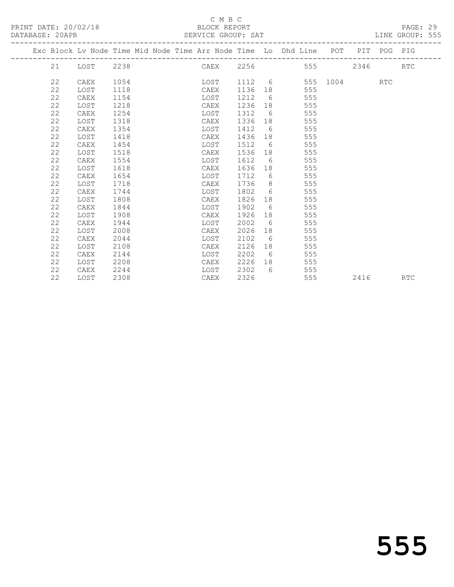PRINT DATE: 20/02/18 BLOCK REPORT BLOCK REPORT

#### C M B C<br>BLOCK REPORT

LINE GROUP: 555

| DATABASE: 20APR |          |                               |              |  | SERVICE GROUP: SAT       |                     |                                                                                |          |      |     | LINE GROUP: 555 |  |
|-----------------|----------|-------------------------------|--------------|--|--------------------------|---------------------|--------------------------------------------------------------------------------|----------|------|-----|-----------------|--|
|                 |          |                               |              |  |                          |                     | Exc Block Ly Node Time Mid Node Time Arr Node Time Lo Dhd Line POT PIT POG PIG |          |      |     |                 |  |
|                 | 21       | LOST 2238                     |              |  | CAEX 2256                |                     | 555                                                                            |          | 2346 |     | RTC.            |  |
|                 | 22<br>っっ | CAEX<br>$T \cap C \mathbb{m}$ | 1054<br>1110 |  | LOST<br>$C\Lambda\Box V$ | 1112 6<br>$1126$ 10 | 1555                                                                           | 555 1004 |      | RTC |                 |  |

| 22 | LOST | 1118 | CAEX | 1136 | 18 | 555 |      |            |
|----|------|------|------|------|----|-----|------|------------|
| 22 | CAEX | 1154 | LOST | 1212 | 6  | 555 |      |            |
| 22 | LOST | 1218 | CAEX | 1236 | 18 | 555 |      |            |
| 22 | CAEX | 1254 | LOST | 1312 | 6  | 555 |      |            |
| 22 | LOST | 1318 | CAEX | 1336 | 18 | 555 |      |            |
| 22 | CAEX | 1354 | LOST | 1412 | 6  | 555 |      |            |
| 22 | LOST | 1418 | CAEX | 1436 | 18 | 555 |      |            |
| 22 | CAEX | 1454 | LOST | 1512 | 6  | 555 |      |            |
| 22 | LOST | 1518 | CAEX | 1536 | 18 | 555 |      |            |
| 22 | CAEX | 1554 | LOST | 1612 | 6  | 555 |      |            |
| 22 | LOST | 1618 | CAEX | 1636 | 18 | 555 |      |            |
| 22 | CAEX | 1654 | LOST | 1712 | 6  | 555 |      |            |
| 22 | LOST | 1718 | CAEX | 1736 | 8  | 555 |      |            |
| 22 | CAEX | 1744 | LOST | 1802 | 6  | 555 |      |            |
| 22 | LOST | 1808 | CAEX | 1826 | 18 | 555 |      |            |
| 22 | CAEX | 1844 | LOST | 1902 | 6  | 555 |      |            |
| 22 | LOST | 1908 | CAEX | 1926 | 18 | 555 |      |            |
| 22 | CAEX | 1944 | LOST | 2002 | 6  | 555 |      |            |
| 22 | LOST | 2008 | CAEX | 2026 | 18 | 555 |      |            |
| 22 | CAEX | 2044 | LOST | 2102 | 6  | 555 |      |            |
| 22 | LOST | 2108 | CAEX | 2126 | 18 | 555 |      |            |
| 22 | CAEX | 2144 | LOST | 2202 | 6  | 555 |      |            |
| 22 | LOST | 2208 | CAEX | 2226 | 18 | 555 |      |            |
| 22 | CAEX | 2244 | LOST | 2302 | 6  | 555 |      |            |
| 22 | LOST | 2308 | CAEX | 2326 |    | 555 | 2416 | <b>RTC</b> |
|    |      |      |      |      |    |     |      |            |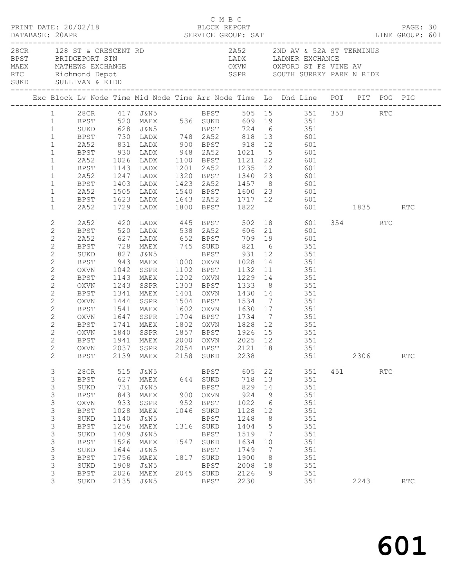|                                                                                                                                                                                                                                                                                                                                                                                              | PRINT DATE: 20/02/18                                                                                                                                                                           |                                                                                                                  |                                                                                                                                                                                                                  |                                                   | C M B C                                                                                                                                              | BLOCK REPORT                                                                                                             |                                                                                                                  |                                                                                                                                                                                                                                                                                                                                                                                                                                                                                                                                                                                                                                                                                                                                                                                                                                                                                      |                         |                             | PAGE: 30          |  |
|----------------------------------------------------------------------------------------------------------------------------------------------------------------------------------------------------------------------------------------------------------------------------------------------------------------------------------------------------------------------------------------------|------------------------------------------------------------------------------------------------------------------------------------------------------------------------------------------------|------------------------------------------------------------------------------------------------------------------|------------------------------------------------------------------------------------------------------------------------------------------------------------------------------------------------------------------|---------------------------------------------------|------------------------------------------------------------------------------------------------------------------------------------------------------|--------------------------------------------------------------------------------------------------------------------------|------------------------------------------------------------------------------------------------------------------|--------------------------------------------------------------------------------------------------------------------------------------------------------------------------------------------------------------------------------------------------------------------------------------------------------------------------------------------------------------------------------------------------------------------------------------------------------------------------------------------------------------------------------------------------------------------------------------------------------------------------------------------------------------------------------------------------------------------------------------------------------------------------------------------------------------------------------------------------------------------------------------|-------------------------|-----------------------------|-------------------|--|
|                                                                                                                                                                                                                                                                                                                                                                                              | BPST BRIDGEPORT STN                                                                                                                                                                            |                                                                                                                  |                                                                                                                                                                                                                  |                                                   |                                                                                                                                                      |                                                                                                                          |                                                                                                                  | 28CR $128$ ST & CRESCENT RD $2A52$ 2ND AV & 52A ST TERMINUS<br>LADX LADNER EXCHANGE<br>MAEX MATHEWS EXCHANGE OXVN OXFORD ST FS VINE AV THE AVENUE OXVN OXFORD ST FS VINE AVENUE AT A RIDE SURD SULLIVAN & KIDD<br>SSPR SOUTH SURREY PARK N RIDE                                                                                                                                                                                                                                                                                                                                                                                                                                                                                                                                                                                                                                      |                         |                             |                   |  |
|                                                                                                                                                                                                                                                                                                                                                                                              |                                                                                                                                                                                                |                                                                                                                  |                                                                                                                                                                                                                  |                                                   |                                                                                                                                                      |                                                                                                                          |                                                                                                                  | Exc Block Lv Node Time Mid Node Time Arr Node Time Lo Dhd Line POT PIT POG PIG                                                                                                                                                                                                                                                                                                                                                                                                                                                                                                                                                                                                                                                                                                                                                                                                       |                         |                             |                   |  |
| $\mathbf{1}$<br>$\mathbf{1}$<br>$\mathbf{1}$<br>$\mathbf{1}$<br>$\mathbf{1}$<br>$\mathbf{1}$<br>$\mathbf{1}$<br>$\mathbf{1}$<br>$\mathbf{1}$<br>$\mathbf{1}$<br>$\mathbf{1}$<br>$\mathbf{2}$<br>$\mathbf{2}$<br>$\mathbf{2}$<br>$\mathbf{2}$<br>$\mathbf{2}$<br>$\mathbf{2}$<br>$\mathbf{2}$<br>$\mathbf{2}$<br>$\mathbf{2}$<br>$\mathbf{2}$<br>$\mathbf{2}$<br>$\mathbf{2}$<br>$\mathbf{2}$ | 2A52<br>BPST<br>2A52<br>BPST<br>2A52<br>BPST<br>2A52<br>2A52<br>BPST<br>2A52<br>BPST<br>SUKD<br>BPST<br>OXVN<br>BPST<br>OXVN<br>BPST<br>OXVN<br>BPST<br>OXVN                                   | 1341<br>1444<br>1541                                                                                             | 827 J&N5<br>MAEX<br>SSPR<br>MAEX                                                                                                                                                                                 |                                                   |                                                                                                                                                      | 1401 OXVN 1430 14                                                                                                        |                                                                                                                  | 1 28CR 417 J&N5 BPST 505 15 351 353 RTC<br>1 BPST 520 MAEX 536 SUKD 609 19 351<br>SUKD 628 J&N5 BPST 724 6 351<br>BPST 730 LADX 748 2A52 818 13 601<br>2A52 831 LADX 900 BPST 918 12 601<br>BPST 930 LADX 948 2A52 1021 5 601<br>1026 LADX 1100 BPST 1121 22 601<br>1143 LADX 1201 2A52 1235 12 601<br>1247 LADX 1320 BPST 1340 23 601<br>1403 LADX 1423 2A52 1457 8 601<br>1505 LADX 1540 BPST 1600 23 601<br>1623 LADX 1643 2A52 1717 12 601<br>1729 LADX 1800 BPST 1822 601<br>601 1835 RTC<br>420 LADX 445 BPST 502 18 601<br>520 LADX 538 2A52 606 21 601<br>627 LADX 652 BPST 709 19 601<br>728 MAEX 745 SUKD 821 6 351<br>BPST 931 12 351<br>943 MAEX 1000 OXVN 1028 14 351<br>1042 SSPR 1102 BPST 1132 11 351<br>1143 MAEX 1202 OXVN 1229 14 351<br>1243 SSPR 1303 BPST 1333 8 351<br>351<br>1504 BPST 1534 7 351<br>1602 OXVN 1630 17 351<br>1647 SSPR 1704 BPST 1734 7 351 | 354 356                 | RTC                         |                   |  |
| $\mathbf{2}$<br>$\mathbf{2}$<br>$\mathbf{2}$<br>$\overline{c}$<br>2<br>3<br>3<br>3<br>3<br>$\mathsf 3$<br>3<br>$\mathsf 3$<br>3<br>$\mathsf 3$<br>3<br>$\mathsf 3$<br>3<br>3<br>3<br>3                                                                                                                                                                                                       | BPST<br>OXVN<br>BPST<br><b>BPST</b><br>28CR<br>BPST<br>SUKD<br><b>BPST</b><br>OXVN<br><b>BPST</b><br>SUKD<br><b>BPST</b><br>SUKD<br><b>BPST</b><br>SUKD<br><b>BPST</b><br>SUKD<br>BPST<br>SUKD | 1741<br>2139<br>627<br>731<br>843<br>933<br>1028<br>1140<br>1256<br>1409<br>1526<br>1644<br>1756<br>1908<br>2026 | 1840 SSPR   1857  BPST   1926  15<br>1941  MAEX   2000  OXVN   2025  12<br>MAEX<br>515 J&N5<br>MAEX<br>J&N5<br>MAEX<br>SSPR<br>MAEX<br>J&N5<br>MAEX<br>J&N5<br>MAEX<br>J&N5<br>MAEX<br>J&N5<br>MAEX<br>2135 J&N5 | 644<br>900<br>952<br>1046<br>1316<br>1547<br>1817 | 2158 SUKD<br>BPST<br>SUKD<br><b>BPST</b><br>OXVN<br>BPST<br>SUKD<br>BPST<br>SUKD<br>BPST<br>SUKD<br><b>BPST</b><br>SUKD<br>BPST<br>2045 SUKD<br>BPST | 2238<br>605<br>718<br>829<br>924<br>1022<br>1128<br>1248<br>1404<br>1519<br>1634<br>1749<br>1900<br>2008<br>2126<br>2230 | 22<br>13<br>14<br>9<br>$6\overline{6}$<br>12<br>8<br>5<br>$\overline{7}$<br>10<br>$\overline{7}$<br>8<br>18<br>9 | MAEX 1802 OXVN 1828 12 351<br>351<br>351<br>OXVN 2037 SSPR 2054 BPST 2121 18 351<br>351<br>351<br>351<br>351<br>351<br>351<br>351<br>351<br>351<br>351<br>351<br>351<br>351<br>351<br>351<br>351                                                                                                                                                                                                                                                                                                                                                                                                                                                                                                                                                                                                                                                                                     | 2306<br>451 000<br>2243 | $\mathop{\rm RTC}\nolimits$ | RTC<br><b>RTC</b> |  |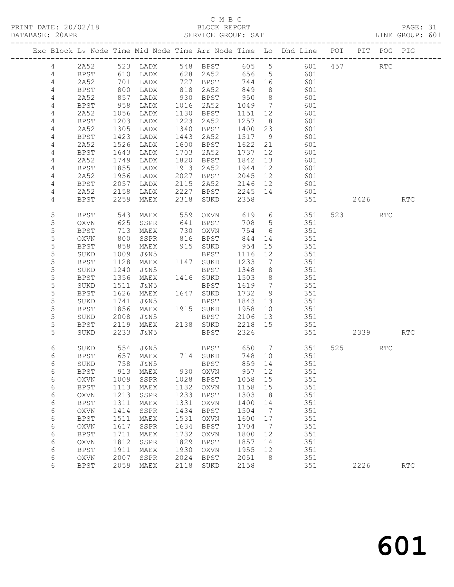### C M B C<br>BLOCK REPORT

| DATABASE: 20APR |                |             |              |                                                             |              | SERVICE GROUP: SAT   |                    |                      |                                                                                |              |                |     | LINE GROUP: 601      |  |
|-----------------|----------------|-------------|--------------|-------------------------------------------------------------|--------------|----------------------|--------------------|----------------------|--------------------------------------------------------------------------------|--------------|----------------|-----|----------------------|--|
|                 |                |             |              |                                                             |              |                      |                    |                      | Exc Block Lv Node Time Mid Node Time Arr Node Time Lo Dhd Line POT PIT POG PIG |              |                |     |                      |  |
|                 | 4              |             |              | 2A52 523 LADX 548 BPST 605 5                                |              |                      |                    |                      |                                                                                | 601 457 RTC  |                |     |                      |  |
|                 | $\overline{4}$ |             |              | BPST 610 LADX 628 2A52 656 5                                |              |                      |                    |                      | 601                                                                            |              |                |     |                      |  |
|                 | $\overline{4}$ | 2A52        |              | 701 LADX 727 BPST<br>800 LADX 818 2A52<br>857 LADX 930 BPST |              |                      | 744 16             |                      | 601                                                                            |              |                |     |                      |  |
|                 | $\overline{4}$ | BPST        |              |                                                             |              |                      | 849                | 8 <sup>8</sup>       | 601                                                                            |              |                |     |                      |  |
|                 | 4              | 2A52        |              |                                                             |              |                      | 950                | 8 <sup>8</sup>       | 601                                                                            |              |                |     |                      |  |
|                 | 4              | BPST        |              | 958 LADX                                                    |              | 1016 2A52            | 1049               | $\overline{7}$       | 601                                                                            |              |                |     |                      |  |
|                 | 4              | 2A52        |              | 1056 LADX                                                   |              | 1130 BPST            | 1151               | 12                   | 601                                                                            |              |                |     |                      |  |
|                 | 4              | BPST        |              | ----<br>1305 IADX<br>עמו 1305                               |              | 1223 2A52            | 1257               | 8 <sup>8</sup>       | 601                                                                            |              |                |     |                      |  |
|                 | 4              | 2A52        |              | 1305 LADX                                                   |              | 1340 BPST            | 1400               | 23                   | 601                                                                            |              |                |     |                      |  |
|                 | 4              | BPST        |              | 1423 LADX                                                   |              | 1443 2A52            | 1517               | 9                    | 601                                                                            |              |                |     |                      |  |
|                 | 4              | 2A52        | 1526         | LADX                                                        |              | 1600 BPST            | 1622               | 21                   | 601                                                                            |              |                |     |                      |  |
|                 | 4              | BPST        |              | 1643 LADX                                                   |              | 1703 2A52            | 1737               | 12                   | 601                                                                            |              |                |     |                      |  |
|                 | 4              | 2A52        |              | 1749 LADX                                                   |              | 1820 BPST            | 1842               | 13                   | 601                                                                            |              |                |     |                      |  |
|                 | 4              | BPST        | 1855         | LADX                                                        |              | 1913 2A52            | 1944               | 12                   | 601                                                                            |              |                |     |                      |  |
|                 | 4              | 2A52        |              | 1956 LADX                                                   |              | 2027 BPST            | 2045               | 12                   | 601                                                                            |              |                |     |                      |  |
|                 | 4              | BPST        |              |                                                             |              | 2115 2A52            | 2146 12<br>2245 14 |                      | 601                                                                            |              |                |     |                      |  |
|                 | 4              | 2A52        |              | 2057 LADA                                                   |              | 2227 BPST            |                    |                      | 601                                                                            |              |                |     |                      |  |
|                 | 4              | BPST        |              | 2259 MAEX                                                   |              | 2318 SUKD            | 2358               |                      |                                                                                | 351 2426 RTC |                |     |                      |  |
|                 | 5              | BPST        |              | 543 MAEX                                                    |              | 559 OXVN<br>641 BPST | $619$ 6<br>708 5   |                      | 351                                                                            |              | 523 and $\sim$ | RTC |                      |  |
|                 | $\mathsf S$    | OXVN        | 625          | SSPR                                                        |              |                      | 708                | $5\overline{)}$      | 351                                                                            |              |                |     |                      |  |
|                 | 5              | BPST        |              | 713 MAEX                                                    |              | 730 OXVN             | 754                | 6                    | 351                                                                            |              |                |     |                      |  |
|                 | 5              | OXVN        |              | 800 SSPR                                                    |              | 816 BPST             | 844                | 14                   | 351                                                                            |              |                |     |                      |  |
|                 | 5              | BPST        | 858          | MAEX                                                        |              | 915 SUKD             | 954                | 15                   | 351                                                                            |              |                |     |                      |  |
|                 | $\mathsf S$    | SUKD        |              | 1009 J&N5                                                   |              | BPST                 | 1116               | 12                   | 351                                                                            |              |                |     |                      |  |
|                 | 5              | BPST        |              | 1128 MAEX 1147 SUKD                                         |              |                      | 1233               | $\overline{7}$       | 351                                                                            |              |                |     |                      |  |
|                 | $\mathsf S$    | SUKD        | 1240         | J&N5                                                        |              | BPST                 | 1348               | 8 <sup>8</sup>       | 351                                                                            |              |                |     |                      |  |
|                 | 5              | BPST        | 1356         | MAEX                                                        |              | 1416 SUKD            | 1503               | 8 <sup>8</sup>       | 351                                                                            |              |                |     |                      |  |
|                 | 5              | SUKD        | 1511         | J&N5                                                        |              | BPST                 | 1619               | $\overline{7}$       | 351                                                                            |              |                |     |                      |  |
|                 | $\mathsf S$    | BPST        |              | 1626 MAEX                                                   |              | 1647 SUKD            | 1732               | 9                    | 351                                                                            |              |                |     |                      |  |
|                 | 5              | SUKD        | 1741         | J&N5                                                        |              | BPST                 | 1843               | 13                   | 351                                                                            |              |                |     |                      |  |
|                 | 5              | BPST        | 1856         | MAEX                                                        |              | 1915 SUKD            | 1958               | 10                   | 351                                                                            |              |                |     |                      |  |
|                 | $\mathsf S$    | SUKD        | 2008         | J&N5                                                        |              | BPST                 | 2106 is<br>2218 15 |                      | 351                                                                            |              |                |     |                      |  |
|                 | 5              | BPST        |              | 2119 MAEX                                                   |              | 2138 SUKD            |                    |                      | 351                                                                            |              |                |     |                      |  |
|                 | 5              | SUKD        | 2233         | J&N5                                                        |              | BPST                 | 2326               |                      |                                                                                | 351 000      | 2339 RTC       |     |                      |  |
|                 | 6              | SUKD        |              |                                                             |              |                      |                    |                      | BPST 650 7 351<br>SUKD 748 10 351                                              |              | 525 32         | RTC |                      |  |
|                 | 6              | BPST        |              |                                                             |              |                      |                    |                      |                                                                                |              |                |     |                      |  |
|                 | 6              |             |              | SUKD 758 J&N5 BPST 859 14                                   |              |                      |                    |                      | 351                                                                            |              |                |     |                      |  |
|                 | 6              | <b>BPST</b> | 913          | MAEX                                                        |              | 930 OXVN             | 957 12             |                      | 351                                                                            |              |                |     |                      |  |
|                 | 6              | OXVN        |              | 1009 SSPR                                                   | 1028         | BPST                 | 1058 15            |                      | 351                                                                            |              |                |     |                      |  |
|                 | 6              | <b>BPST</b> | 1113         | MAEX                                                        | 1132         | OXVN                 | 1158               | 15                   | 351                                                                            |              |                |     |                      |  |
|                 | 6              | OXVN        | 1213         | SSPR                                                        | 1233         | BPST                 | 1303               | 8 <sup>8</sup>       | 351                                                                            |              |                |     |                      |  |
|                 | 6              | <b>BPST</b> | 1311         | MAEX                                                        | 1331         | <b>OXVN</b>          | 1400               | 14                   | 351                                                                            |              |                |     |                      |  |
|                 | 6              | OXVN        | 1414         | SSPR                                                        | 1434         | BPST                 | 1504               | $\overline{7}$       | 351                                                                            |              |                |     |                      |  |
|                 | 6              | <b>BPST</b> | 1511         | MAEX                                                        | 1531         | OXVN                 | 1600               | 17                   | 351                                                                            |              |                |     |                      |  |
|                 | 6              | OXVN        | 1617         | SSPR                                                        | 1634         | BPST                 | 1704               | $\overline{7}$       | 351                                                                            |              |                |     |                      |  |
|                 | 6              | BPST        | 1711         | MAEX                                                        | 1732         | OXVN                 | 1800               | 12                   | 351                                                                            |              |                |     |                      |  |
|                 | 6              | OXVN        | 1812         | SSPR                                                        | 1829<br>1930 | BPST<br>OXVN         | 1857               | 14                   | 351<br>351                                                                     |              |                |     |                      |  |
|                 | 6              | <b>BPST</b> | 1911         | MAEX                                                        | 2024         |                      | 1955               | 12<br>8 <sup>8</sup> |                                                                                |              |                |     |                      |  |
|                 | 6<br>6         | OXVN        | 2007<br>2059 | SSPR                                                        |              | BPST<br>2118 SUKD    | 2051<br>2158       |                      | 351<br>351                                                                     |              | 2226           |     |                      |  |
|                 |                | <b>BPST</b> |              | MAEX                                                        |              |                      |                    |                      |                                                                                |              |                |     | $\operatorname{RTC}$ |  |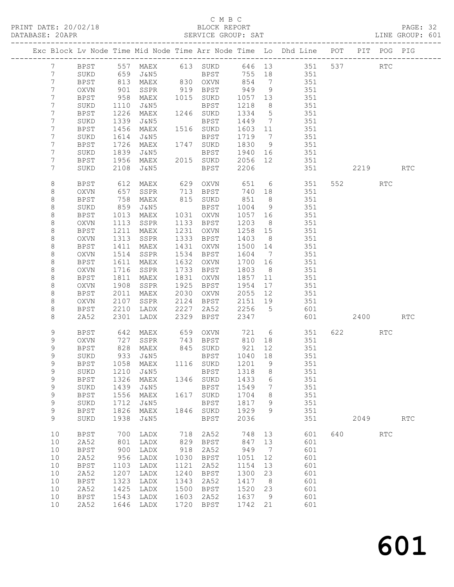#### C M B C<br>BLOCK REPORT

| DATABASE: 20APR |                |             |                   |          |      | SERVICE GROUP: SAT                |                   |                 |                                                                                |                        |     | LINE GROUP: 601 |  |
|-----------------|----------------|-------------|-------------------|----------|------|-----------------------------------|-------------------|-----------------|--------------------------------------------------------------------------------|------------------------|-----|-----------------|--|
|                 |                |             |                   |          |      |                                   |                   |                 | Exc Block Lv Node Time Mid Node Time Arr Node Time Lo Dhd Line POT PIT POG PIG |                        |     |                 |  |
|                 | $7\phantom{0}$ |             |                   |          |      |                                   |                   |                 | BPST 557 MAEX 613 SUKD 646 13 351 537 RTC                                      |                        |     |                 |  |
|                 | $7\phantom{.}$ | SUKD        | 659               |          |      | J&N5 BPST                         |                   |                 | 755 18 351                                                                     |                        |     |                 |  |
|                 | 7              | BPST        |                   |          |      | MAEX 830 OXVN 854 7               |                   |                 | 351                                                                            |                        |     |                 |  |
|                 | $7\phantom{.}$ | OXVN        | 813<br>901<br>958 |          |      |                                   |                   | 9               | 351                                                                            |                        |     |                 |  |
|                 | 7              | BPST        |                   |          |      |                                   |                   |                 | 351                                                                            |                        |     |                 |  |
|                 | 7              | SUKD        | 1110              | J&N5     |      | BPST                              | 1218              | 8 <sup>8</sup>  | 351                                                                            |                        |     |                 |  |
|                 | 7              | BPST        | 1226              | MAEX     |      | 1246 SUKD                         | 1334 5            |                 | 351                                                                            |                        |     |                 |  |
|                 | 7              | SUKD        | 1339              | J&N5     |      | BPST                              | 1449 7            |                 | 351                                                                            |                        |     |                 |  |
|                 | 7              | BPST        | 1456              | MAEX     |      | 1516 SUKD                         | 1603 11           |                 | $351$                                                                          |                        |     |                 |  |
|                 | 7              | SUKD        | 1614              | J&N5     |      | BPST                              | 1719 7            |                 | 351                                                                            |                        |     |                 |  |
|                 | 7              | BPST        | 1726              | MAEX     |      | 1747 SUKD                         | 1830 9            |                 | 351                                                                            |                        |     |                 |  |
|                 | 7              | SUKD        | 1839              | J&N5     |      | BPST                              | 1940 16           |                 |                                                                                |                        |     |                 |  |
|                 | 7              | BPST        | 1956              | MAEX     |      | 2015 SUKD                         | 2056 12           |                 | 351<br>351                                                                     |                        |     |                 |  |
|                 | 7              | SUKD        | 2108              | J&N5     |      | BPST                              | 2206              |                 | 351                                                                            | 2219                   |     | <b>RTC</b>      |  |
|                 |                |             |                   |          |      |                                   |                   |                 |                                                                                |                        |     |                 |  |
|                 | 8              | BPST        | 612<br>657        | MAEX     |      | 629 OXVN 651 6<br>713 BPST 740 18 |                   |                 | 351                                                                            | 552 35                 | RTC |                 |  |
|                 | 8              | OXVN        |                   | SSPR     |      |                                   |                   |                 | 351                                                                            |                        |     |                 |  |
|                 | 8              | BPST        | 758               | MAEX     |      | 815 SUKD                          | 851               | 8               | 351                                                                            |                        |     |                 |  |
|                 | 8              | SUKD        | 859               | J&N5     |      | BPST                              | 1004              | 9               | 351                                                                            |                        |     |                 |  |
|                 | 8              | BPST        | 1013<br>1113      | MAEX     |      | 1031 OXVN                         | 1057 16           |                 | 351                                                                            |                        |     |                 |  |
|                 | $\,8\,$        | OXVN        |                   | SSPR     |      | 1133 BPST                         | 1203              | 8 <sup>8</sup>  | 351                                                                            |                        |     |                 |  |
|                 | 8              | BPST        | 1211              | MAEX     |      | 1231 OXVN                         | 1258 15           |                 | 351                                                                            |                        |     |                 |  |
|                 | 8              | OXVN        | 1313              | SSPR     |      | 1333 BPST                         | 1403              | 8 <sup>8</sup>  | 351                                                                            |                        |     |                 |  |
|                 | 8              | BPST        | 1411              | MAEX     |      | 1431 OXVN                         | 1500 14           |                 | 351                                                                            |                        |     |                 |  |
|                 | 8              | OXVN        | 1514              | SSPR     |      | 1534 BPST                         | 1604 7            |                 | 351                                                                            |                        |     |                 |  |
|                 | 8              | BPST        | 1611              | MAEX     |      | 1632 OXVN                         | 1700 16           |                 | 351                                                                            |                        |     |                 |  |
|                 | 8              | OXVN        | 1716              | SSPR     |      | 1733 BPST                         | 1803              | 8 <sup>8</sup>  | 351                                                                            |                        |     |                 |  |
|                 | 8              | <b>BPST</b> | 1811              | MAEX     |      | 1831 OXVN                         | 1857              | 11              | 351                                                                            |                        |     |                 |  |
|                 | 8              | OXVN        | 1908              | SSPR     |      | 1925 BPST                         | 1954 17           |                 | 351                                                                            |                        |     |                 |  |
|                 | 8              | BPST        | 2011              | MAEX     |      | 2030 OXVN                         | 2055 12           |                 | 351                                                                            |                        |     |                 |  |
|                 | 8              | OXVN        | 2107              | SSPR     |      | 2124 BPST                         | 2151 19           |                 | 351                                                                            |                        |     |                 |  |
|                 | 8              | BPST        | 2210              | LADX     |      | 2227 2A52                         | 2256 5            |                 | 601                                                                            |                        |     |                 |  |
|                 | 8              | 2A52        | 2301              | LADX     | 2329 | BPST                              | 2347              |                 | 601                                                                            | 2400                   |     | RTC             |  |
|                 | 9              | BPST        | 642               |          |      | MAEX 659 OXVN 721 6               |                   |                 | 351                                                                            | 622 and $\overline{a}$ | RTC |                 |  |
|                 | 9              | OXVN        | 727               |          |      | SSPR 743 BPST 810                 |                   | 18              | 351                                                                            |                        |     |                 |  |
|                 | 9              | BPST        | 828<br>933        | MAEX     |      | 845 SUKD                          | 921 12<br>1040 18 |                 | 351                                                                            |                        |     |                 |  |
|                 | $\mathsf 9$    | SUKD        |                   | J&N5     |      | BPST                              |                   |                 | 351                                                                            |                        |     |                 |  |
|                 | $\mathsf{Q}$   |             |                   |          |      |                                   |                   |                 | BPST 1058 MAEX 1116 SUKD 1201 9 351                                            |                        |     |                 |  |
|                 | 9              | SUKD        | 1210              | J&N5     |      | BPST                              | 1318              | 8               | 351                                                                            |                        |     |                 |  |
|                 | 9              | BPST        | 1326              | MAEX     |      | 1346 SUKD                         | 1433              | $6\overline{6}$ | 351                                                                            |                        |     |                 |  |
|                 | $\mathsf 9$    | SUKD        | 1439              | J&N5     |      | BPST                              | 1549              | $7\phantom{.0}$ | 351                                                                            |                        |     |                 |  |
|                 | 9              | <b>BPST</b> | 1556              | MAEX     |      | 1617 SUKD                         | 1704              | 8 <sup>8</sup>  | 351                                                                            |                        |     |                 |  |
|                 | 9              | SUKD        | 1712              | J&N5     |      | BPST                              | 1817              | - 9             | 351                                                                            |                        |     |                 |  |
|                 | 9              | <b>BPST</b> | 1826              | MAEX     |      | 1846 SUKD                         | 1929              | 9               | 351                                                                            |                        |     |                 |  |
|                 | 9              | SUKD        | 1938              | J&N5     |      | <b>BPST</b>                       | 2036              |                 | 351                                                                            | 2049                   |     | <b>RTC</b>      |  |
|                 | 10             | BPST        |                   | 700 LADX | 718  | 2A52                              |                   | 748 13          | 601                                                                            | 640 RTC                |     |                 |  |
|                 | 10             | 2A52        | 801               | LADX     | 829  | BPST                              | 847               | 13              | 601                                                                            |                        |     |                 |  |
|                 | 10             | <b>BPST</b> | 900               | LADX     | 918  | 2A52                              | 949               | $\overline{7}$  | 601                                                                            |                        |     |                 |  |
|                 | 10             | 2A52        | 956               | LADX     | 1030 | BPST                              | 1051              | 12              | 601                                                                            |                        |     |                 |  |
|                 | 10             | <b>BPST</b> | 1103              | LADX     | 1121 | 2A52                              | 1154              | 13              | 601                                                                            |                        |     |                 |  |
|                 | 10             | 2A52        | 1207              | LADX     | 1240 | BPST                              | 1300              | 23              | 601                                                                            |                        |     |                 |  |
|                 | 10             | <b>BPST</b> | 1323              | LADX     | 1343 | 2A52                              | 1417 8            |                 | 601                                                                            |                        |     |                 |  |
|                 | 10             | 2A52        | 1425              | LADX     | 1500 | BPST                              | 1520              | 23              | 601                                                                            |                        |     |                 |  |
|                 | 10             | <b>BPST</b> | 1543              | LADX     | 1603 | 2A52                              | 1637              | 9               | 601                                                                            |                        |     |                 |  |
|                 | 10             | 2A52        | 1646              | LADX     | 1720 | BPST                              | 1742 21           |                 | 601                                                                            |                        |     |                 |  |
|                 |                |             |                   |          |      |                                   |                   |                 |                                                                                |                        |     |                 |  |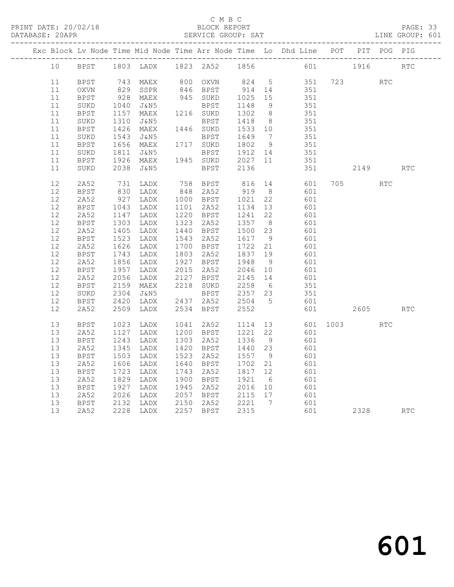PRINT DATE: 20/02/18 BLOCK REPORT BATABASE: 20APR BLOCK REPORT

#### C M B C<br>BLOCK REPORT

#### PAGE: 33<br>LINE GROUP: 601

|  |    |             |                  |                          |                      |                                                     |                              | Exc Block Lv Node Time Mid Node Time Arr Node Time Lo Dhd Line POT PIT POG PIG |          |      |                             |                             |
|--|----|-------------|------------------|--------------------------|----------------------|-----------------------------------------------------|------------------------------|--------------------------------------------------------------------------------|----------|------|-----------------------------|-----------------------------|
|  | 10 | BPST        |                  | 1803 LADX 1823 2A52 1856 |                      |                                                     |                              |                                                                                | 601 1916 |      |                             | $\mathop{\rm RTC}\nolimits$ |
|  | 11 | <b>BPST</b> |                  | 743 MAEX<br>829 SSPR     | 800 OXVN<br>846 BPST | 824 5                                               |                              | 351                                                                            | 723      |      | $\mathop{\rm RTC}\nolimits$ |                             |
|  | 11 | OXVN        |                  | SSPR                     |                      | 914 14                                              |                              | 351                                                                            |          |      |                             |                             |
|  | 11 | BPST        | 928              | MAEX                     | 945 SUKD             | 1025 15                                             |                              | 351                                                                            |          |      |                             |                             |
|  | 11 | SUKD        | 1040             | J&N5                     | BPST                 | 1148                                                | 9                            | 351                                                                            |          |      |                             |                             |
|  | 11 | BPST        | 1157             | MAEX                     | 1216 SUKD            | 1302                                                | 8 <sup>8</sup>               | 351                                                                            |          |      |                             |                             |
|  | 11 | $\rm SUKD$  |                  | J&N5                     | <b>BPST</b>          | 1418                                                | 8 <sup>8</sup>               | 351                                                                            |          |      |                             |                             |
|  | 11 | BPST        | 1310<br>1426     | MAEX                     | 1446 SUKD            | 1533 10                                             |                              | 351                                                                            |          |      |                             |                             |
|  | 11 | SUKD        |                  | J&N5                     | BPST                 | 1649                                                | $7\phantom{.0}\phantom{.0}7$ | 351                                                                            |          |      |                             |                             |
|  | 11 | BPST        | 1543<br>1656     | MAEX                     | 1717 SUKD            | 1649<br>1802                                        | 9                            | 351                                                                            |          |      |                             |                             |
|  | 11 | SUKD        | 1811             | J&N5                     | BPST 1912 14         |                                                     |                              | 351                                                                            |          |      |                             |                             |
|  | 11 | <b>BPST</b> | 1926             | MAEX                     | 1945 SUKD            | 2027 11                                             |                              | 351                                                                            |          |      |                             |                             |
|  | 11 | SUKD        | 2038             | J&N5                     | BPST                 | 2136                                                |                              | 351                                                                            |          | 2149 |                             | RTC                         |
|  | 12 | 2A52        | 731              | LADX                     | 758 BPST             | 816                                                 | 14                           | 601                                                                            | 705      |      | <b>RTC</b>                  |                             |
|  | 12 | <b>BPST</b> |                  | LADX                     | 848 2A52             | 919 8                                               |                              | 601                                                                            |          |      |                             |                             |
|  | 12 | 2A52        | 830<br>927       | LADX                     | 1000 BPST            | 1021                                                | 22                           | 601                                                                            |          |      |                             |                             |
|  | 12 | BPST        |                  | LADX                     | 1101 2A52            | 1134                                                | 13                           | 601                                                                            |          |      |                             |                             |
|  | 12 | 2A52        | 1043<br>1147     | LADX                     | 1220 BPST            | 1241                                                | 22                           | 601                                                                            |          |      |                             |                             |
|  | 12 | <b>BPST</b> | 1303             | LADX                     | 1323 2A52            | 1357 8                                              |                              | 601                                                                            |          |      |                             |                             |
|  | 12 | 2A52        | 1405             | LADX                     | 1440 BPST            | 1500 23                                             |                              | 601                                                                            |          |      |                             |                             |
|  | 12 | BPST        | 1523             | LADX                     | 1543 2A52            | 1617                                                | 9                            | 601                                                                            |          |      |                             |                             |
|  | 12 | 2A52        | 1626             | LADX                     | 1700 BPST            | 1722 21                                             |                              | 601                                                                            |          |      |                             |                             |
|  | 12 | BPST        | 1743             | LADX                     | 1803 2A52            | 1837 19                                             |                              | 601                                                                            |          |      |                             |                             |
|  | 12 | 2A52        | 1856             | LADX                     | 1927 BPST            |                                                     | - 9                          | 601                                                                            |          |      |                             |                             |
|  | 12 | <b>BPST</b> | $1850$<br>$1957$ | LADX                     | 2015 2A52            | 1948<br>2046<br>2046 10                             |                              | 601                                                                            |          |      |                             |                             |
|  | 12 | 2A52        | 2056             | LADX                     | 2127 BPST            | 2145                                                | 14                           | 601                                                                            |          |      |                             |                             |
|  | 12 | <b>BPST</b> | 2159             | MAEX                     | 2218 SUKD            | 2258                                                | 6                            | 351                                                                            |          |      |                             |                             |
|  | 12 | SUKD        | 2304             | J&N5                     | BPST                 | 2357 23                                             |                              | 351                                                                            |          |      |                             |                             |
|  | 12 | BPST        | 2420             | LADX                     | 2437 2A52            | 2504 5                                              |                              | 601                                                                            |          |      |                             |                             |
|  | 12 | 2A52        | 2509             | LADX                     | 2534 BPST            | 2552                                                |                              | 601                                                                            |          | 2605 |                             | <b>RTC</b>                  |
|  | 13 | <b>BPST</b> | 1023             | LADX                     | 1041 2A52            | 1114                                                | 13                           | 601                                                                            | 1003     |      | <b>RTC</b>                  |                             |
|  | 13 | 2A52        | 1127             | LADX                     | 1200 BPST            | 1221                                                | 22                           | 601                                                                            |          |      |                             |                             |
|  | 13 | BPST        | 1243             | LADX                     | 1303 2A52            | 1336                                                | 9                            | 601                                                                            |          |      |                             |                             |
|  | 13 | 2A52        | 1345             | LADX                     | 1420 BPST            | 1440 23                                             |                              | 601                                                                            |          |      |                             |                             |
|  | 13 | <b>BPST</b> | 1503             | LADX                     | 1523 2A52            | 1557                                                | 9                            | 601                                                                            |          |      |                             |                             |
|  | 13 | 2A52        | 1606             | LADX                     | 1640 BPST            | 1702                                                | 21                           | 601                                                                            |          |      |                             |                             |
|  | 13 | <b>BPST</b> | 1723             | LADX                     | 1743 2A52            | 1817 12                                             |                              | 601                                                                            |          |      |                             |                             |
|  | 13 | 2A52        | 1829             | LADX                     | 1900 BPST            | 1921                                                | 6                            | 601                                                                            |          |      |                             |                             |
|  | 13 | BPST        | 1927             | LADX                     | 1945 2A52            | 2016 10                                             |                              | 601                                                                            |          |      |                             |                             |
|  | 13 | 2A52        | 2026             | LADX                     | 2057 BPST            | 2016 10<br>2115 17                                  |                              | 601                                                                            |          |      |                             |                             |
|  | 13 | <b>BPST</b> | 2132             | LADX                     | 2150 2A52            |                                                     |                              | 601                                                                            |          |      |                             |                             |
|  | 13 | 2A52        |                  | 2228 LADX                | 2257 BPST            | $\begin{array}{c} 2221 \\ 2315 \end{array}$<br>2315 |                              | 601                                                                            |          | 2328 |                             | RTC                         |
|  |    |             |                  |                          |                      |                                                     |                              |                                                                                |          |      |                             |                             |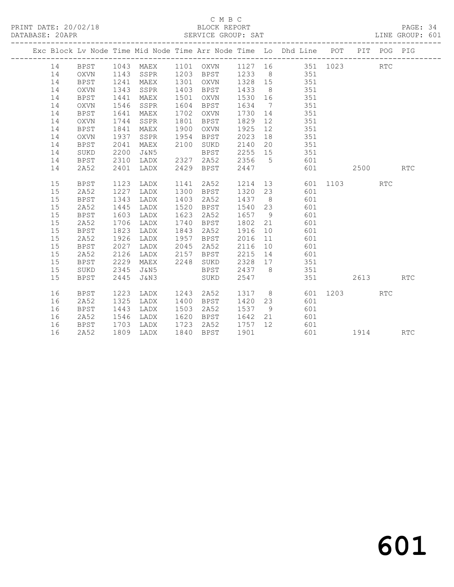PRINT DATE: 20/02/18 BLOCK REPORT BATABASE: 20APR BLOCK REPORT

#### C M B C<br>BLOCK REPORT

PAGE: 34<br>LINE GROUP: 601

|  |    |             |      |           |      |             |         |                | Exc Block Lv Node Time Mid Node Time Arr Node Time Lo Dhd Line POT PIT POG PIG |      |      |            |            |
|--|----|-------------|------|-----------|------|-------------|---------|----------------|--------------------------------------------------------------------------------|------|------|------------|------------|
|  | 14 | <b>BPST</b> |      | 1043 MAEX |      | 1101 OXVN   |         |                | 1127 16 351 1023                                                               |      |      | RTC        |            |
|  | 14 | OXVN        | 1143 | SSPR      | 1203 | <b>BPST</b> | 1233    |                | 8 351                                                                          |      |      |            |            |
|  | 14 | <b>BPST</b> | 1241 | MAEX      | 1301 | OXVN        | 1328 15 |                | 351                                                                            |      |      |            |            |
|  | 14 | OXVN        | 1343 | SSPR      | 1403 | BPST        | 1433    | 8 <sup>8</sup> | 351                                                                            |      |      |            |            |
|  | 14 | BPST        | 1441 | MAEX      | 1501 | OXVN        | 1530    | 16             | 351                                                                            |      |      |            |            |
|  | 14 | <b>OXVN</b> | 1546 | SSPR      | 1604 | BPST        | 1634    | $\overline{7}$ | 351                                                                            |      |      |            |            |
|  | 14 | <b>BPST</b> | 1641 | MAEX      | 1702 | OXVN        | 1730    | 14             | 351                                                                            |      |      |            |            |
|  | 14 | OXVN        | 1744 | SSPR      | 1801 | BPST        | 1829    | 12             | 351                                                                            |      |      |            |            |
|  | 14 | <b>BPST</b> | 1841 | MAEX      | 1900 | OXVN        | 1925    | 12             | 351                                                                            |      |      |            |            |
|  | 14 | OXVN        | 1937 | SSPR      | 1954 | BPST        | 2023    | 18             | 351                                                                            |      |      |            |            |
|  | 14 | <b>BPST</b> | 2041 | MAEX      | 2100 | SUKD        | 2140    | 20             | 351                                                                            |      |      |            |            |
|  | 14 | SUKD        | 2200 | J&N5      |      | BPST        | 2255    | 15             | 351                                                                            |      |      |            |            |
|  | 14 | <b>BPST</b> | 2310 | LADX      | 2327 | 2A52        | 2356    | $5^{\circ}$    | 601                                                                            |      |      |            |            |
|  | 14 | 2A52        | 2401 | LADX      | 2429 | <b>BPST</b> | 2447    |                | 601                                                                            |      | 2500 |            | RTC        |
|  | 15 | <b>BPST</b> | 1123 | LADX      | 1141 | 2A52        | 1214    |                | 13<br>601                                                                      | 1103 |      | <b>RTC</b> |            |
|  | 15 | 2A52        | 1227 | LADX      | 1300 | BPST        | 1320    | 23             | 601                                                                            |      |      |            |            |
|  | 15 | <b>BPST</b> | 1343 | LADX      | 1403 | 2A52        | 1437    | 8 <sup>8</sup> | 601                                                                            |      |      |            |            |
|  | 15 | 2A52        | 1445 | LADX      | 1520 | BPST        | 1540    | 23             | 601                                                                            |      |      |            |            |
|  | 15 | BPST        | 1603 | LADX      | 1623 | 2A52        | 1657    | - 9            | 601                                                                            |      |      |            |            |
|  | 15 | 2A52        | 1706 | LADX      | 1740 | BPST        | 1802    | 21             | 601                                                                            |      |      |            |            |
|  | 15 | BPST        | 1823 | LADX      | 1843 | 2A52        | 1916    | 10             | 601                                                                            |      |      |            |            |
|  | 15 | 2A52        | 1926 | LADX      | 1957 | BPST        | 2016    | 11             | 601                                                                            |      |      |            |            |
|  | 15 | <b>BPST</b> | 2027 | LADX      | 2045 | 2A52        | 2116    | 10             | 601                                                                            |      |      |            |            |
|  | 15 | 2A52        | 2126 | LADX      | 2157 | BPST        | 2215    | 14             | 601                                                                            |      |      |            |            |
|  | 15 | <b>BPST</b> | 2229 | MAEX      | 2248 | SUKD        | 2328    | 17             | 351                                                                            |      |      |            |            |
|  | 15 | SUKD        | 2345 | J&N5      |      | BPST        | 2437    | 8 <sup>8</sup> | 351                                                                            |      |      |            |            |
|  | 15 | <b>BPST</b> | 2445 | J&N3      |      | SUKD        | 2547    |                | 351                                                                            |      | 2613 |            | RTC        |
|  | 16 | <b>BPST</b> | 1223 | LADX      | 1243 | 2A52        | 1317 8  |                | 601                                                                            | 1203 |      | <b>RTC</b> |            |
|  | 16 | 2A52        | 1325 | LADX      | 1400 | BPST        | 1420    | 23             | 601                                                                            |      |      |            |            |
|  | 16 | <b>BPST</b> | 1443 | LADX      | 1503 | 2A52        | 1537    | 9              | 601                                                                            |      |      |            |            |
|  | 16 | 2A52        | 1546 | LADX      | 1620 | BPST        | 1642    | 21             | 601                                                                            |      |      |            |            |
|  | 16 | <b>BPST</b> | 1703 | LADX      | 1723 | 2A52        | 1757    | 12             | 601                                                                            |      |      |            |            |
|  | 16 | 2A52        | 1809 | LADX      | 1840 | <b>BPST</b> | 1901    |                | 601                                                                            |      | 1914 |            | <b>RTC</b> |
|  |    |             |      |           |      |             |         |                |                                                                                |      |      |            |            |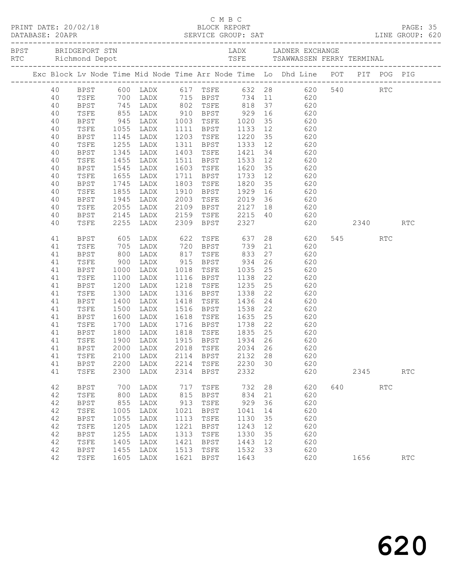|  |          |              |                      |                        |      |              |         |    | PRINT DATE: 20/02/18 BLOCK REPORT PRINT DATE: 20/02/18 BLOCK REPORT PRINT DATABASE: 20<br>DATABASE: 20APR SERVICE GROUP: SAT LINE GROUP: 620 |     |      |            |                      |  |
|--|----------|--------------|----------------------|------------------------|------|--------------|---------|----|----------------------------------------------------------------------------------------------------------------------------------------------|-----|------|------------|----------------------|--|
|  |          |              |                      |                        |      |              |         |    |                                                                                                                                              |     |      |            |                      |  |
|  |          |              |                      |                        |      |              |         |    | Exc Block Lv Node Time Mid Node Time Arr Node Time Lo Dhd Line POT PIT POG PIG                                                               |     |      |            |                      |  |
|  |          |              |                      |                        |      |              |         |    |                                                                                                                                              |     |      |            |                      |  |
|  |          |              |                      |                        |      |              |         |    |                                                                                                                                              |     |      |            |                      |  |
|  | 40       | <b>BPST</b>  |                      |                        |      |              |         |    |                                                                                                                                              |     |      |            |                      |  |
|  | 40       | TSFE         |                      |                        |      |              |         |    | 745 LADX 802 TSFE 818 37 620<br>855 LADX 910 BPST 929 16 620<br>945 LADX 1003 TSFE 1020 35 620<br>1055 LADX 1111 BPST 1133 12 620            |     |      |            |                      |  |
|  | 40       | BPST         |                      |                        |      |              |         |    |                                                                                                                                              |     |      |            |                      |  |
|  | 40       | TSFE         |                      |                        |      |              |         |    |                                                                                                                                              |     |      |            |                      |  |
|  | 40       | BPST         |                      | 1145 LADX              |      |              |         |    | 1203 TSFE 1220 35 620                                                                                                                        |     |      |            |                      |  |
|  | 40       | TSFE         | 1255<br>1345<br>1455 | LADX                   |      |              |         |    | 1311 BPST 1333 12 620<br>1403 TSFE 1421 34 620<br>1511 BPST 1533 12 620                                                                      |     |      |            |                      |  |
|  | 40       | BPST         |                      | LADX                   |      |              |         |    |                                                                                                                                              |     |      |            |                      |  |
|  | 40<br>40 | TSFE<br>BPST | 1545                 | LADX<br>LADX           |      |              |         |    | 1603 TSFE 1620 35 620                                                                                                                        |     |      |            |                      |  |
|  | 40       | TSFE         | 1655                 | LADX                   |      | 1711 BPST    | 1733    | 12 | 620                                                                                                                                          |     |      |            |                      |  |
|  | 40       | BPST         |                      |                        |      |              |         |    |                                                                                                                                              |     |      |            |                      |  |
|  | 40       | TSFE         |                      | 1745 LADX<br>1855 LADX |      |              |         |    | 1803 TSFE 1820 35 620<br>1910 BPST 1929 16 620                                                                                               |     |      |            |                      |  |
|  | 40       | BPST         | 1945                 | LADX                   | 2003 |              |         |    | TSFE 2019 36 620                                                                                                                             |     |      |            |                      |  |
|  | 40       | TSFE         | 2055                 | LADX                   |      |              |         |    |                                                                                                                                              |     |      |            |                      |  |
|  | 40       | BPST         |                      |                        |      |              |         |    |                                                                                                                                              |     |      |            |                      |  |
|  | 40       | TSFE         |                      | 2145 LADX<br>2255 LADX |      |              |         |    | 2109 BPST 2127 18 620<br>2159 TSFE 2215 40 620<br>2309 BPST 2327 620<br>620                                                                  |     | 2340 |            | <b>RTC</b>           |  |
|  | 41       | BPST         | 605                  | LADX                   |      | 622 TSFE 637 |         |    | 28 620                                                                                                                                       |     | 545  | <b>RTC</b> |                      |  |
|  | 41       | TSFE         | 705<br>800           |                        |      |              |         |    | LADX 720 BPST 739 21 620<br>LADX 817 TSFE 833 27 620                                                                                         |     |      |            |                      |  |
|  | 41       | <b>BPST</b>  |                      |                        |      |              |         |    |                                                                                                                                              |     |      |            |                      |  |
|  | 41       | TSFE         | 900                  |                        |      |              |         |    | LADX 915 BPST 934 26 620                                                                                                                     |     |      |            |                      |  |
|  | 41       | BPST         | 1000                 | LADX 1018              |      |              |         |    | TSFE 1035 25 620                                                                                                                             |     |      |            |                      |  |
|  | 41       | TSFE         | 1100                 | LADX                   |      |              |         |    | 1116 BPST 1138 22 620<br>1218 TSFE 1235 25 620                                                                                               |     |      |            |                      |  |
|  | 41       | <b>BPST</b>  | 1200                 | LADX                   |      |              |         |    |                                                                                                                                              |     |      |            |                      |  |
|  | 41       | TSFE         | 1300                 | LADX                   |      |              |         |    | 1316 BPST 1338 22 620                                                                                                                        |     |      |            |                      |  |
|  | 41       | BPST         | 1400                 | LADX                   |      | 1418 TSFE    |         |    | 1436 24 620                                                                                                                                  |     |      |            |                      |  |
|  | 41<br>41 | TSFE         | 1500<br>1600         | LADX<br>LADX           |      |              |         |    | 1516 BPST 1538 22 620<br>1618 TSFE 1635 25 620                                                                                               |     |      |            |                      |  |
|  | 41       | BPST<br>TSFE | 1700                 | LADX                   |      |              |         |    | 1716 BPST 1738 22 620                                                                                                                        |     |      |            |                      |  |
|  | 41       | BPST         | 1800                 |                        |      |              |         |    | LADX 1818 TSFE 1835 25 620                                                                                                                   |     |      |            |                      |  |
|  | 41       | TSFE         | 1900                 | LADX                   |      |              |         |    |                                                                                                                                              |     |      |            |                      |  |
|  | 41       | BPST         | 2000                 | LADX                   |      |              |         |    |                                                                                                                                              |     |      |            |                      |  |
|  | 41       |              |                      |                        |      |              |         |    | TSFE 2100 LADX 2114 BPST 2132 28 620                                                                                                         |     |      |            |                      |  |
|  | 41       | BPST         | 2200                 | LADX                   | 2214 | TSFE         | 2230 30 |    | 620                                                                                                                                          |     |      |            |                      |  |
|  | 41       | TSFE         | 2300                 | LADX                   | 2314 | BPST         | 2332    |    | 620                                                                                                                                          |     | 2345 |            | RTC                  |  |
|  | 42       | BPST         | 700                  | LADX                   | 717  | TSFE         | 732     | 28 | 620                                                                                                                                          | 640 |      | <b>RTC</b> |                      |  |
|  | 42       | TSFE         | 800                  | LADX                   | 815  | BPST         | 834     | 21 | 620                                                                                                                                          |     |      |            |                      |  |
|  | 42       | BPST         | 855                  | LADX                   | 913  | TSFE         | 929     | 36 | 620                                                                                                                                          |     |      |            |                      |  |
|  | 42       | TSFE         | 1005                 | LADX                   | 1021 | BPST         | 1041    | 14 | 620                                                                                                                                          |     |      |            |                      |  |
|  | 42       | <b>BPST</b>  | 1055                 | LADX                   | 1113 | TSFE         | 1130    | 35 | 620                                                                                                                                          |     |      |            |                      |  |
|  | 42       | TSFE         | 1205                 | LADX                   | 1221 | BPST         | 1243    | 12 | 620                                                                                                                                          |     |      |            |                      |  |
|  | 42       | <b>BPST</b>  | 1255                 | LADX                   | 1313 | TSFE         | 1330    | 35 | 620                                                                                                                                          |     |      |            |                      |  |
|  | 42       | TSFE         | 1405                 | LADX                   | 1421 | <b>BPST</b>  | 1443    | 12 | 620                                                                                                                                          |     |      |            |                      |  |
|  | 42       | BPST         | 1455                 | LADX                   | 1513 | TSFE         | 1532    | 33 | 620                                                                                                                                          |     |      |            |                      |  |
|  | 42       | TSFE         | 1605                 | LADX                   | 1621 | BPST         | 1643    |    | 620                                                                                                                                          |     | 1656 |            | $\operatorname{RTC}$ |  |

C M B C